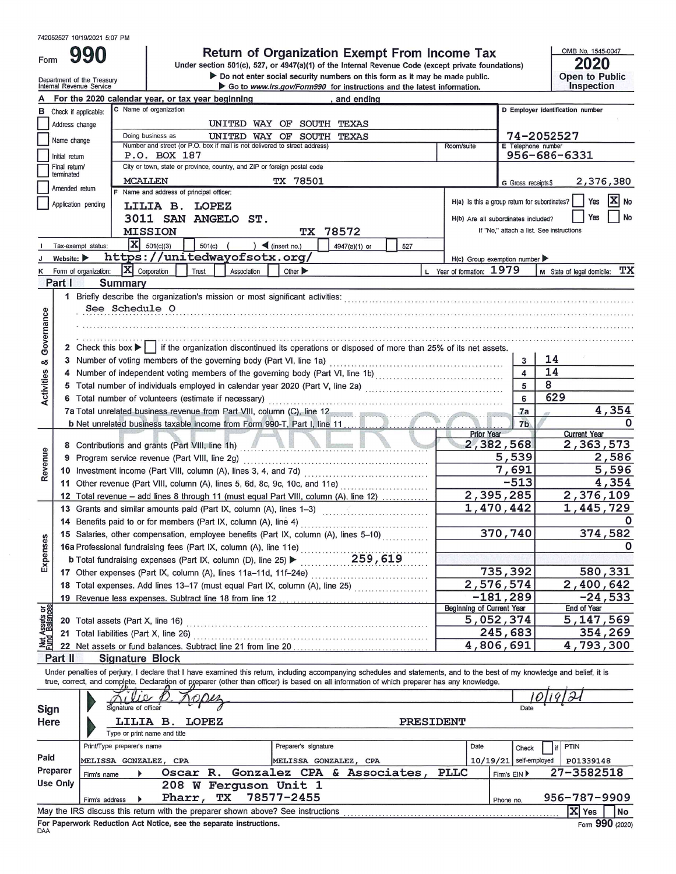990 Form

# Return of Organization Exempt From Income Tax<br>Under section 501(c), 527, or 4947(a)(1) of the Internal Revenue Code (except private foundations)

ightharpoonup be not enter social security numbers on this form as it may be made public.<br>■ Go to www.irs.gov/Form990 for instructions and the latest information.

2020 Open to Public<br>Inspection

OMB No. 1545-0047

|                                |                                | Department of the Treasury<br>Internal Revenue Service |                                                                                                                                                                                                                                                                                                                          |             |                             | $\triangleright$ Do not enter social security numbers on this form as it may be made public.<br>Go to www.irs.gov/Form990 for instructions and the latest information. |           |                                               |                                          |    | <b>Open to Public</b><br><b>Inspection</b> |           |
|--------------------------------|--------------------------------|--------------------------------------------------------|--------------------------------------------------------------------------------------------------------------------------------------------------------------------------------------------------------------------------------------------------------------------------------------------------------------------------|-------------|-----------------------------|------------------------------------------------------------------------------------------------------------------------------------------------------------------------|-----------|-----------------------------------------------|------------------------------------------|----|--------------------------------------------|-----------|
|                                |                                |                                                        | For the 2020 calendar year, or tax year beginning                                                                                                                                                                                                                                                                        |             |                             | , and ending                                                                                                                                                           |           |                                               |                                          |    |                                            |           |
|                                |                                | <b>B</b> Check if applicable:                          | C Name of organization                                                                                                                                                                                                                                                                                                   |             |                             |                                                                                                                                                                        |           |                                               |                                          |    | D Employer identification number           |           |
|                                | Address change                 |                                                        |                                                                                                                                                                                                                                                                                                                          |             | UNITED WAY OF SOUTH         | TEXAS                                                                                                                                                                  |           |                                               |                                          |    |                                            |           |
|                                |                                |                                                        | Doing business as                                                                                                                                                                                                                                                                                                        |             | UNITED WAY OF SOUTH         | TEXAS                                                                                                                                                                  |           |                                               | 74-2052527                               |    |                                            |           |
|                                | Name change                    |                                                        | Number and street (or P.O. box if mail is not delivered to street address)                                                                                                                                                                                                                                               |             |                             |                                                                                                                                                                        |           | Room/suite                                    | E Telephone number                       |    |                                            |           |
|                                | Initial return                 |                                                        | P.O. BOX 187                                                                                                                                                                                                                                                                                                             |             |                             |                                                                                                                                                                        |           |                                               | 956-686-6331                             |    |                                            |           |
|                                | Final return/<br>terminated    |                                                        | City or town, state or province, country, and ZIP or foreign postal code                                                                                                                                                                                                                                                 |             |                             |                                                                                                                                                                        |           |                                               |                                          |    |                                            |           |
|                                | Amended return                 |                                                        | MCALLEN                                                                                                                                                                                                                                                                                                                  |             | TX 78501                    |                                                                                                                                                                        |           |                                               | G Gross receipts \$                      |    | 2,376,380                                  |           |
|                                |                                | Application pending                                    | Name and address of principal officer:                                                                                                                                                                                                                                                                                   |             |                             |                                                                                                                                                                        |           | H(a) Is this a group return for subordinates? |                                          |    | Yes                                        | $X$ No    |
|                                |                                |                                                        | LILIA B. LOPEZ                                                                                                                                                                                                                                                                                                           |             |                             |                                                                                                                                                                        |           |                                               |                                          |    |                                            |           |
|                                |                                |                                                        | 3011 SAN ANGELO ST.                                                                                                                                                                                                                                                                                                      |             |                             |                                                                                                                                                                        |           | H(b) Are all subordinates included?           |                                          |    | Yes                                        | <b>No</b> |
|                                |                                |                                                        | <b>MISSION</b>                                                                                                                                                                                                                                                                                                           |             | TХ                          | 78572                                                                                                                                                                  |           |                                               | If "No," attach a list. See instructions |    |                                            |           |
|                                |                                | Tax-exempt status:                                     | $ \mathbf{X} $ 501(c)(3)<br>$501(c)$ (                                                                                                                                                                                                                                                                                   |             | $\int$ (insert no.)         | 4947(a)(1) or                                                                                                                                                          | 527       |                                               |                                          |    |                                            |           |
|                                | Website: $\blacktriangleright$ |                                                        | https://unitedwayofsotx.org/                                                                                                                                                                                                                                                                                             |             |                             |                                                                                                                                                                        |           | $H(c)$ Group exemption number                 |                                          |    |                                            |           |
|                                |                                | K Form of organization:                                | $ \mathbf{X} $ Corporation<br>Trust                                                                                                                                                                                                                                                                                      | Association | Other $\blacktriangleright$ |                                                                                                                                                                        |           | L Year of formation: 1979                     |                                          |    | M State of legal domicile:                 | ТX        |
|                                | Part I                         | Summary                                                |                                                                                                                                                                                                                                                                                                                          |             |                             |                                                                                                                                                                        |           |                                               |                                          |    |                                            |           |
|                                |                                |                                                        | 1 Briefly describe the organization's mission or most significant activities: encontractional encontractional control or most significant activities:                                                                                                                                                                    |             |                             |                                                                                                                                                                        |           |                                               |                                          |    |                                            |           |
|                                |                                | See Schedule O                                         |                                                                                                                                                                                                                                                                                                                          |             |                             |                                                                                                                                                                        |           |                                               |                                          |    |                                            |           |
|                                |                                |                                                        |                                                                                                                                                                                                                                                                                                                          |             |                             |                                                                                                                                                                        |           |                                               |                                          |    |                                            |           |
| Governance                     |                                |                                                        |                                                                                                                                                                                                                                                                                                                          |             |                             | and the theological part and and the contracted and and and and and and an any of the and an and an any of the state of the state                                      |           |                                               |                                          |    |                                            |           |
|                                |                                |                                                        | 2 Check this box     if the organization discontinued its operations or disposed of more than 25% of its net assets.                                                                                                                                                                                                     |             |                             |                                                                                                                                                                        |           |                                               |                                          |    |                                            |           |
| య                              |                                |                                                        |                                                                                                                                                                                                                                                                                                                          |             |                             |                                                                                                                                                                        |           |                                               | 3                                        | 14 |                                            |           |
|                                | 4                              |                                                        |                                                                                                                                                                                                                                                                                                                          |             |                             |                                                                                                                                                                        |           |                                               | $\overline{\mathbf{A}}$                  | 14 |                                            |           |
| <b>Activities</b>              | 5                              |                                                        |                                                                                                                                                                                                                                                                                                                          |             |                             |                                                                                                                                                                        |           |                                               | 5                                        | 8  |                                            |           |
|                                |                                | 6 Total number of volunteers (estimate if necessary)   |                                                                                                                                                                                                                                                                                                                          | 6           | 629                         |                                                                                                                                                                        |           |                                               |                                          |    |                                            |           |
|                                |                                |                                                        | 7a Total unrelated business revenue from Part VIII, column (C), line 12                                                                                                                                                                                                                                                  |             |                             |                                                                                                                                                                        |           |                                               | 7a                                       |    |                                            | 4,354     |
|                                |                                |                                                        |                                                                                                                                                                                                                                                                                                                          |             |                             |                                                                                                                                                                        |           | <b>Prior Year</b>                             | 7 <sub>b</sub>                           |    | <b>Current Year</b>                        | 0         |
|                                | 8                              |                                                        | Contributions and grants (Part VIII, line 1h)                                                                                                                                                                                                                                                                            |             |                             |                                                                                                                                                                        |           | 2,382,568                                     |                                          |    | 2,363,573                                  |           |
|                                | 9                              |                                                        | Program service revenue (Part VIII, line 2g)                                                                                                                                                                                                                                                                             |             |                             |                                                                                                                                                                        |           |                                               | 5,539                                    |    |                                            | 2,586     |
| Revenue                        |                                |                                                        |                                                                                                                                                                                                                                                                                                                          |             |                             |                                                                                                                                                                        |           |                                               | 7,691                                    |    |                                            | 5,596     |
|                                | 11                             |                                                        | Other revenue (Part VIII, column (A), lines 5, 6d, 8c, 9c, 10c, and 11e)                                                                                                                                                                                                                                                 |             |                             |                                                                                                                                                                        |           |                                               | $-513$                                   |    |                                            | 4,354     |
|                                | 12                             |                                                        | Total revenue - add lines 8 through 11 (must equal Part VIII, column (A), line 12)                                                                                                                                                                                                                                       |             |                             |                                                                                                                                                                        |           | 2,395,285                                     |                                          |    | 2,376,109                                  |           |
|                                | 13                             |                                                        | Grants and similar amounts paid (Part IX, column (A), lines 1-3)                                                                                                                                                                                                                                                         |             |                             |                                                                                                                                                                        |           | 1,470,442                                     |                                          |    | 1,445,729                                  |           |
|                                | 14                             |                                                        |                                                                                                                                                                                                                                                                                                                          |             |                             |                                                                                                                                                                        |           |                                               |                                          |    |                                            |           |
|                                |                                |                                                        | 15 Salaries, other compensation, employee benefits (Part IX, column (A), lines 5-10)                                                                                                                                                                                                                                     |             |                             |                                                                                                                                                                        |           |                                               | 370,740                                  |    | 374,582                                    |           |
|                                |                                |                                                        |                                                                                                                                                                                                                                                                                                                          |             |                             |                                                                                                                                                                        |           |                                               |                                          |    |                                            |           |
| Expenses                       |                                |                                                        | 15 Salaries, other compensations, comparison of A), line 11e)<br>16a Professional fundraising fees (Part IX, column (A), line 11e)<br>259, 619<br><b>b</b> Total fundraising expenses (Part IX, column (D), line 25) >                                                                                                   |             |                             |                                                                                                                                                                        |           |                                               |                                          |    |                                            |           |
|                                |                                |                                                        | 17 Other expenses (Part IX, column (A), lines 11a-11d, 11f-24e)                                                                                                                                                                                                                                                          |             |                             | .<br>In the company of the company of the company of the company of the company of the company of the company of th                                                    |           |                                               | 735,392                                  |    | 580,331                                    |           |
|                                |                                |                                                        | 18 Total expenses. Add lines 13-17 (must equal Part IX, column (A), line 25)                                                                                                                                                                                                                                             |             |                             |                                                                                                                                                                        |           | 2,576,574                                     |                                          |    | 2,400,642                                  |           |
|                                |                                |                                                        | 19 Revenue less expenses. Subtract line 18 from line 12                                                                                                                                                                                                                                                                  |             |                             |                                                                                                                                                                        |           | $-181,289$                                    |                                          |    |                                            | $-24,533$ |
|                                |                                |                                                        |                                                                                                                                                                                                                                                                                                                          |             |                             |                                                                                                                                                                        |           | Beginning of Current Year                     |                                          |    | End of Year                                |           |
|                                |                                | 20 Total assets (Part X, line 16)                      |                                                                                                                                                                                                                                                                                                                          |             |                             |                                                                                                                                                                        |           | 5,052,374                                     |                                          |    | 5, 147, 569                                |           |
| Net Assets or<br>Fund Balances |                                | 21 Total liabilities (Part X, line 26)                 |                                                                                                                                                                                                                                                                                                                          |             |                             |                                                                                                                                                                        |           |                                               | 245,683                                  |    |                                            | 354,269   |
|                                |                                |                                                        |                                                                                                                                                                                                                                                                                                                          |             |                             |                                                                                                                                                                        |           | 4,806,691                                     |                                          |    | 4,793,300                                  |           |
|                                | Part II                        |                                                        | <b>Signature Block</b>                                                                                                                                                                                                                                                                                                   |             |                             |                                                                                                                                                                        |           |                                               |                                          |    |                                            |           |
|                                |                                |                                                        | Under penalties of perjury, I declare that I have examined this return, including accompanying schedules and statements, and to the best of my knowledge and belief, it is<br>true, correct, and complete. Declaration of preparer (other than officer) is based on all information of which preparer has any knowledge. |             |                             |                                                                                                                                                                        |           |                                               |                                          |    |                                            |           |
| Sign                           |                                | Signature of officer                                   | 10                                                                                                                                                                                                                                                                                                                       |             |                             |                                                                                                                                                                        |           |                                               | Date                                     |    |                                            |           |
| Here                           |                                |                                                        | LILIA B.<br><b>LOPEZ</b><br>Type or print name and title                                                                                                                                                                                                                                                                 |             |                             |                                                                                                                                                                        | PRESIDENT |                                               |                                          |    |                                            |           |
|                                |                                | Print/Type preparer's name                             |                                                                                                                                                                                                                                                                                                                          |             | Preparer's signature        |                                                                                                                                                                        |           | Date                                          |                                          |    | PTIN                                       |           |
|                                |                                |                                                        |                                                                                                                                                                                                                                                                                                                          |             |                             |                                                                                                                                                                        |           |                                               | Check                                    |    |                                            |           |
| Paid                           |                                | <b>MELISSA GONZALEZ, CPA</b>                           |                                                                                                                                                                                                                                                                                                                          |             | MELISSA GONZALEZ, CPA       |                                                                                                                                                                        |           | 10/19/21                                      | self-employed                            |    | P01339148                                  |           |

| $-1.77$  | Firm's name    |        |    |                                                                                 |  | USCAL N. GUILLALEL CIA & ASSUCIALES, | ---- | FILM'S EIN F |                    | <u>EI JJULJIU</u> |            |
|----------|----------------|--------|----|---------------------------------------------------------------------------------|--|--------------------------------------|------|--------------|--------------------|-------------------|------------|
| Use Only |                |        |    | 208 W Ferguson Unit 1                                                           |  |                                      |      |              |                    |                   |            |
|          | Firm's address | Pharr, | TХ | 78577-2455                                                                      |  |                                      |      | Phone no.    | $956 - 787 - 9909$ |                   |            |
|          |                |        |    | May the IRS discuss this return with the preparer shown above? See instructions |  |                                      |      |              |                    | X Yes             | <b>INo</b> |
| DAA      |                |        |    | For Paperwork Reduction Act Notice, see the separate instructions.              |  |                                      |      |              |                    | Form 990 (2020)   |            |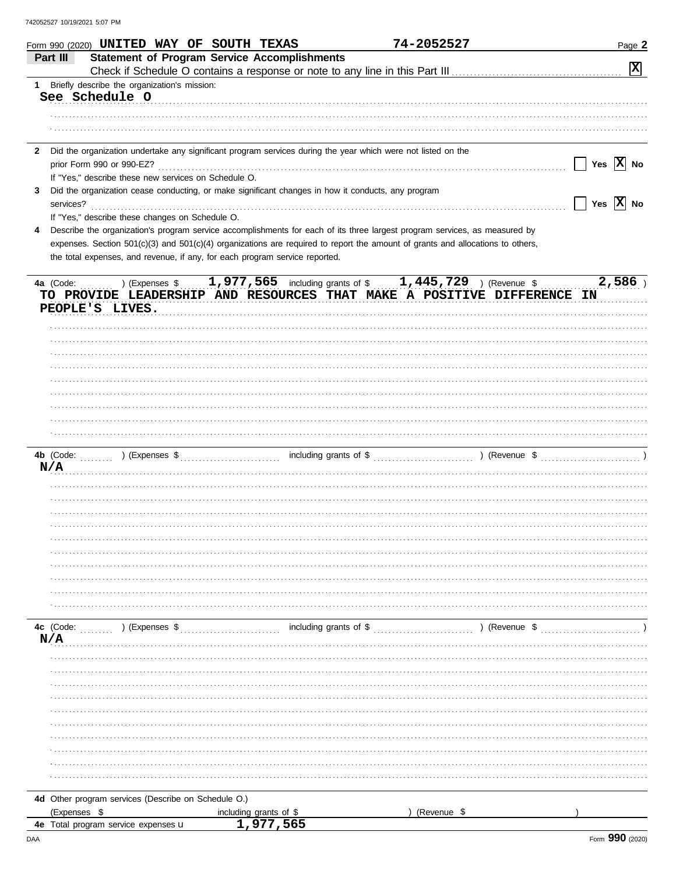|   | Form 990 (2020) UNITED WAY OF SOUTH TEXAS                                                                                                                                                                     |                        | 74-2052527    | Page 2                           |
|---|---------------------------------------------------------------------------------------------------------------------------------------------------------------------------------------------------------------|------------------------|---------------|----------------------------------|
|   | <b>Statement of Program Service Accomplishments</b><br>Part III                                                                                                                                               |                        |               | $\boxed{\mathbf{x}}$             |
|   | 1 Briefly describe the organization's mission:                                                                                                                                                                |                        |               |                                  |
|   | See Schedule O                                                                                                                                                                                                |                        |               |                                  |
|   |                                                                                                                                                                                                               |                        |               |                                  |
|   |                                                                                                                                                                                                               |                        |               |                                  |
|   | 2 Did the organization undertake any significant program services during the year which were not listed on the                                                                                                |                        |               |                                  |
|   |                                                                                                                                                                                                               |                        |               | $\Box$ Yes $\boxed{\text{X}}$ No |
|   | If "Yes," describe these new services on Schedule O.                                                                                                                                                          |                        |               |                                  |
| 3 | Did the organization cease conducting, or make significant changes in how it conducts, any program                                                                                                            |                        |               |                                  |
|   |                                                                                                                                                                                                               |                        |               | $\Box$ Yes $\boxed{\text{X}}$ No |
|   | If "Yes," describe these changes on Schedule O.                                                                                                                                                               |                        |               |                                  |
| 4 | Describe the organization's program service accomplishments for each of its three largest program services, as measured by                                                                                    |                        |               |                                  |
|   | expenses. Section 501(c)(3) and 501(c)(4) organizations are required to report the amount of grants and allocations to others,<br>the total expenses, and revenue, if any, for each program service reported. |                        |               |                                  |
|   |                                                                                                                                                                                                               |                        |               |                                  |
|   | 4a (Code:  ) (Expenses \$ 1,977,565 including grants of \$ 1,445,729 ) (Revenue \$<br>TO PROVIDE LEADERSHIP AND RESOURCES THAT MAKE A POSITIVE DIFFERENCE IN                                                  |                        |               | 2,586                            |
|   | PEOPLE'S LIVES.                                                                                                                                                                                               |                        |               |                                  |
|   |                                                                                                                                                                                                               |                        |               |                                  |
|   |                                                                                                                                                                                                               |                        |               |                                  |
|   |                                                                                                                                                                                                               |                        |               |                                  |
|   |                                                                                                                                                                                                               |                        |               |                                  |
|   |                                                                                                                                                                                                               |                        |               |                                  |
|   |                                                                                                                                                                                                               |                        |               |                                  |
|   |                                                                                                                                                                                                               |                        |               |                                  |
|   |                                                                                                                                                                                                               |                        |               |                                  |
|   |                                                                                                                                                                                                               |                        |               |                                  |
|   | N/A                                                                                                                                                                                                           |                        |               |                                  |
|   |                                                                                                                                                                                                               |                        |               |                                  |
|   |                                                                                                                                                                                                               |                        |               |                                  |
|   |                                                                                                                                                                                                               |                        |               |                                  |
|   |                                                                                                                                                                                                               |                        |               |                                  |
|   |                                                                                                                                                                                                               |                        |               |                                  |
|   |                                                                                                                                                                                                               |                        |               |                                  |
|   |                                                                                                                                                                                                               |                        |               |                                  |
|   |                                                                                                                                                                                                               |                        |               |                                  |
|   |                                                                                                                                                                                                               |                        |               |                                  |
|   |                                                                                                                                                                                                               |                        |               |                                  |
|   | 4c (Code:<br>) (Expenses \$                                                                                                                                                                                   | including grants of \$ | ) (Revenue \$ |                                  |
|   | N/A                                                                                                                                                                                                           |                        |               |                                  |
|   |                                                                                                                                                                                                               |                        |               |                                  |
|   |                                                                                                                                                                                                               |                        |               |                                  |
|   |                                                                                                                                                                                                               |                        |               |                                  |
|   |                                                                                                                                                                                                               |                        |               |                                  |
|   |                                                                                                                                                                                                               |                        |               |                                  |
|   |                                                                                                                                                                                                               |                        |               |                                  |
|   |                                                                                                                                                                                                               |                        |               |                                  |
|   |                                                                                                                                                                                                               |                        |               |                                  |
|   |                                                                                                                                                                                                               |                        |               |                                  |
|   | 4d Other program services (Describe on Schedule O.)                                                                                                                                                           |                        |               |                                  |
|   | (Expenses \$                                                                                                                                                                                                  | including grants of \$ | (Revenue \$   |                                  |
|   | 4e Total program service expenses u                                                                                                                                                                           | 1,977,565              |               |                                  |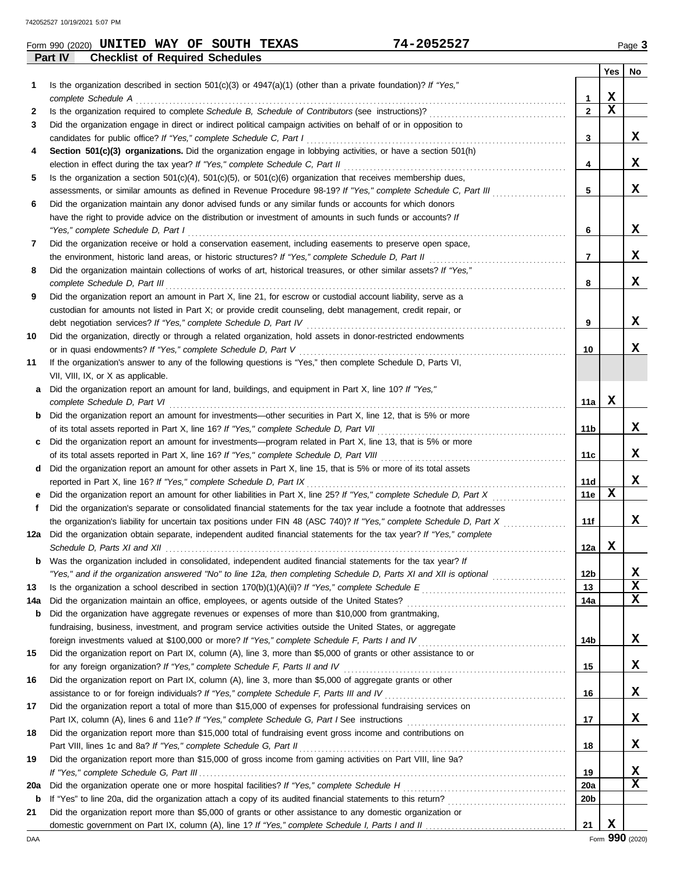**Part IV Checklist of Required Schedules**

|     |                                                                                                                                          |                 | Yes | No |
|-----|------------------------------------------------------------------------------------------------------------------------------------------|-----------------|-----|----|
| 1   | Is the organization described in section $501(c)(3)$ or $4947(a)(1)$ (other than a private foundation)? If "Yes,"<br>complete Schedule A | 1               | X   |    |
| 2   |                                                                                                                                          | $\overline{2}$  | X   |    |
| 3   | Did the organization engage in direct or indirect political campaign activities on behalf of or in opposition to                         |                 |     |    |
|     | candidates for public office? If "Yes," complete Schedule C, Part I                                                                      | 3               |     | X  |
| 4   | Section 501(c)(3) organizations. Did the organization engage in lobbying activities, or have a section 501(h)                            |                 |     |    |
|     |                                                                                                                                          | 4               |     | x  |
| 5   | Is the organization a section $501(c)(4)$ , $501(c)(5)$ , or $501(c)(6)$ organization that receives membership dues,                     |                 |     |    |
|     | assessments, or similar amounts as defined in Revenue Procedure 98-19? If "Yes," complete Schedule C, Part III                           | 5               |     | X  |
| 6   | Did the organization maintain any donor advised funds or any similar funds or accounts for which donors                                  |                 |     |    |
|     | have the right to provide advice on the distribution or investment of amounts in such funds or accounts? If                              |                 |     |    |
|     | "Yes," complete Schedule D, Part I                                                                                                       | 6               |     | X  |
| 7   | Did the organization receive or hold a conservation easement, including easements to preserve open space,                                |                 |     |    |
|     |                                                                                                                                          | 7               |     | X  |
| 8   | Did the organization maintain collections of works of art, historical treasures, or other similar assets? If "Yes,"                      |                 |     |    |
|     | complete Schedule D, Part III                                                                                                            | 8               |     | x  |
| 9   | Did the organization report an amount in Part X, line 21, for escrow or custodial account liability, serve as a                          |                 |     |    |
|     | custodian for amounts not listed in Part X; or provide credit counseling, debt management, credit repair, or                             |                 |     |    |
|     | debt negotiation services? If "Yes," complete Schedule D, Part IV                                                                        | 9               |     | x  |
| 10  | Did the organization, directly or through a related organization, hold assets in donor-restricted endowments                             |                 |     |    |
|     | or in quasi endowments? If "Yes," complete Schedule D, Part V                                                                            | 10              |     | x  |
| 11  | If the organization's answer to any of the following questions is "Yes," then complete Schedule D, Parts VI,                             |                 |     |    |
|     | VII, VIII, IX, or X as applicable.                                                                                                       |                 |     |    |
| a   | Did the organization report an amount for land, buildings, and equipment in Part X, line 10? If "Yes,"<br>complete Schedule D, Part VI   |                 | X   |    |
|     | Did the organization report an amount for investments—other securities in Part X, line 12, that is 5% or more                            | 11a             |     |    |
| b   |                                                                                                                                          | 11 b            |     | X  |
| c   | Did the organization report an amount for investments—program related in Part X, line 13, that is 5% or more                             |                 |     |    |
|     |                                                                                                                                          | 11c             |     | X  |
| d   | Did the organization report an amount for other assets in Part X, line 15, that is 5% or more of its total assets                        |                 |     |    |
|     | reported in Part X, line 16? If "Yes," complete Schedule D, Part IX                                                                      | 11d             |     | X  |
|     |                                                                                                                                          | 11e             | х   |    |
| f   | Did the organization's separate or consolidated financial statements for the tax year include a footnote that addresses                  |                 |     |    |
|     |                                                                                                                                          | 11f             |     | x  |
| 12a | Did the organization obtain separate, independent audited financial statements for the tax year? If "Yes," complete                      |                 |     |    |
|     |                                                                                                                                          | 12a             | X   |    |
| b   | Was the organization included in consolidated, independent audited financial statements for the tax year? If                             |                 |     |    |
|     |                                                                                                                                          | 12b             |     | X  |
| 13  |                                                                                                                                          | 13              |     | X  |
| 14a |                                                                                                                                          | 14a             |     | x  |
| b   | Did the organization have aggregate revenues or expenses of more than \$10,000 from grantmaking,                                         |                 |     |    |
|     | fundraising, business, investment, and program service activities outside the United States, or aggregate                                |                 |     |    |
|     |                                                                                                                                          | 14b             |     | X  |
| 15  | Did the organization report on Part IX, column (A), line 3, more than \$5,000 of grants or other assistance to or                        |                 |     | X  |
|     |                                                                                                                                          | 15              |     |    |
| 16  | Did the organization report on Part IX, column (A), line 3, more than \$5,000 of aggregate grants or other                               | 16              |     | X  |
| 17  | Did the organization report a total of more than \$15,000 of expenses for professional fundraising services on                           |                 |     |    |
|     |                                                                                                                                          | 17              |     | X  |
| 18  | Did the organization report more than \$15,000 total of fundraising event gross income and contributions on                              |                 |     |    |
|     |                                                                                                                                          | 18              |     | x  |
| 19  | Did the organization report more than \$15,000 of gross income from gaming activities on Part VIII, line 9a?                             |                 |     |    |
|     |                                                                                                                                          | 19              |     | X  |
| 20a |                                                                                                                                          | 20a             |     | X  |
| b   |                                                                                                                                          | 20 <sub>b</sub> |     |    |
| 21  | Did the organization report more than \$5,000 of grants or other assistance to any domestic organization or                              |                 |     |    |
|     |                                                                                                                                          | 21              | X   |    |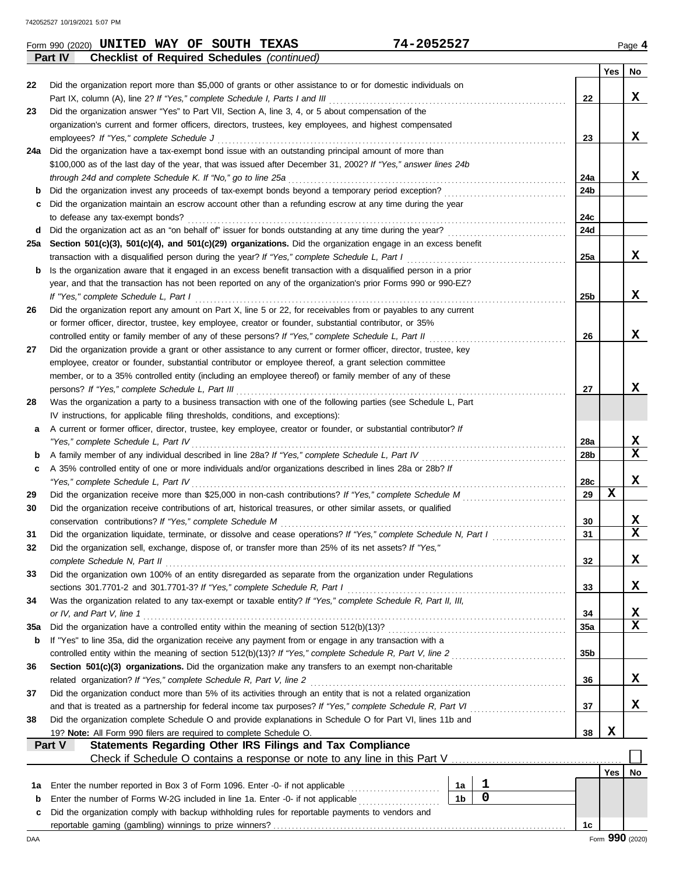| 22  | Did the organization report more than \$5,000 of grants or other assistance to or for domestic individuals on                                                                                                                    |                |           |  | 22              |            | x  |  |  |  |  |  |
|-----|----------------------------------------------------------------------------------------------------------------------------------------------------------------------------------------------------------------------------------|----------------|-----------|--|-----------------|------------|----|--|--|--|--|--|
|     | Part IX, column (A), line 2? If "Yes," complete Schedule I, Parts I and III<br>Did the organization answer "Yes" to Part VII, Section A, line 3, 4, or 5 about compensation of the                                               |                |           |  |                 |            |    |  |  |  |  |  |
| 23  |                                                                                                                                                                                                                                  |                |           |  |                 |            |    |  |  |  |  |  |
|     | organization's current and former officers, directors, trustees, key employees, and highest compensated                                                                                                                          |                |           |  |                 |            |    |  |  |  |  |  |
|     | employees? If "Yes," complete Schedule J                                                                                                                                                                                         |                |           |  | 23              |            | x  |  |  |  |  |  |
| 24a | Did the organization have a tax-exempt bond issue with an outstanding principal amount of more than<br>\$100,000 as of the last day of the year, that was issued after December 31, 2002? If "Yes," answer lines 24b             |                |           |  |                 |            |    |  |  |  |  |  |
|     |                                                                                                                                                                                                                                  |                |           |  | 24a             |            | x  |  |  |  |  |  |
| b   | through 24d and complete Schedule K. If "No," go to line 25a<br>Did the organization invest any proceeds of tax-exempt bonds beyond a temporary period exception?                                                                |                |           |  | 24b             |            |    |  |  |  |  |  |
| c   | Did the organization maintain an escrow account other than a refunding escrow at any time during the year                                                                                                                        |                |           |  |                 |            |    |  |  |  |  |  |
|     | to defease any tax-exempt bonds?                                                                                                                                                                                                 |                |           |  | 24c             |            |    |  |  |  |  |  |
| d   |                                                                                                                                                                                                                                  |                |           |  | 24d             |            |    |  |  |  |  |  |
| 25a | Section 501(c)(3), 501(c)(4), and 501(c)(29) organizations. Did the organization engage in an excess benefit                                                                                                                     |                |           |  |                 |            |    |  |  |  |  |  |
|     | transaction with a disqualified person during the year? If "Yes," complete Schedule L, Part I                                                                                                                                    |                |           |  | 25a             |            | x  |  |  |  |  |  |
| b   | Is the organization aware that it engaged in an excess benefit transaction with a disqualified person in a prior                                                                                                                 |                |           |  |                 |            |    |  |  |  |  |  |
|     | year, and that the transaction has not been reported on any of the organization's prior Forms 990 or 990-EZ?                                                                                                                     |                |           |  |                 |            |    |  |  |  |  |  |
|     | If "Yes," complete Schedule L, Part I                                                                                                                                                                                            |                |           |  | 25 <sub>b</sub> |            | x  |  |  |  |  |  |
| 26  | Did the organization report any amount on Part X, line 5 or 22, for receivables from or payables to any current                                                                                                                  |                |           |  |                 |            |    |  |  |  |  |  |
|     | or former officer, director, trustee, key employee, creator or founder, substantial contributor, or 35%                                                                                                                          |                |           |  |                 |            |    |  |  |  |  |  |
|     | controlled entity or family member of any of these persons? If "Yes," complete Schedule L, Part II                                                                                                                               |                |           |  | 26              |            | x  |  |  |  |  |  |
| 27  | Did the organization provide a grant or other assistance to any current or former officer, director, trustee, key                                                                                                                |                |           |  |                 |            |    |  |  |  |  |  |
|     | employee, creator or founder, substantial contributor or employee thereof, a grant selection committee                                                                                                                           |                |           |  |                 |            |    |  |  |  |  |  |
|     | member, or to a 35% controlled entity (including an employee thereof) or family member of any of these                                                                                                                           |                |           |  |                 |            |    |  |  |  |  |  |
|     | persons? If "Yes," complete Schedule L, Part III                                                                                                                                                                                 |                |           |  | 27              |            | X  |  |  |  |  |  |
| 28  | Was the organization a party to a business transaction with one of the following parties (see Schedule L, Part                                                                                                                   |                |           |  |                 |            |    |  |  |  |  |  |
|     | IV instructions, for applicable filing thresholds, conditions, and exceptions):                                                                                                                                                  |                |           |  |                 |            |    |  |  |  |  |  |
| а   | A current or former officer, director, trustee, key employee, creator or founder, or substantial contributor? If<br>"Yes," complete Schedule L, Part IV                                                                          |                |           |  | 28a             |            | x  |  |  |  |  |  |
| b   |                                                                                                                                                                                                                                  |                |           |  | 28b             |            | X  |  |  |  |  |  |
| c   | A 35% controlled entity of one or more individuals and/or organizations described in lines 28a or 28b? If                                                                                                                        |                |           |  |                 |            |    |  |  |  |  |  |
|     | "Yes," complete Schedule L, Part IV                                                                                                                                                                                              |                |           |  | 28c             |            | x  |  |  |  |  |  |
| 29  |                                                                                                                                                                                                                                  |                |           |  | 29              | х          |    |  |  |  |  |  |
| 30  | Did the organization receive contributions of art, historical treasures, or other similar assets, or qualified                                                                                                                   |                |           |  |                 |            |    |  |  |  |  |  |
|     | conservation contributions? If "Yes," complete Schedule M                                                                                                                                                                        |                |           |  | 30              |            | X  |  |  |  |  |  |
| 31  | Did the organization liquidate, terminate, or dissolve and cease operations? If "Yes," complete Schedule N, Part I                                                                                                               |                |           |  | 31              |            | X  |  |  |  |  |  |
| 32  | Did the organization sell, exchange, dispose of, or transfer more than 25% of its net assets? If "Yes,"                                                                                                                          |                |           |  |                 |            |    |  |  |  |  |  |
|     | complete Schedule N, Part II                                                                                                                                                                                                     |                |           |  | 32              |            | X  |  |  |  |  |  |
| 33  | Did the organization own 100% of an entity disregarded as separate from the organization under Regulations                                                                                                                       |                |           |  |                 |            |    |  |  |  |  |  |
|     | sections 301.7701-2 and 301.7701-3? If "Yes," complete Schedule R, Part I                                                                                                                                                        |                |           |  | 33              |            | X  |  |  |  |  |  |
| 34  | Was the organization related to any tax-exempt or taxable entity? If "Yes," complete Schedule R, Part II, III,                                                                                                                   |                |           |  |                 |            |    |  |  |  |  |  |
|     | or IV, and Part V, line 1                                                                                                                                                                                                        |                |           |  | 34              |            | X  |  |  |  |  |  |
| 35a |                                                                                                                                                                                                                                  |                |           |  | 35a             |            | X  |  |  |  |  |  |
| b   | If "Yes" to line 35a, did the organization receive any payment from or engage in any transaction with a                                                                                                                          |                |           |  |                 |            |    |  |  |  |  |  |
|     | controlled entity within the meaning of section 512(b)(13)? If "Yes," complete Schedule R, Part V, line 2                                                                                                                        |                |           |  | 35b             |            |    |  |  |  |  |  |
| 36  | Section 501(c)(3) organizations. Did the organization make any transfers to an exempt non-charitable                                                                                                                             |                |           |  |                 |            | X  |  |  |  |  |  |
|     |                                                                                                                                                                                                                                  |                |           |  | 36              |            |    |  |  |  |  |  |
| 37  | Did the organization conduct more than 5% of its activities through an entity that is not a related organization<br>and that is treated as a partnership for federal income tax purposes? If "Yes," complete Schedule R, Part VI |                |           |  | 37              |            | X  |  |  |  |  |  |
| 38  | Did the organization complete Schedule O and provide explanations in Schedule O for Part VI, lines 11b and                                                                                                                       |                |           |  |                 |            |    |  |  |  |  |  |
|     | 19? Note: All Form 990 filers are required to complete Schedule O.                                                                                                                                                               |                |           |  | 38              | X          |    |  |  |  |  |  |
|     | <b>Statements Regarding Other IRS Filings and Tax Compliance</b><br>Part V                                                                                                                                                       |                |           |  |                 |            |    |  |  |  |  |  |
|     |                                                                                                                                                                                                                                  |                |           |  |                 |            |    |  |  |  |  |  |
|     |                                                                                                                                                                                                                                  |                |           |  |                 | <b>Yes</b> | No |  |  |  |  |  |
| 1а  | Enter the number reported in Box 3 of Form 1096. Enter -0- if not applicable                                                                                                                                                     | 1a             | 1         |  |                 |            |    |  |  |  |  |  |
| b   | Enter the number of Forms W-2G included in line 1a. Enter -0- if not applicable <i>minimization</i>                                                                                                                              | 1 <sub>b</sub> | $\pmb{0}$ |  |                 |            |    |  |  |  |  |  |
| с   | Did the organization comply with backup withholding rules for reportable payments to vendors and                                                                                                                                 |                |           |  |                 |            |    |  |  |  |  |  |
|     |                                                                                                                                                                                                                                  |                |           |  | 1c              |            |    |  |  |  |  |  |

**Part IV Checklist of Required Schedules** *(continued)*

**Yes No**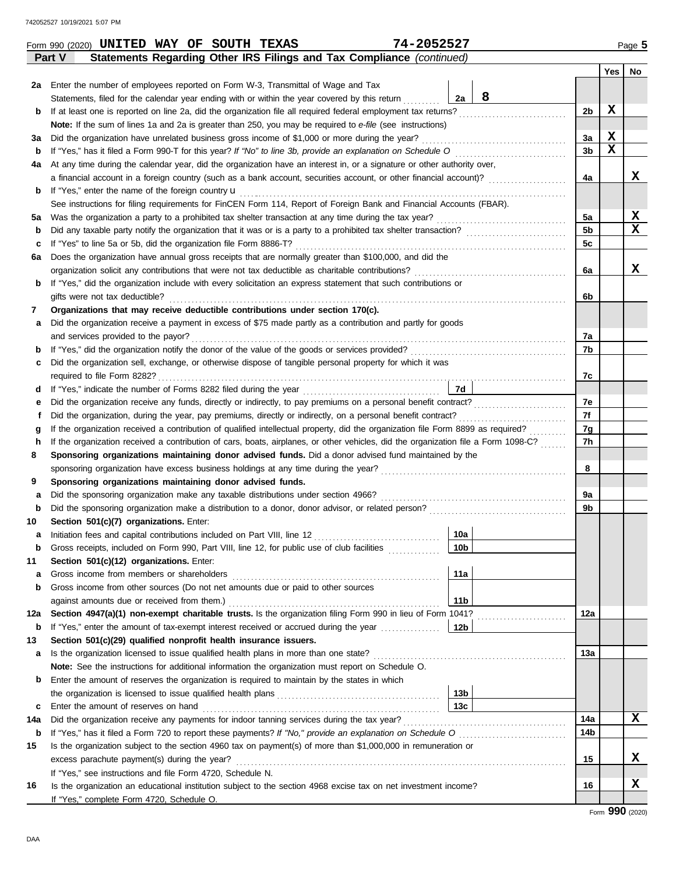|             | Statements Regarding Other IRS Filings and Tax Compliance (continued)<br>Part V                                                    |                 |   |                |             |             |
|-------------|------------------------------------------------------------------------------------------------------------------------------------|-----------------|---|----------------|-------------|-------------|
|             |                                                                                                                                    |                 |   |                | Yes         | No.         |
| 2a          | Enter the number of employees reported on Form W-3, Transmittal of Wage and Tax                                                    |                 |   |                |             |             |
|             | Statements, filed for the calendar year ending with or within the year covered by this return                                      | 2a              | 8 |                |             |             |
| b           | If at least one is reported on line 2a, did the organization file all required federal employment tax returns?                     |                 |   | 2b             | X           |             |
|             | Note: If the sum of lines 1a and 2a is greater than 250, you may be required to e-file (see instructions)                          |                 |   |                |             |             |
| за          | Did the organization have unrelated business gross income of \$1,000 or more during the year?                                      |                 |   | За             | X           |             |
| b           |                                                                                                                                    |                 |   | 3b             | $\mathbf x$ |             |
| 4a          | At any time during the calendar year, did the organization have an interest in, or a signature or other authority over,            |                 |   |                |             |             |
|             | a financial account in a foreign country (such as a bank account, securities account, or other financial account)?                 |                 |   | 4a             |             | X.          |
| b           | If "Yes," enter the name of the foreign country <b>u</b>                                                                           |                 |   |                |             |             |
|             | See instructions for filing requirements for FinCEN Form 114, Report of Foreign Bank and Financial Accounts (FBAR).                |                 |   |                |             |             |
| 5а          |                                                                                                                                    |                 |   | 5a             |             | X           |
| b           |                                                                                                                                    |                 |   | 5 <sub>b</sub> |             | $\mathbf x$ |
| c           | If "Yes" to line 5a or 5b, did the organization file Form 8886-T?                                                                  |                 |   | 5c             |             |             |
| 6а          | Does the organization have annual gross receipts that are normally greater than \$100,000, and did the                             |                 |   |                |             |             |
|             | organization solicit any contributions that were not tax deductible as charitable contributions?                                   |                 |   | 6a             |             | X.          |
| b           | If "Yes," did the organization include with every solicitation an express statement that such contributions or                     |                 |   |                |             |             |
|             | gifts were not tax deductible?                                                                                                     |                 |   | 6b             |             |             |
| 7           | Organizations that may receive deductible contributions under section 170(c).                                                      |                 |   |                |             |             |
| а           | Did the organization receive a payment in excess of \$75 made partly as a contribution and partly for goods                        |                 |   |                |             |             |
|             | and services provided to the payor?                                                                                                |                 |   | 7а             |             |             |
| b           |                                                                                                                                    |                 |   | 7b             |             |             |
| c           | Did the organization sell, exchange, or otherwise dispose of tangible personal property for which it was                           |                 |   |                |             |             |
|             |                                                                                                                                    |                 |   | 7c             |             |             |
| d           |                                                                                                                                    | <b>7d</b>       |   |                |             |             |
| е           |                                                                                                                                    |                 |   | 7e             |             |             |
| f           | Did the organization, during the year, pay premiums, directly or indirectly, on a personal benefit contract?                       |                 |   | 7f             |             |             |
| g           | If the organization received a contribution of qualified intellectual property, did the organization file Form 8899 as required?   |                 |   | 7g             |             |             |
| h           | If the organization received a contribution of cars, boats, airplanes, or other vehicles, did the organization file a Form 1098-C? |                 |   | 7h             |             |             |
| 8           | Sponsoring organizations maintaining donor advised funds. Did a donor advised fund maintained by the                               |                 |   |                |             |             |
|             |                                                                                                                                    |                 |   | 8              |             |             |
| 9           | Sponsoring organizations maintaining donor advised funds.                                                                          |                 |   |                |             |             |
| а           | Did the sponsoring organization make any taxable distributions under section 4966?                                                 |                 |   | 9a             |             |             |
| b           |                                                                                                                                    |                 |   | 9b             |             |             |
| 10          | Section 501(c)(7) organizations. Enter:                                                                                            |                 |   |                |             |             |
| а           |                                                                                                                                    | 10a             |   |                |             |             |
|             | Gross receipts, included on Form 990, Part VIII, line 12, for public use of club facilities                                        | 10 <sub>b</sub> |   |                |             |             |
| 11          | Section 501(c)(12) organizations. Enter:                                                                                           |                 |   |                |             |             |
| а           | Gross income from members or shareholders                                                                                          | 11a             |   |                |             |             |
| b           | Gross income from other sources (Do not net amounts due or paid to other sources                                                   |                 |   |                |             |             |
|             | against amounts due or received from them.)                                                                                        | 11 <sub>b</sub> |   |                |             |             |
| 12a         | Section 4947(a)(1) non-exempt charitable trusts. Is the organization filing Form 990 in lieu of Form 1041?                         |                 |   | 12a            |             |             |
| b           | If "Yes," enter the amount of tax-exempt interest received or accrued during the year                                              | 12 <sub>b</sub> |   |                |             |             |
| 13          | Section 501(c)(29) qualified nonprofit health insurance issuers.                                                                   |                 |   |                |             |             |
| а           | Is the organization licensed to issue qualified health plans in more than one state?                                               |                 |   | 13a            |             |             |
|             | Note: See the instructions for additional information the organization must report on Schedule O.                                  |                 |   |                |             |             |
| b           | Enter the amount of reserves the organization is required to maintain by the states in which                                       |                 |   |                |             |             |
|             |                                                                                                                                    | 13 <sub>b</sub> |   |                |             |             |
| c           |                                                                                                                                    | 13 <sub>c</sub> |   |                |             |             |
| 14a         | Did the organization receive any payments for indoor tanning services during the tax year?                                         |                 |   | 14a            |             | X           |
| $\mathbf b$ | If "Yes," has it filed a Form 720 to report these payments? If "No," provide an explanation on Schedule O                          |                 |   | 14b            |             |             |
| 15          | Is the organization subject to the section 4960 tax on payment(s) of more than \$1,000,000 in remuneration or                      |                 |   |                |             |             |
|             | excess parachute payment(s) during the year?                                                                                       |                 |   | 15             |             | x           |
|             | If "Yes," see instructions and file Form 4720, Schedule N.                                                                         |                 |   |                |             |             |
| 16          | Is the organization an educational institution subject to the section 4968 excise tax on net investment income?                    |                 |   | 16             |             | X.          |
|             | If "Yes," complete Form 4720, Schedule O.                                                                                          |                 |   |                |             |             |
|             |                                                                                                                                    |                 |   |                |             |             |

Form 990 (2020) Page **5 UNITED WAY OF SOUTH TEXAS 74-2052527**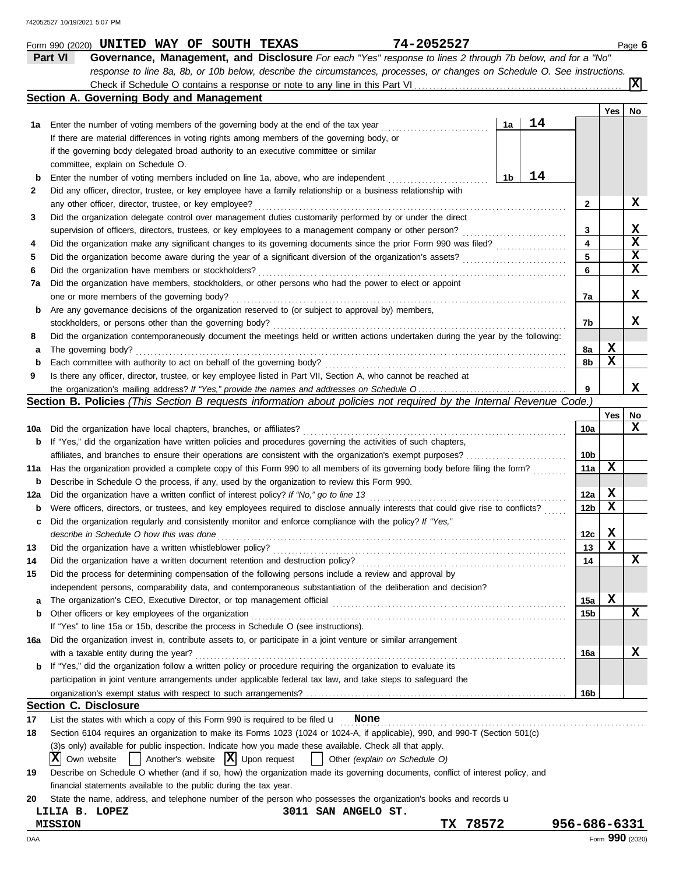|        | 74-2052527<br>Form 990 (2020) UNITED WAY OF SOUTH TEXAS                                                                             |    |    |                 |     | Page 6          |
|--------|-------------------------------------------------------------------------------------------------------------------------------------|----|----|-----------------|-----|-----------------|
|        | Part VI<br>Governance, Management, and Disclosure For each "Yes" response to lines 2 through 7b below, and for a "No"               |    |    |                 |     |                 |
|        | response to line 8a, 8b, or 10b below, describe the circumstances, processes, or changes on Schedule O. See instructions.           |    |    |                 |     |                 |
|        |                                                                                                                                     |    |    |                 |     | $ \mathbf{x} $  |
|        | Section A. Governing Body and Management                                                                                            |    |    |                 |     |                 |
|        |                                                                                                                                     |    |    |                 | Yes | No              |
| 1а     | Enter the number of voting members of the governing body at the end of the tax year                                                 | 1a | 14 |                 |     |                 |
|        | If there are material differences in voting rights among members of the governing body, or                                          |    |    |                 |     |                 |
|        | if the governing body delegated broad authority to an executive committee or similar                                                |    |    |                 |     |                 |
|        | committee, explain on Schedule O.                                                                                                   |    |    |                 |     |                 |
| b      | Enter the number of voting members included on line 1a, above, who are independent                                                  | 1b | 14 |                 |     |                 |
| 2      | Did any officer, director, trustee, or key employee have a family relationship or a business relationship with                      |    |    |                 |     |                 |
|        | any other officer, director, trustee, or key employee?                                                                              |    |    | $\mathbf{2}$    |     | x               |
| 3      | Did the organization delegate control over management duties customarily performed by or under the direct                           |    |    |                 |     |                 |
|        | supervision of officers, directors, trustees, or key employees to a management company or other person?                             |    |    | 3               |     | X               |
| 4      |                                                                                                                                     |    |    | 4               |     | X               |
| 5      |                                                                                                                                     |    |    | 5               |     | X               |
| 6      | Did the organization have members or stockholders?                                                                                  |    |    | 6               |     | X               |
| 7a     | Did the organization have members, stockholders, or other persons who had the power to elect or appoint                             |    |    |                 |     |                 |
|        | one or more members of the governing body?                                                                                          |    |    | 7a              |     | x               |
| b      | Are any governance decisions of the organization reserved to (or subject to approval by) members,                                   |    |    |                 |     |                 |
|        | stockholders, or persons other than the governing body?                                                                             |    |    | 7b              |     | X.              |
| 8      | Did the organization contemporaneously document the meetings held or written actions undertaken during the year by the following:   |    |    |                 |     |                 |
| a      | The governing body?                                                                                                                 |    |    | 8a              | X   |                 |
|        | Each committee with authority to act on behalf of the governing body?                                                               |    |    | 8b              | х   |                 |
| b<br>9 | Is there any officer, director, trustee, or key employee listed in Part VII, Section A, who cannot be reached at                    |    |    |                 |     |                 |
|        |                                                                                                                                     |    |    | 9               |     | x               |
|        | Section B. Policies (This Section B requests information about policies not required by the Internal Revenue Code.)                 |    |    |                 |     |                 |
|        |                                                                                                                                     |    |    |                 |     |                 |
|        |                                                                                                                                     |    |    |                 | Yes | No<br>x         |
| 10a    | Did the organization have local chapters, branches, or affiliates?                                                                  |    |    | 10a             |     |                 |
| b      | If "Yes," did the organization have written policies and procedures governing the activities of such chapters,                      |    |    |                 |     |                 |
|        |                                                                                                                                     |    |    | 10 <sub>b</sub> | x   |                 |
| 11a    | Has the organization provided a complete copy of this Form 990 to all members of its governing body before filing the form?         |    |    | 11a             |     |                 |
| b      | Describe in Schedule O the process, if any, used by the organization to review this Form 990.                                       |    |    |                 |     |                 |
| 12a    | Did the organization have a written conflict of interest policy? If "No," go to line 13                                             |    |    | 12a             | X   |                 |
| b      | Were officers, directors, or trustees, and key employees required to disclose annually interests that could give rise to conflicts? |    |    | 12b             | x   |                 |
| c      | Did the organization regularly and consistently monitor and enforce compliance with the policy? If "Yes,"                           |    |    |                 |     |                 |
|        | describe in Schedule O how this was done                                                                                            |    |    | 12c             | X   |                 |
| 13     | Did the organization have a written whistleblower policy?                                                                           |    |    | 13              | X   |                 |
| 14     | Did the organization have a written document retention and destruction policy?                                                      |    |    | 14              |     | x               |
| 15     | Did the process for determining compensation of the following persons include a review and approval by                              |    |    |                 |     |                 |
|        | independent persons, comparability data, and contemporaneous substantiation of the deliberation and decision?                       |    |    |                 |     |                 |
| a      |                                                                                                                                     |    |    | 15a             | X   |                 |
| b      | Other officers or key employees of the organization                                                                                 |    |    | 15b             |     | X               |
|        | If "Yes" to line 15a or 15b, describe the process in Schedule O (see instructions).                                                 |    |    |                 |     |                 |
| 16a    | Did the organization invest in, contribute assets to, or participate in a joint venture or similar arrangement                      |    |    |                 |     |                 |
|        | with a taxable entity during the year?                                                                                              |    |    | 16a             |     | X               |
| b      | If "Yes," did the organization follow a written policy or procedure requiring the organization to evaluate its                      |    |    |                 |     |                 |
|        | participation in joint venture arrangements under applicable federal tax law, and take steps to safeguard the                       |    |    |                 |     |                 |
|        |                                                                                                                                     |    |    | 16b             |     |                 |
|        | <b>Section C. Disclosure</b>                                                                                                        |    |    |                 |     |                 |
| 17     | List the states with which a copy of this Form 990 is required to be filed $\mathbf u$ None                                         |    |    |                 |     |                 |
| 18     | Section 6104 requires an organization to make its Forms 1023 (1024 or 1024-A, if applicable), 990, and 990-T (Section 501(c)        |    |    |                 |     |                 |
|        | (3)s only) available for public inspection. Indicate how you made these available. Check all that apply.                            |    |    |                 |     |                 |
|        | $\vert$ Another's website $\vert X \vert$ Upon request<br>ΙXΙ<br>Own website<br>Other (explain on Schedule O)                       |    |    |                 |     |                 |
| 19     | Describe on Schedule O whether (and if so, how) the organization made its governing documents, conflict of interest policy, and     |    |    |                 |     |                 |
|        | financial statements available to the public during the tax year.                                                                   |    |    |                 |     |                 |
| 20     | State the name, address, and telephone number of the person who possesses the organization's books and records u                    |    |    |                 |     |                 |
|        | LILIA B. LOPEZ<br><b>3011 SAN ANGELO ST.</b>                                                                                        |    |    |                 |     |                 |
|        | 78572<br>TX.<br><b>MISSION</b>                                                                                                      |    |    | 956-686-6331    |     |                 |
| DAA    |                                                                                                                                     |    |    |                 |     | Form 990 (2020) |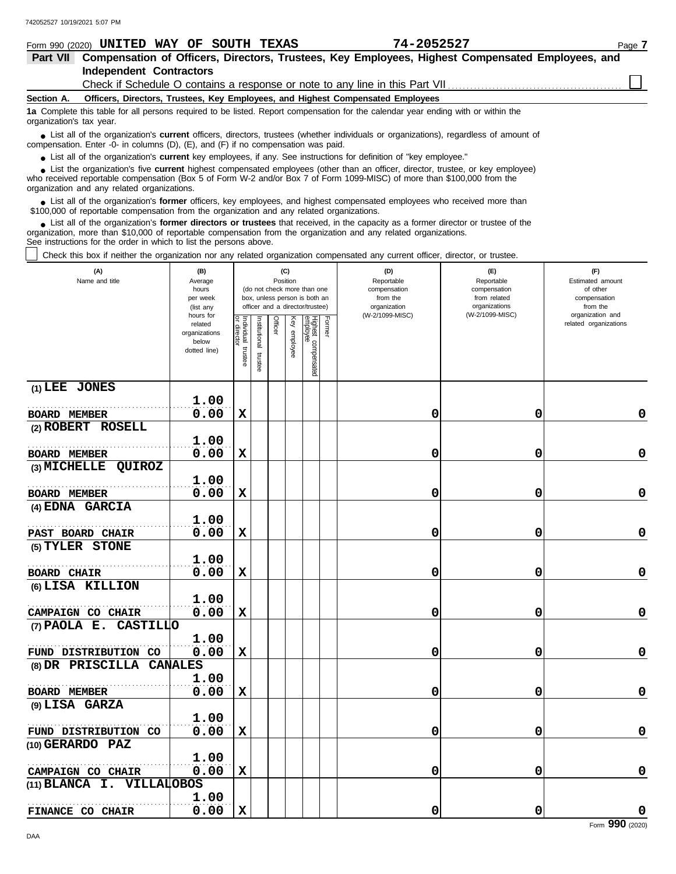| Form 990 (2020) UNITED WAY OF SOUTH TEXAS                                                                                                                                                                                                                                                                                   |                       |                        |                       |                |              |                                                              |        | 74-2052527                                                                      |                              | Page 7                                    |
|-----------------------------------------------------------------------------------------------------------------------------------------------------------------------------------------------------------------------------------------------------------------------------------------------------------------------------|-----------------------|------------------------|-----------------------|----------------|--------------|--------------------------------------------------------------|--------|---------------------------------------------------------------------------------|------------------------------|-------------------------------------------|
| Part VII Compensation of Officers, Directors, Trustees, Key Employees, Highest Compensated Employees, and                                                                                                                                                                                                                   |                       |                        |                       |                |              |                                                              |        |                                                                                 |                              |                                           |
| <b>Independent Contractors</b>                                                                                                                                                                                                                                                                                              |                       |                        |                       |                |              |                                                              |        |                                                                                 |                              |                                           |
|                                                                                                                                                                                                                                                                                                                             |                       |                        |                       |                |              |                                                              |        | Check if Schedule O contains a response or note to any line in this Part VII    |                              |                                           |
| Section A.                                                                                                                                                                                                                                                                                                                  |                       |                        |                       |                |              |                                                              |        | Officers, Directors, Trustees, Key Employees, and Highest Compensated Employees |                              |                                           |
| 1a Complete this table for all persons required to be listed. Report compensation for the calendar year ending with or within the<br>organization's tax year.                                                                                                                                                               |                       |                        |                       |                |              |                                                              |        |                                                                                 |                              |                                           |
| • List all of the organization's <b>current</b> officers, directors, trustees (whether individuals or organizations), regardless of amount of<br>compensation. Enter -0- in columns (D), (E), and (F) if no compensation was paid.                                                                                          |                       |                        |                       |                |              |                                                              |        |                                                                                 |                              |                                           |
| • List all of the organization's current key employees, if any. See instructions for definition of "key employee."                                                                                                                                                                                                          |                       |                        |                       |                |              |                                                              |        |                                                                                 |                              |                                           |
| • List the organization's five current highest compensated employees (other than an officer, director, trustee, or key employee)<br>who received reportable compensation (Box 5 of Form W-2 and/or Box 7 of Form 1099-MISC) of more than \$100,000 from the<br>organization and any related organizations.                  |                       |                        |                       |                |              |                                                              |        |                                                                                 |                              |                                           |
| • List all of the organization's former officers, key employees, and highest compensated employees who received more than<br>\$100,000 of reportable compensation from the organization and any related organizations.                                                                                                      |                       |                        |                       |                |              |                                                              |        |                                                                                 |                              |                                           |
| List all of the organization's former directors or trustees that received, in the capacity as a former director or trustee of the<br>organization, more than \$10,000 of reportable compensation from the organization and any related organizations.<br>See instructions for the order in which to list the persons above. |                       |                        |                       |                |              |                                                              |        |                                                                                 |                              |                                           |
| Check this box if neither the organization nor any related organization compensated any current officer, director, or trustee.                                                                                                                                                                                              |                       |                        |                       |                |              |                                                              |        |                                                                                 |                              |                                           |
| (A)                                                                                                                                                                                                                                                                                                                         | (B)                   |                        |                       |                | (C)          |                                                              |        | (D)                                                                             | (E)                          | (F)                                       |
| Name and title                                                                                                                                                                                                                                                                                                              | Average               |                        |                       |                | Position     |                                                              |        | Reportable                                                                      | Reportable                   | Estimated amount                          |
|                                                                                                                                                                                                                                                                                                                             | hours<br>per week     |                        |                       |                |              | (do not check more than one<br>box, unless person is both an |        | compensation<br>from the                                                        | compensation<br>from related | of other<br>compensation                  |
|                                                                                                                                                                                                                                                                                                                             | (list any             |                        |                       |                |              | officer and a director/trustee)                              |        | organization                                                                    | organizations                | from the                                  |
|                                                                                                                                                                                                                                                                                                                             | hours for<br>related  |                        |                       | <b>Officer</b> |              |                                                              | Former | (W-2/1099-MISC)                                                                 | (W-2/1099-MISC)              | organization and<br>related organizations |
|                                                                                                                                                                                                                                                                                                                             | organizations         | Individual<br>director |                       |                | Key employee |                                                              |        |                                                                                 |                              |                                           |
|                                                                                                                                                                                                                                                                                                                             | below<br>dotted line) |                        |                       |                |              |                                                              |        |                                                                                 |                              |                                           |
|                                                                                                                                                                                                                                                                                                                             |                       | trustee                | Institutional trustee |                |              | Highest compensated<br>employee                              |        |                                                                                 |                              |                                           |
| (1) LEE JONES                                                                                                                                                                                                                                                                                                               |                       |                        |                       |                |              |                                                              |        |                                                                                 |                              |                                           |
|                                                                                                                                                                                                                                                                                                                             |                       |                        |                       |                |              |                                                              |        |                                                                                 |                              |                                           |
|                                                                                                                                                                                                                                                                                                                             | 1.00                  |                        |                       |                |              |                                                              |        |                                                                                 |                              |                                           |
| <b>BOARD MEMBER</b>                                                                                                                                                                                                                                                                                                         | 0.00                  | X                      |                       |                |              |                                                              |        | 0                                                                               | 0                            | 0                                         |
| (2) ROBERT ROSELL                                                                                                                                                                                                                                                                                                           |                       |                        |                       |                |              |                                                              |        |                                                                                 |                              |                                           |
|                                                                                                                                                                                                                                                                                                                             | 1.00                  |                        |                       |                |              |                                                              |        |                                                                                 |                              |                                           |
| <b>BOARD MEMBER</b>                                                                                                                                                                                                                                                                                                         | 0.00                  | X                      |                       |                |              |                                                              |        | 0                                                                               | 0                            | 0                                         |
| $(3)$ MICHELLE<br><b>QUIROZ</b>                                                                                                                                                                                                                                                                                             | 1.00                  |                        |                       |                |              |                                                              |        |                                                                                 |                              |                                           |
|                                                                                                                                                                                                                                                                                                                             | 0.00                  | X                      |                       |                |              |                                                              |        | 0                                                                               | 0                            | 0                                         |
| <b>BOARD MEMBER</b>                                                                                                                                                                                                                                                                                                         |                       |                        |                       |                |              |                                                              |        |                                                                                 |                              |                                           |
| (4) EDNA GARCIA                                                                                                                                                                                                                                                                                                             |                       |                        |                       |                |              |                                                              |        |                                                                                 |                              |                                           |
|                                                                                                                                                                                                                                                                                                                             | 1.00                  |                        |                       |                |              |                                                              |        |                                                                                 |                              |                                           |
| <b>PAST BOARD CHAIR</b>                                                                                                                                                                                                                                                                                                     | 0.00                  | $\mathbf x$            |                       |                |              |                                                              |        | O                                                                               | $\Omega$                     | O.                                        |
| (5) TYLER STONE                                                                                                                                                                                                                                                                                                             |                       |                        |                       |                |              |                                                              |        |                                                                                 |                              |                                           |
|                                                                                                                                                                                                                                                                                                                             | 1.00                  |                        |                       |                |              |                                                              |        |                                                                                 |                              |                                           |
| <b>BOARD CHAIR</b>                                                                                                                                                                                                                                                                                                          | 0.00                  | X                      |                       |                |              |                                                              |        | 0                                                                               | 0                            | 0                                         |
| (6) LISA KILLION                                                                                                                                                                                                                                                                                                            |                       |                        |                       |                |              |                                                              |        |                                                                                 |                              |                                           |
|                                                                                                                                                                                                                                                                                                                             | 1.00                  |                        |                       |                |              |                                                              |        |                                                                                 |                              |                                           |
| CAMPAIGN CO CHAIR                                                                                                                                                                                                                                                                                                           | 0.00                  | $\mathbf x$            |                       |                |              |                                                              |        | 0                                                                               | 0                            | 0                                         |
| (7) PAOLA E. CASTILLO                                                                                                                                                                                                                                                                                                       |                       |                        |                       |                |              |                                                              |        |                                                                                 |                              |                                           |
|                                                                                                                                                                                                                                                                                                                             | 1.00                  |                        |                       |                |              |                                                              |        |                                                                                 |                              |                                           |
| FUND DISTRIBUTION CO                                                                                                                                                                                                                                                                                                        | 0.00                  | $\mathbf x$            |                       |                |              |                                                              |        | 0                                                                               | 0                            | 0                                         |
| (8) DR PRISCILLA CANALES                                                                                                                                                                                                                                                                                                    |                       |                        |                       |                |              |                                                              |        |                                                                                 |                              |                                           |
|                                                                                                                                                                                                                                                                                                                             |                       |                        |                       |                |              |                                                              |        |                                                                                 |                              |                                           |
|                                                                                                                                                                                                                                                                                                                             | 1.00                  |                        |                       |                |              |                                                              |        |                                                                                 |                              |                                           |
| <b>BOARD MEMBER</b>                                                                                                                                                                                                                                                                                                         | 0.00                  | X                      |                       |                |              |                                                              |        | 0                                                                               | 0                            | 0                                         |
| (9) LISA GARZA                                                                                                                                                                                                                                                                                                              |                       |                        |                       |                |              |                                                              |        |                                                                                 |                              |                                           |
|                                                                                                                                                                                                                                                                                                                             | 1.00                  |                        |                       |                |              |                                                              |        |                                                                                 |                              |                                           |
| FUND DISTRIBUTION CO                                                                                                                                                                                                                                                                                                        | 0.00                  | X                      |                       |                |              |                                                              |        | 0                                                                               | 0                            | 0                                         |
| (10) GERARDO PAZ                                                                                                                                                                                                                                                                                                            |                       |                        |                       |                |              |                                                              |        |                                                                                 |                              |                                           |

**0.00 X 0 0 0**

**(11) BLANCA I. VILLALOBOS**

. . . . . . . . . . . . . . . . . . . . . . . . . . . . . . . . . . . . . . . . . . . . . . . . . . . . . . . **CAMPAIGN CO CHAIR**

**1.00**

**1.00**

**FINANCE CO CHAIR**  $\begin{bmatrix} 1 & 0 & 0 \\ 0 & 0 & 0 \end{bmatrix}$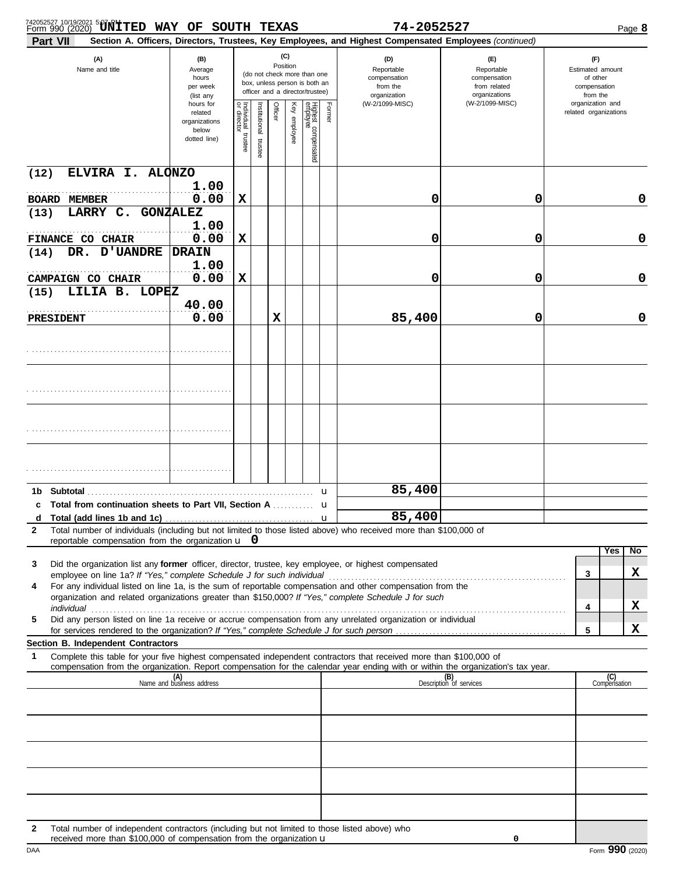| 742052527 10/19/2021 5:07 RM TED WAY OF SOUTH TEXAS                                                                                                   |                                                                                                                    |                                      |                       |             |                                 |                                                                                                                                    |              | 74-2052527                                                                                             |                                                                                       | Page 8                                                                                                       |
|-------------------------------------------------------------------------------------------------------------------------------------------------------|--------------------------------------------------------------------------------------------------------------------|--------------------------------------|-----------------------|-------------|---------------------------------|------------------------------------------------------------------------------------------------------------------------------------|--------------|--------------------------------------------------------------------------------------------------------|---------------------------------------------------------------------------------------|--------------------------------------------------------------------------------------------------------------|
| Part VII                                                                                                                                              |                                                                                                                    |                                      |                       |             |                                 |                                                                                                                                    |              | Section A. Officers, Directors, Trustees, Key Employees, and Highest Compensated Employees (continued) |                                                                                       |                                                                                                              |
| (A)<br>Name and title                                                                                                                                 | (B)<br>Average<br>hours<br>per week<br>(list any<br>hours for<br>related<br>organizations<br>below<br>dotted line) | Individual<br>or director<br>trustee | Institutional trustee | Officer     | (C)<br>Position<br>Key employee | (do not check more than one<br>box, unless person is both an<br>officer and a director/trustee)<br>Highest compensated<br>employee | Former       | (D)<br>Reportable<br>compensation<br>from the<br>organization<br>(W-2/1099-MISC)                       | (E)<br>Reportable<br>compensation<br>from related<br>organizations<br>(W-2/1099-MISC) | (F)<br>Estimated amount<br>of other<br>compensation<br>from the<br>organization and<br>related organizations |
| ELVIRA I. ALONZO<br>(12)                                                                                                                              |                                                                                                                    |                                      |                       |             |                                 |                                                                                                                                    |              |                                                                                                        |                                                                                       |                                                                                                              |
| <b>BOARD MEMBER</b>                                                                                                                                   | 1.00<br>0.00                                                                                                       | X                                    |                       |             |                                 |                                                                                                                                    |              | 0                                                                                                      | 0                                                                                     | 0                                                                                                            |
| LARRY C.<br>(13)                                                                                                                                      | <b>GONZALEZ</b>                                                                                                    |                                      |                       |             |                                 |                                                                                                                                    |              |                                                                                                        |                                                                                       |                                                                                                              |
|                                                                                                                                                       | 1.00                                                                                                               |                                      |                       |             |                                 |                                                                                                                                    |              |                                                                                                        |                                                                                       |                                                                                                              |
| <b>FINANCE CO CHAIR</b>                                                                                                                               | 0.00                                                                                                               | $\mathbf x$                          |                       |             |                                 |                                                                                                                                    |              | 0                                                                                                      | 0                                                                                     | 0                                                                                                            |
| <b>UANDRE</b><br>DR.<br>(14)                                                                                                                          | <b>DRAIN</b>                                                                                                       |                                      |                       |             |                                 |                                                                                                                                    |              |                                                                                                        |                                                                                       |                                                                                                              |
| CAMPAIGN CO CHAIR                                                                                                                                     | 1.00<br>0.00                                                                                                       | $\mathbf x$                          |                       |             |                                 |                                                                                                                                    |              | 0                                                                                                      | 0                                                                                     | 0                                                                                                            |
| LILIA B. LOPEZ<br>(15)                                                                                                                                |                                                                                                                    |                                      |                       |             |                                 |                                                                                                                                    |              |                                                                                                        |                                                                                       |                                                                                                              |
|                                                                                                                                                       | 40.00                                                                                                              |                                      |                       |             |                                 |                                                                                                                                    |              |                                                                                                        |                                                                                       |                                                                                                              |
| PRESIDENT                                                                                                                                             | 0.00                                                                                                               |                                      |                       | $\mathbf x$ |                                 |                                                                                                                                    |              | 85,400                                                                                                 | 0                                                                                     | 0                                                                                                            |
|                                                                                                                                                       |                                                                                                                    |                                      |                       |             |                                 |                                                                                                                                    |              |                                                                                                        |                                                                                       |                                                                                                              |
|                                                                                                                                                       |                                                                                                                    |                                      |                       |             |                                 |                                                                                                                                    |              |                                                                                                        |                                                                                       |                                                                                                              |
|                                                                                                                                                       |                                                                                                                    |                                      |                       |             |                                 |                                                                                                                                    |              |                                                                                                        |                                                                                       |                                                                                                              |
|                                                                                                                                                       |                                                                                                                    |                                      |                       |             |                                 |                                                                                                                                    |              |                                                                                                        |                                                                                       |                                                                                                              |
| 1b                                                                                                                                                    |                                                                                                                    |                                      |                       |             |                                 |                                                                                                                                    |              | 85,400                                                                                                 |                                                                                       |                                                                                                              |
| Total from continuation sheets to Part VII, Section A<br>c                                                                                            |                                                                                                                    |                                      |                       |             |                                 |                                                                                                                                    | $\mathbf u$  |                                                                                                        |                                                                                       |                                                                                                              |
| d<br>Total (add lines 1b and 1c)<br>Total number of individuals (including but not limited to those listed above) who received more than \$100,000 of |                                                                                                                    |                                      |                       |             |                                 |                                                                                                                                    | $\mathbf{u}$ | 85,400                                                                                                 |                                                                                       |                                                                                                              |

| 3  | Did the organization list any <b>former</b> officer, director, trustee, key employee, or highest compensated  |  |  |
|----|---------------------------------------------------------------------------------------------------------------|--|--|
|    | employee on line 1a? If "Yes," complete Schedule J for such individual                                        |  |  |
| 4  | For any individual listed on line 1a, is the sum of reportable compensation and other compensation from the   |  |  |
|    | organization and related organizations greater than \$150,000? If "Yes," complete Schedule J for such         |  |  |
|    | individual                                                                                                    |  |  |
| 5. | Did any person listed on line 1a receive or accrue compensation from any unrelated organization or individual |  |  |
|    |                                                                                                               |  |  |

#### **Section B. Independent Contractors**

**1** Complete this table for your five highest compensated independent contractors that received more than \$100,000 of

compensation from the organization. Report compensation for the calendar year ending with or within the organization's tax year. **2** Total number of independent contractors (including but not limited to those listed above) who **(A)** Name and business address Description of services (B)<br>
Description of services (C)<br>Compensation

received more than  $$100,000$  of compensation from the organization  $\bf{u}$ 

**0**

| --<br>-<br>- 2 -<br>. ,<br>. . |  |
|--------------------------------|--|
|--------------------------------|--|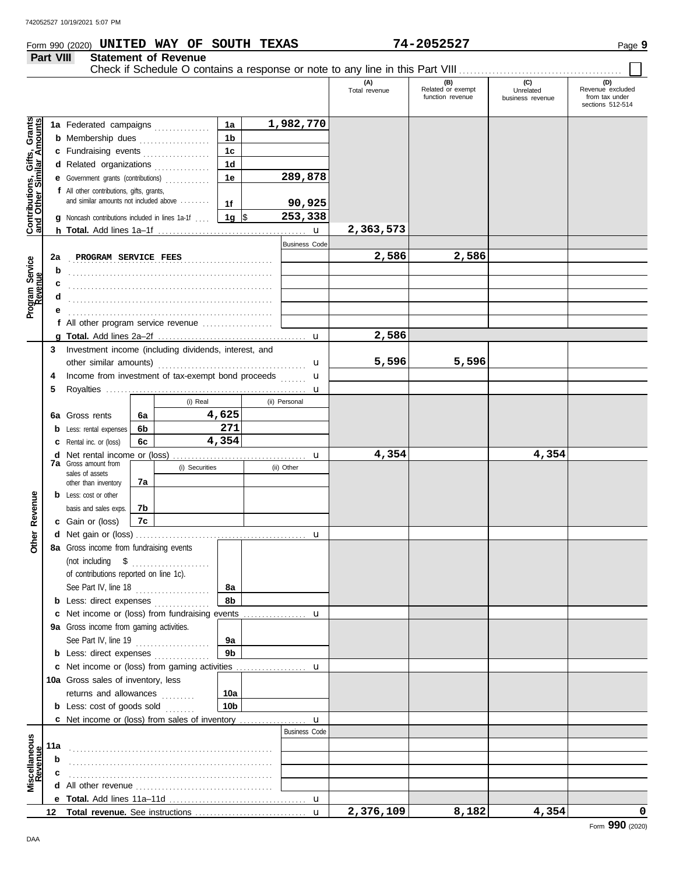### Form 990 (2020) Page **9 UNITED WAY OF SOUTH TEXAS 74-2052527**

## **Part VIII Statement of Revenue**

|                                                                  |     |                                                                                                             |    |                |                 |                      | (A)<br>Total revenue | (B)<br>Related or exempt<br>function revenue | (C)<br>Unrelated<br>business revenue | (D)<br>Revenue excluded<br>from tax under<br>sections 512-514 |
|------------------------------------------------------------------|-----|-------------------------------------------------------------------------------------------------------------|----|----------------|-----------------|----------------------|----------------------|----------------------------------------------|--------------------------------------|---------------------------------------------------------------|
|                                                                  |     |                                                                                                             |    |                | 1a              | 1,982,770            |                      |                                              |                                      |                                                               |
| <b>Contributions, Gifts, Grants</b><br>and Other Similar Amounts |     | 1a Federated campaigns                                                                                      |    |                | 1 <sub>b</sub>  |                      |                      |                                              |                                      |                                                               |
|                                                                  |     | <b>b</b> Membership dues                                                                                    |    |                | 1 <sub>c</sub>  |                      |                      |                                              |                                      |                                                               |
|                                                                  |     | c Fundraising events<br>d Related organizations                                                             |    |                | 1 <sub>d</sub>  |                      |                      |                                              |                                      |                                                               |
|                                                                  |     | e Government grants (contributions)                                                                         |    |                | 1e              | 289,878              |                      |                                              |                                      |                                                               |
|                                                                  |     | f All other contributions, gifts, grants,                                                                   |    |                |                 |                      |                      |                                              |                                      |                                                               |
|                                                                  |     | and similar amounts not included above                                                                      |    |                | 1f              | 90,925               |                      |                                              |                                      |                                                               |
|                                                                  |     |                                                                                                             |    |                | 1g $\sqrt{5}$   | 253,338              |                      |                                              |                                      |                                                               |
|                                                                  |     | <b>g</b> Noncash contributions included in lines 1a-1f                                                      |    |                |                 |                      | 2,363,573            |                                              |                                      |                                                               |
|                                                                  |     |                                                                                                             |    |                |                 | <b>Business Code</b> |                      |                                              |                                      |                                                               |
|                                                                  | 2a  | PROGRAM SERVICE FEES                                                                                        |    |                |                 |                      | 2,586                | 2,586                                        |                                      |                                                               |
| Program Service<br>Revenue                                       | b   |                                                                                                             |    |                |                 |                      |                      |                                              |                                      |                                                               |
|                                                                  | c   |                                                                                                             |    |                |                 |                      |                      |                                              |                                      |                                                               |
|                                                                  | d   |                                                                                                             |    |                |                 |                      |                      |                                              |                                      |                                                               |
|                                                                  |     |                                                                                                             |    |                |                 |                      |                      |                                              |                                      |                                                               |
|                                                                  |     | f All other program service revenue $\ldots$ , $\ldots$                                                     |    |                |                 |                      |                      |                                              |                                      |                                                               |
|                                                                  |     |                                                                                                             |    |                |                 |                      | 2,586                |                                              |                                      |                                                               |
|                                                                  | 3   | Investment income (including dividends, interest, and                                                       |    |                |                 |                      |                      |                                              |                                      |                                                               |
|                                                                  |     | other similar amounts)                                                                                      |    |                |                 |                      | 5,596                | 5,596                                        |                                      |                                                               |
|                                                                  | 4   | Income from investment of tax-exempt bond proceeds                                                          |    |                |                 | u                    |                      |                                              |                                      |                                                               |
|                                                                  | 5   |                                                                                                             |    |                |                 | u                    |                      |                                              |                                      |                                                               |
|                                                                  |     |                                                                                                             |    | (i) Real       |                 | u<br>(ii) Personal   |                      |                                              |                                      |                                                               |
|                                                                  |     | 6a Gross rents                                                                                              | 6a |                | 4,625           |                      |                      |                                              |                                      |                                                               |
|                                                                  |     | <b>b</b> Less: rental expenses                                                                              | 6b |                | 271             |                      |                      |                                              |                                      |                                                               |
|                                                                  |     | C Rental inc. or (loss)                                                                                     | 6c |                | 4,354           |                      |                      |                                              |                                      |                                                               |
|                                                                  |     |                                                                                                             |    |                |                 |                      | 4,354                |                                              | 4,354                                |                                                               |
|                                                                  |     | <b>7a</b> Gross amount from                                                                                 |    | (i) Securities |                 | (ii) Other           |                      |                                              |                                      |                                                               |
|                                                                  |     | sales of assets<br>other than inventory                                                                     | 7а |                |                 |                      |                      |                                              |                                      |                                                               |
|                                                                  |     | <b>b</b> Less: cost or other                                                                                |    |                |                 |                      |                      |                                              |                                      |                                                               |
| Revenue                                                          |     | basis and sales exps.                                                                                       | 7b |                |                 |                      |                      |                                              |                                      |                                                               |
|                                                                  |     | c Gain or (loss)                                                                                            | 7c |                |                 |                      |                      |                                              |                                      |                                                               |
|                                                                  |     |                                                                                                             |    |                |                 |                      |                      |                                              |                                      |                                                               |
| Other                                                            |     | 8a Gross income from fundraising events                                                                     |    |                |                 |                      |                      |                                              |                                      |                                                               |
|                                                                  |     |                                                                                                             |    |                |                 |                      |                      |                                              |                                      |                                                               |
|                                                                  |     | of contributions reported on line 1c).                                                                      |    |                |                 |                      |                      |                                              |                                      |                                                               |
|                                                                  |     | See Part IV, line 18                                                                                        |    | .              | 8а              |                      |                      |                                              |                                      |                                                               |
|                                                                  |     | <b>b</b> Less: direct expenses                                                                              |    |                | 8b              |                      |                      |                                              |                                      |                                                               |
|                                                                  |     |                                                                                                             |    |                |                 |                      |                      |                                              |                                      |                                                               |
|                                                                  |     | 9a Gross income from gaming activities.                                                                     |    |                |                 |                      |                      |                                              |                                      |                                                               |
|                                                                  |     | See Part IV, line 19                                                                                        |    |                | 9а              |                      |                      |                                              |                                      |                                                               |
|                                                                  |     | <b>b</b> Less: direct expenses <i>minimum</i>                                                               |    |                | 9 <sub>b</sub>  |                      |                      |                                              |                                      |                                                               |
|                                                                  |     |                                                                                                             |    |                |                 |                      |                      |                                              |                                      |                                                               |
|                                                                  |     | 10a Gross sales of inventory, less                                                                          |    |                |                 |                      |                      |                                              |                                      |                                                               |
|                                                                  |     | returns and allowances                                                                                      |    |                | 10a             |                      |                      |                                              |                                      |                                                               |
|                                                                  |     | <b>b</b> Less: $cost$ of goods $sol$                                                                        |    |                | 10 <sub>b</sub> |                      |                      |                                              |                                      |                                                               |
|                                                                  |     | <b>c</b> Net income or (loss) from sales of inventory                                                       |    |                |                 | $\mathbf u$          |                      |                                              |                                      |                                                               |
|                                                                  |     |                                                                                                             |    |                |                 | <b>Business Code</b> |                      |                                              |                                      |                                                               |
|                                                                  | 11a |                                                                                                             |    |                |                 |                      |                      |                                              |                                      |                                                               |
|                                                                  | b   |                                                                                                             |    |                |                 |                      |                      |                                              |                                      |                                                               |
|                                                                  |     |                                                                                                             |    |                |                 |                      |                      |                                              |                                      |                                                               |
| Miscellaneous<br>Revenue                                         |     | <b>d</b> All other revenue $\ldots, \ldots, \ldots, \ldots, \ldots, \ldots, \ldots, \ldots, \ldots, \ldots$ |    |                |                 |                      |                      |                                              |                                      |                                                               |
|                                                                  |     |                                                                                                             |    |                |                 |                      |                      |                                              |                                      |                                                               |
|                                                                  |     |                                                                                                             |    |                |                 |                      | 2,376,109            | 8,182                                        | 4,354                                | 0                                                             |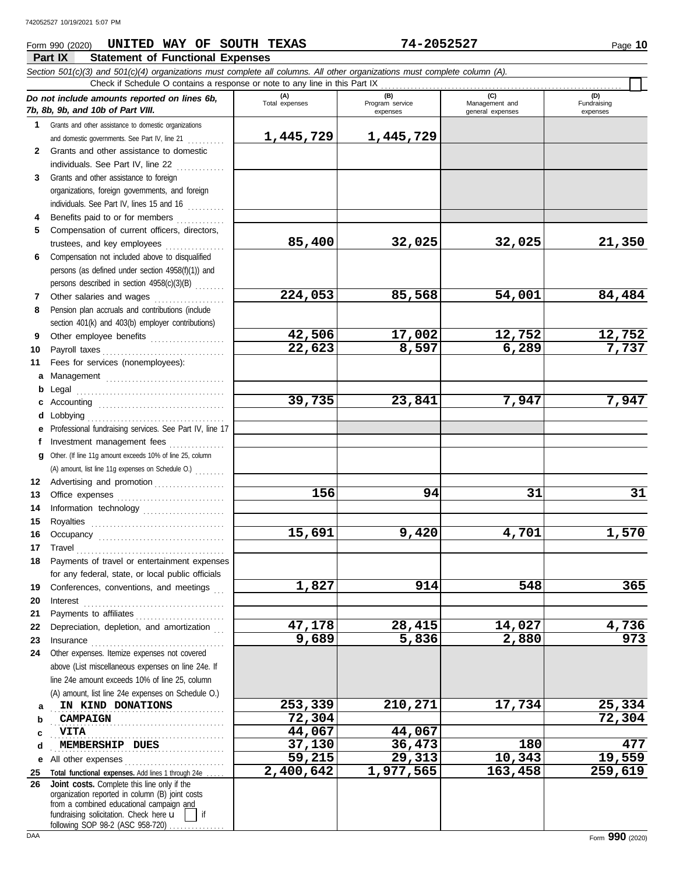### **Part IX Statement of Functional Expenses** Form 990 (2020) Page **10 UNITED WAY OF SOUTH TEXAS 74-2052527**

|             | Section 501(c)(3) and 501(c)(4) organizations must complete all columns. All other organizations must complete column (A).<br>Check if Schedule O contains a response or note to any line in this Part IX |                       |                                    |                                           |                                |
|-------------|-----------------------------------------------------------------------------------------------------------------------------------------------------------------------------------------------------------|-----------------------|------------------------------------|-------------------------------------------|--------------------------------|
|             | Do not include amounts reported on lines 6b,<br>7b, 8b, 9b, and 10b of Part VIII.                                                                                                                         | (A)<br>Total expenses | (B)<br>Program service<br>expenses | (C)<br>Management and<br>general expenses | (D)<br>Fundraising<br>expenses |
| $\mathbf 1$ | Grants and other assistance to domestic organizations                                                                                                                                                     |                       |                                    |                                           |                                |
|             | and domestic governments. See Part IV, line 21                                                                                                                                                            | 1,445,729             | 1,445,729                          |                                           |                                |
|             | 2 Grants and other assistance to domestic                                                                                                                                                                 |                       |                                    |                                           |                                |
|             | individuals. See Part IV, line 22                                                                                                                                                                         |                       |                                    |                                           |                                |
| 3           | Grants and other assistance to foreign                                                                                                                                                                    |                       |                                    |                                           |                                |
|             | organizations, foreign governments, and foreign                                                                                                                                                           |                       |                                    |                                           |                                |
|             | individuals. See Part IV, lines 15 and 16                                                                                                                                                                 |                       |                                    |                                           |                                |
|             | Benefits paid to or for members                                                                                                                                                                           |                       |                                    |                                           |                                |
| 5           | Compensation of current officers, directors,                                                                                                                                                              |                       |                                    |                                           |                                |
|             | trustees, and key employees                                                                                                                                                                               | 85,400                | 32,025                             | 32,025                                    | 21,350                         |
| 6           | Compensation not included above to disqualified                                                                                                                                                           |                       |                                    |                                           |                                |
|             | persons (as defined under section 4958(f)(1)) and                                                                                                                                                         |                       |                                    |                                           |                                |
|             | persons described in section 4958(c)(3)(B)                                                                                                                                                                | 224,053               | 85,568                             | 54,001                                    | 84,484                         |
| 7           | Other salaries and wages<br>Pension plan accruals and contributions (include                                                                                                                              |                       |                                    |                                           |                                |
| 8           |                                                                                                                                                                                                           |                       |                                    |                                           |                                |
| 9           | section 401(k) and 403(b) employer contributions)<br>Other employee benefits                                                                                                                              | 42,506                | 17,002                             | 12,752                                    | <u>12,752</u>                  |
| 10          |                                                                                                                                                                                                           | 22,623                | 8,597                              | 6,289                                     | 7,737                          |
| 11          | Fees for services (nonemployees):                                                                                                                                                                         |                       |                                    |                                           |                                |
|             | a Management                                                                                                                                                                                              |                       |                                    |                                           |                                |
| b           |                                                                                                                                                                                                           |                       |                                    |                                           |                                |
|             |                                                                                                                                                                                                           | 39,735                | 23,841                             | 7,947                                     | 7,947                          |
| d           |                                                                                                                                                                                                           |                       |                                    |                                           |                                |
|             | Professional fundraising services. See Part IV, line 17                                                                                                                                                   |                       |                                    |                                           |                                |
| t.          | Investment management fees                                                                                                                                                                                |                       |                                    |                                           |                                |
|             | g Other. (If line 11g amount exceeds 10% of line 25, column                                                                                                                                               |                       |                                    |                                           |                                |
|             | (A) amount, list line 11g expenses on Schedule O.)                                                                                                                                                        |                       |                                    |                                           |                                |
| 12          | Advertising and promotion                                                                                                                                                                                 |                       |                                    |                                           |                                |
| 13          |                                                                                                                                                                                                           | 156                   | 94                                 | 31                                        | 31                             |
| 14          | Information technology                                                                                                                                                                                    |                       |                                    |                                           |                                |
| 15          |                                                                                                                                                                                                           |                       |                                    |                                           |                                |
| 16          |                                                                                                                                                                                                           | 15,691                | 9,420                              | 4,701                                     | 1,570                          |
| 17          | $\begin{minipage}{0.5\textwidth} \centering \begin{tabular}{@{}c@{}} \textbf{True} & \textbf{True} \\ \textbf{True} & \textbf{True} \\ \textbf{True} & \textbf{True} \\ \end{tabular} \end{minipage}$     |                       |                                    |                                           |                                |
| 18          | Payments of travel or entertainment expenses                                                                                                                                                              |                       |                                    |                                           |                                |
|             | for any federal, state, or local public officials                                                                                                                                                         |                       |                                    |                                           |                                |
| 19          | Conferences, conventions, and meetings                                                                                                                                                                    | 1,827                 | 914                                | 548                                       | 365                            |
| 20          | Interest                                                                                                                                                                                                  |                       |                                    |                                           |                                |
| 21          |                                                                                                                                                                                                           | 47,178                | 28,415                             | 14,027                                    |                                |
| 22          | Depreciation, depletion, and amortization                                                                                                                                                                 | 9,689                 | 5,836                              | 2,880                                     | $\frac{4,736}{973}$            |
| 23<br>24    | Other expenses. Itemize expenses not covered                                                                                                                                                              |                       |                                    |                                           |                                |
|             | above (List miscellaneous expenses on line 24e. If                                                                                                                                                        |                       |                                    |                                           |                                |
|             | line 24e amount exceeds 10% of line 25, column                                                                                                                                                            |                       |                                    |                                           |                                |
|             | (A) amount, list line 24e expenses on Schedule O.)                                                                                                                                                        |                       |                                    |                                           |                                |
| a           | IN KIND DONATIONS                                                                                                                                                                                         | 253,339               | 210,271                            | 17,734                                    | 25,334                         |
| b           | <b>CAMPAIGN</b>                                                                                                                                                                                           | 72,304                |                                    |                                           | 72,304                         |
| c           | <b>VITA</b>                                                                                                                                                                                               | 44,067                | 44,067                             |                                           |                                |
| d           | MEMBERSHIP DUES                                                                                                                                                                                           | 37,130                | 36,473                             | 180                                       | 477                            |
| е           | All other expenses                                                                                                                                                                                        | 59,215                | 29,313                             | 10,343                                    | 19,559                         |
| 25          | Total functional expenses. Add lines 1 through 24e                                                                                                                                                        | 2,400,642             | $\overline{1,977,565}$             | 163,458                                   | 259,619                        |
| 26          | Joint costs. Complete this line only if the                                                                                                                                                               |                       |                                    |                                           |                                |
|             | organization reported in column (B) joint costs<br>from a combined educational campaign and                                                                                                               |                       |                                    |                                           |                                |
|             | fundraising solicitation. Check here u<br>if                                                                                                                                                              |                       |                                    |                                           |                                |

 $\overline{\phantom{a}}$ 

following SOP 98-2 (ASC 958-720) ................

 $\overline{\phantom{a}}$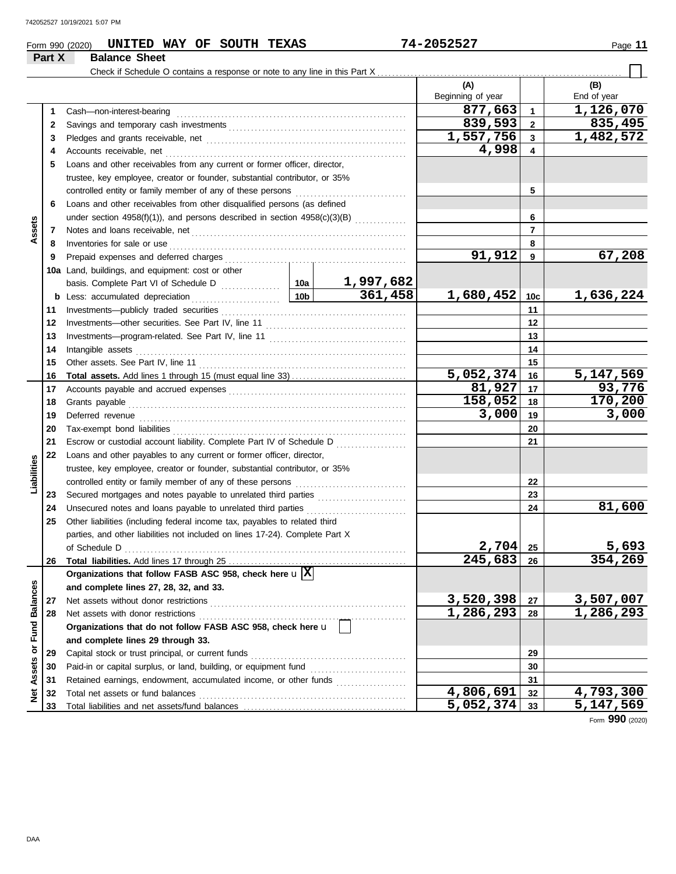**Part X Balance Sheet**

### **Form 990 (2020) UNITED WAY OF SOUTH TEXAS 74-2052527** Page 11

#### Check if Schedule O contains a response or note to any line in this Part X. **(A) (B)** Beginning of year | | End of year **877,663 1,126,070 1 1** Cash—non-interest-bearing . . . . . . . . . . . . . . . . . . . . . . . . . . . . . . . . . . . . . . . . . . . . . . . . . . . . . . . . . . . . . . Savings and temporary cash investments . . . . . . . . . . . . . . . . . . . . . . . . . . . . . . . . . . . . . . . . . . . . . . . . **839,593 835,495 2 2 1,557,756 1,482,572 3 3** Pledges and grants receivable, net . . . . . . . . . . . . . . . . . . . . . . . . . . . . . . . . . . . . . . . . . . . . . . . . . . . . . . **4,998 4 4** Accounts receivable, net . . . . . . . . . . . . . . . . . . . . . . . . . . . . . . . . . . . . . . . . . . . . . . . . . . . . . . . . . . . . . . . . . **5** Loans and other receivables from any current or former officer, director, trustee, key employee, creator or founder, substantial contributor, or 35% controlled entity or family member of any of these persons ............................. **5 6** Loans and other receivables from other disqualified persons (as defined **6** under section 4958(f)(1)), and persons described in section  $4958(c)(3)(B)$  ............. **Assets 7 7** Notes and loans receivable, net . . . . . . . . . . . . . . . . . . . . . . . . . . . . . . . . . . . . . . . . . . . . . . . . . . . . . . . . . . **8 8** Inventories for sale or use . . . . . . . . . . . . . . . . . . . . . . . . . . . . . . . . . . . . . . . . . . . . . . . . . . . . . . . . . . . . . . . . Prepaid expenses and deferred charges . . . . . . . . . . . . . . . . . . . . . . . . . . . . . . . . . . . . . . . . . . . . . . . . . **91,912 67,208 9 9 10a** Land, buildings, and equipment: cost or other basis. Complete Part VI of Schedule D ................ **10a 1,997,682 361,458 1,680,452 1,636,224 10c b** Less: accumulated depreciation . . . . . . . . . . . . . . . . . . . . . . . . **10b** Investments—publicly traded securities . . . . . . . . . . . . . . . . . . . . . . . . . . . . . . . . . . . . . . . . . . . . . . . . . . **11 11** Investments—other securities. See Part IV, line 11 . . . . . . . . . . . . . . . . . . . . . . . . . . . . . . . . . . . . . . **12 12** Investments—program-related. See Part IV, line 11 . . . . . . . . . . . . . . . . . . . . . . . . . . . . . . . . . . . . . **13 13 14** Intangible assets . . . . . . . . . . . . . . . . . . . . . . . . . . . . . . . . . . . . . . . . . . . . . . . . . . . . . . . . . . . . . . . . . . . . . . . . . **14** Other assets. See Part IV, line 11 . . . . . . . . . . . . . . . . . . . . . . . . . . . . . . . . . . . . . . . . . . . . . . . . . . . . . . . . **15 15 5,052,374 5,147,569 Total assets.** Add lines 1 through 15 (must equal line 33) . . . . . . . . . . . . . . . . . . . . . . . . . . . . . . . **16 16 81,927** 17 93,776<br>58,052 18 170,200 **17 17** Accounts payable and accrued expenses . . . . . . . . . . . . . . . . . . . . . . . . . . . . . . . . . . . . . . . . . . . . . . . . **158,052 170,200 18 18** Grants payable . . . . . . . . . . . . . . . . . . . . . . . . . . . . . . . . . . . . . . . . . . . . . . . . . . . . . . . . . . . . . . . . . . . . . . . . . . . **3,000 3,000 19** Deferred revenue . . . . . . . . . . . . . . . . . . . . . . . . . . . . . . . . . . . . . . . . . . . . . . . . . . . . . . . . . . . . . . . . . . . . . . . . **19** Tax-exempt bond liabilities . . . . . . . . . . . . . . . . . . . . . . . . . . . . . . . . . . . . . . . . . . . . . . . . . . . . . . . . . . . . . . . **20 20 21** Escrow or custodial account liability. Complete Part IV of Schedule D .................. **21 22** Loans and other payables to any current or former officer, director, **Liabilities** trustee, key employee, creator or founder, substantial contributor, or 35% controlled entity or family member of any of these persons ............................. **22** Secured mortgages and notes payable to unrelated third parties ........................ **23 23 81,600** Unsecured notes and loans payable to unrelated third parties .............................. **24 24 25** Other liabilities (including federal income tax, payables to related third parties, and other liabilities not included on lines 17-24). Complete Part X **2,704 5,693** of Schedule D . . . . . . . . . . . . . . . . . . . . . . . . . . . . . . . . . . . . . . . . . . . . . . . . . . . . . . . . . . . . . . . . . . . . . . . . . . . . **25 245,683 354,269 26 26 Total liabilities.** Add lines 17 through 25 . . . . . . . . . . . . . . . . . . . . . . . . . . . . . . . . . . . . . . . . . . . . . . . . **Organizations that follow FASB ASC 958, check here** u **X** Net Assets or Fund Balances **Net Assets or Fund Balances and complete lines 27, 28, 32, and 33. 3,520,398 3,507,007 27** Net assets without donor restrictions . . . . . . . . . . . . . . . . . . . . . . . . . . . . . . . . . . . . . . . . . . . . . . . . . . . . . **27 28 1,286,293 1,286,293 28** Net assets with donor restrictions **Organizations that do not follow FASB ASC 958, check here** u **and complete lines 29 through 33.** Capital stock or trust principal, or current funds . . . . . . . . . . . . . . . . . . . . . . . . . . . . . . . . . . . . . . . . . . **29 29** Paid-in or capital surplus, or land, building, or equipment fund ........................... **30 30 31** Retained earnings, endowment, accumulated income, or other funds ..................... **31 4,806,691 4,793,300 32** Total net assets or fund balances . . . . . . . . . . . . . . . . . . . . . . . . . . . . . . . . . . . . . . . . . . . . . . . . . . . . . . . . **32** Total liabilities and net assets/fund balances .................... **5,052,374 5,147,569 33 33**

Form **990** (2020)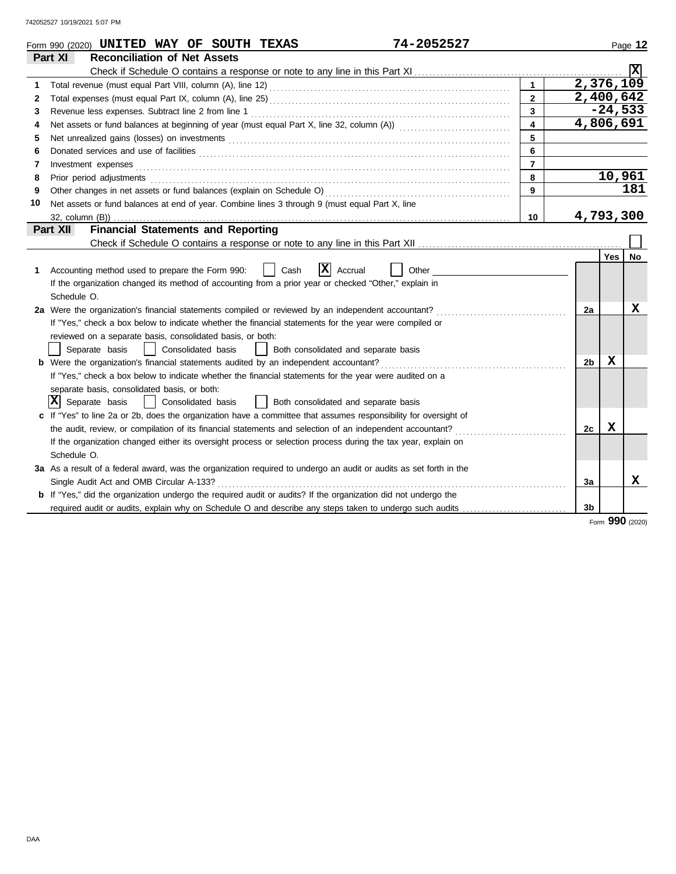|    | 74-2052527<br>Form 990 (2020) UNITED WAY OF SOUTH TEXAS                                                                                                                                                                        |                |                |            | Page 12        |
|----|--------------------------------------------------------------------------------------------------------------------------------------------------------------------------------------------------------------------------------|----------------|----------------|------------|----------------|
|    | Part XI<br><b>Reconciliation of Net Assets</b>                                                                                                                                                                                 |                |                |            |                |
|    |                                                                                                                                                                                                                                |                |                |            | $ \mathbf{x} $ |
| 1  |                                                                                                                                                                                                                                | $\mathbf{1}$   | 2,376,109      |            |                |
| 2  |                                                                                                                                                                                                                                | $\overline{2}$ | 2,400,642      |            |                |
| 3  |                                                                                                                                                                                                                                | 3              |                | $-24,533$  |                |
| 4  |                                                                                                                                                                                                                                | 4              | 4,806,691      |            |                |
| 5  |                                                                                                                                                                                                                                | 5              |                |            |                |
| 6  |                                                                                                                                                                                                                                | 6              |                |            |                |
| 7  | Investment expenses <b>constant expenses</b>                                                                                                                                                                                   | $\overline{7}$ |                |            |                |
| 8  | Prior period adjustments contains and a series of the contact of the contact of the contact of the contact of the contact of the contact of the contact of the contact of the contact of the contact of the contact of the con | 8              |                | 10,961     |                |
| 9  |                                                                                                                                                                                                                                | 9              |                |            | 181            |
| 10 | Net assets or fund balances at end of year. Combine lines 3 through 9 (must equal Part X, line                                                                                                                                 |                |                |            |                |
|    |                                                                                                                                                                                                                                | 10             | 4,793,300      |            |                |
|    | <b>Financial Statements and Reporting</b><br>Part XII                                                                                                                                                                          |                |                |            |                |
|    |                                                                                                                                                                                                                                |                |                |            |                |
|    |                                                                                                                                                                                                                                |                |                | <b>Yes</b> | No             |
| 1  | X <br>Other<br>Accounting method used to prepare the Form 990:<br>Cash<br>Accrual                                                                                                                                              |                |                |            |                |
|    | If the organization changed its method of accounting from a prior year or checked "Other," explain in                                                                                                                          |                |                |            |                |
|    | Schedule O.                                                                                                                                                                                                                    |                |                |            |                |
|    | 2a Were the organization's financial statements compiled or reviewed by an independent accountant?                                                                                                                             |                | 2a             |            | x              |
|    | If "Yes," check a box below to indicate whether the financial statements for the year were compiled or                                                                                                                         |                |                |            |                |
|    | reviewed on a separate basis, consolidated basis, or both:                                                                                                                                                                     |                |                |            |                |
|    | Separate basis<br>Consolidated basis<br>Both consolidated and separate basis                                                                                                                                                   |                |                |            |                |
|    | <b>b</b> Were the organization's financial statements audited by an independent accountant?                                                                                                                                    |                | 2 <sub>b</sub> | X          |                |
|    | If "Yes," check a box below to indicate whether the financial statements for the year were audited on a                                                                                                                        |                |                |            |                |
|    | separate basis, consolidated basis, or both:                                                                                                                                                                                   |                |                |            |                |
|    | $ \mathbf{X} $ Separate basis<br>Consolidated basis<br>  Both consolidated and separate basis                                                                                                                                  |                |                |            |                |
|    | If "Yes" to line 2a or 2b, does the organization have a committee that assumes responsibility for oversight of                                                                                                                 |                |                |            |                |
|    | the audit, review, or compilation of its financial statements and selection of an independent accountant?                                                                                                                      |                | 2c             | X          |                |
|    | If the organization changed either its oversight process or selection process during the tax year, explain on                                                                                                                  |                |                |            |                |
|    | Schedule O.                                                                                                                                                                                                                    |                |                |            |                |
|    | 3a As a result of a federal award, was the organization required to undergo an audit or audits as set forth in the                                                                                                             |                |                |            |                |
|    | Single Audit Act and OMB Circular A-133?                                                                                                                                                                                       |                | 3a             |            | x              |
|    | <b>b</b> If "Yes," did the organization undergo the required audit or audits? If the organization did not undergo the                                                                                                          |                |                |            |                |
|    | required audit or audits, explain why on Schedule O and describe any steps taken to undergo such audits                                                                                                                        |                | 3b             |            |                |
|    |                                                                                                                                                                                                                                |                |                | nnn        |                |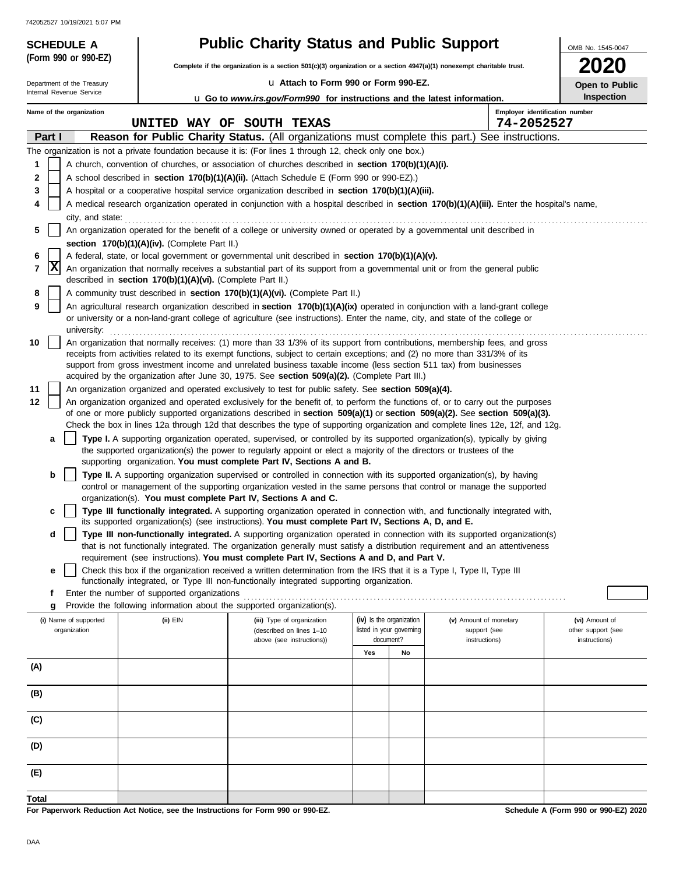| 742052527 10/19/2021 5:07 PM                           |                                                            |                                                                                                                                                                                                                                                                |                                                 |    |                                              |                    |  |  |
|--------------------------------------------------------|------------------------------------------------------------|----------------------------------------------------------------------------------------------------------------------------------------------------------------------------------------------------------------------------------------------------------------|-------------------------------------------------|----|----------------------------------------------|--------------------|--|--|
| <b>SCHEDULE A</b>                                      |                                                            |                                                                                                                                                                                                                                                                | <b>Public Charity Status and Public Support</b> |    |                                              |                    |  |  |
| (Form 990 or 990-EZ)                                   |                                                            | Complete if the organization is a section $501(c)(3)$ organization or a section $4947(a)(1)$ nonexempt charitable trust.                                                                                                                                       |                                                 |    |                                              |                    |  |  |
| Department of the Treasury<br>Internal Revenue Service |                                                            | La Attach to Form 990 or Form 990-EZ.                                                                                                                                                                                                                          |                                                 |    |                                              | Open to Public     |  |  |
|                                                        |                                                            | <b>u</b> Go to www.irs.gov/Form990 for instructions and the latest information.                                                                                                                                                                                |                                                 |    |                                              | <b>Inspection</b>  |  |  |
| Name of the organization                               |                                                            | UNITED WAY OF SOUTH TEXAS                                                                                                                                                                                                                                      |                                                 |    | Employer identification number<br>74-2052527 |                    |  |  |
| Part I                                                 |                                                            | Reason for Public Charity Status. (All organizations must complete this part.) See instructions.                                                                                                                                                               |                                                 |    |                                              |                    |  |  |
|                                                        |                                                            | The organization is not a private foundation because it is: (For lines 1 through 12, check only one box.)                                                                                                                                                      |                                                 |    |                                              |                    |  |  |
| 1                                                      |                                                            | A church, convention of churches, or association of churches described in section 170(b)(1)(A)(i).                                                                                                                                                             |                                                 |    |                                              |                    |  |  |
| 2                                                      |                                                            | A school described in section 170(b)(1)(A)(ii). (Attach Schedule E (Form 990 or 990-EZ).)                                                                                                                                                                      |                                                 |    |                                              |                    |  |  |
| 3                                                      |                                                            | A hospital or a cooperative hospital service organization described in section 170(b)(1)(A)(iii).                                                                                                                                                              |                                                 |    |                                              |                    |  |  |
| 4<br>city, and state:                                  |                                                            | A medical research organization operated in conjunction with a hospital described in section 170(b)(1)(A)(iii). Enter the hospital's name,                                                                                                                     |                                                 |    |                                              |                    |  |  |
| 5                                                      |                                                            | An organization operated for the benefit of a college or university owned or operated by a governmental unit described in                                                                                                                                      |                                                 |    |                                              |                    |  |  |
|                                                        | section 170(b)(1)(A)(iv). (Complete Part II.)              |                                                                                                                                                                                                                                                                |                                                 |    |                                              |                    |  |  |
| 6<br> x                                                |                                                            | A federal, state, or local government or governmental unit described in section 170(b)(1)(A)(v).                                                                                                                                                               |                                                 |    |                                              |                    |  |  |
| 7                                                      | described in section 170(b)(1)(A)(vi). (Complete Part II.) | An organization that normally receives a substantial part of its support from a governmental unit or from the general public                                                                                                                                   |                                                 |    |                                              |                    |  |  |
| 8                                                      |                                                            | A community trust described in section 170(b)(1)(A)(vi). (Complete Part II.)                                                                                                                                                                                   |                                                 |    |                                              |                    |  |  |
| 9                                                      |                                                            | An agricultural research organization described in section 170(b)(1)(A)(ix) operated in conjunction with a land-grant college                                                                                                                                  |                                                 |    |                                              |                    |  |  |
| university:                                            |                                                            | or university or a non-land-grant college of agriculture (see instructions). Enter the name, city, and state of the college or                                                                                                                                 |                                                 |    |                                              |                    |  |  |
| 10                                                     |                                                            | An organization that normally receives: (1) more than 33 1/3% of its support from contributions, membership fees, and gross                                                                                                                                    |                                                 |    |                                              |                    |  |  |
|                                                        |                                                            | receipts from activities related to its exempt functions, subject to certain exceptions; and (2) no more than 331/3% of its<br>support from gross investment income and unrelated business taxable income (less section 511 tax) from businesses               |                                                 |    |                                              |                    |  |  |
|                                                        |                                                            | acquired by the organization after June 30, 1975. See section 509(a)(2). (Complete Part III.)                                                                                                                                                                  |                                                 |    |                                              |                    |  |  |
| 11                                                     |                                                            | An organization organized and operated exclusively to test for public safety. See section 509(a)(4).                                                                                                                                                           |                                                 |    |                                              |                    |  |  |
| 12                                                     |                                                            | An organization organized and operated exclusively for the benefit of, to perform the functions of, or to carry out the purposes                                                                                                                               |                                                 |    |                                              |                    |  |  |
|                                                        |                                                            | of one or more publicly supported organizations described in section 509(a)(1) or section 509(a)(2). See section 509(a)(3).<br>Check the box in lines 12a through 12d that describes the type of supporting organization and complete lines 12e, 12f, and 12g. |                                                 |    |                                              |                    |  |  |
| a                                                      |                                                            | Type I. A supporting organization operated, supervised, or controlled by its supported organization(s), typically by giving                                                                                                                                    |                                                 |    |                                              |                    |  |  |
|                                                        |                                                            | the supported organization(s) the power to regularly appoint or elect a majority of the directors or trustees of the                                                                                                                                           |                                                 |    |                                              |                    |  |  |
| b                                                      |                                                            | supporting organization. You must complete Part IV, Sections A and B.<br>Type II. A supporting organization supervised or controlled in connection with its supported organization(s), by having                                                               |                                                 |    |                                              |                    |  |  |
|                                                        |                                                            | control or management of the supporting organization vested in the same persons that control or manage the supported                                                                                                                                           |                                                 |    |                                              |                    |  |  |
|                                                        |                                                            | organization(s). You must complete Part IV, Sections A and C.                                                                                                                                                                                                  |                                                 |    |                                              |                    |  |  |
|                                                        |                                                            | Type III functionally integrated. A supporting organization operated in connection with, and functionally integrated with,<br>its supported organization(s) (see instructions). You must complete Part IV, Sections A, D, and E.                               |                                                 |    |                                              |                    |  |  |
| d                                                      |                                                            | Type III non-functionally integrated. A supporting organization operated in connection with its supported organization(s)                                                                                                                                      |                                                 |    |                                              |                    |  |  |
|                                                        |                                                            | that is not functionally integrated. The organization generally must satisfy a distribution requirement and an attentiveness                                                                                                                                   |                                                 |    |                                              |                    |  |  |
| е                                                      |                                                            | requirement (see instructions). You must complete Part IV, Sections A and D, and Part V.<br>Check this box if the organization received a written determination from the IRS that it is a Type I, Type II, Type III                                            |                                                 |    |                                              |                    |  |  |
|                                                        |                                                            | functionally integrated, or Type III non-functionally integrated supporting organization.                                                                                                                                                                      |                                                 |    |                                              |                    |  |  |
| f                                                      | Enter the number of supported organizations                | Provide the following information about the supported organization(s).                                                                                                                                                                                         |                                                 |    |                                              |                    |  |  |
| g<br>(i) Name of supported                             | (ii) EIN                                                   | (iii) Type of organization                                                                                                                                                                                                                                     | (iv) Is the organization                        |    | (v) Amount of monetary                       | (vi) Amount of     |  |  |
| organization                                           |                                                            | (described on lines 1-10                                                                                                                                                                                                                                       | listed in your governing                        |    | support (see                                 | other support (see |  |  |
|                                                        |                                                            | above (see instructions))                                                                                                                                                                                                                                      | document?<br>Yes                                | No | instructions)                                | instructions)      |  |  |
| (A)                                                    |                                                            |                                                                                                                                                                                                                                                                |                                                 |    |                                              |                    |  |  |
|                                                        |                                                            |                                                                                                                                                                                                                                                                |                                                 |    |                                              |                    |  |  |
| (B)                                                    |                                                            |                                                                                                                                                                                                                                                                |                                                 |    |                                              |                    |  |  |
| (C)                                                    |                                                            |                                                                                                                                                                                                                                                                |                                                 |    |                                              |                    |  |  |
| (D)                                                    |                                                            |                                                                                                                                                                                                                                                                |                                                 |    |                                              |                    |  |  |
| (E)                                                    |                                                            |                                                                                                                                                                                                                                                                |                                                 |    |                                              |                    |  |  |
| Total                                                  |                                                            |                                                                                                                                                                                                                                                                |                                                 |    |                                              |                    |  |  |
|                                                        |                                                            |                                                                                                                                                                                                                                                                |                                                 |    |                                              |                    |  |  |

**For Paperwork Reduction Act Notice, see the Instructions for Form 990 or 990-EZ.**

**Schedule A (Form 990 or 990-EZ) 2020**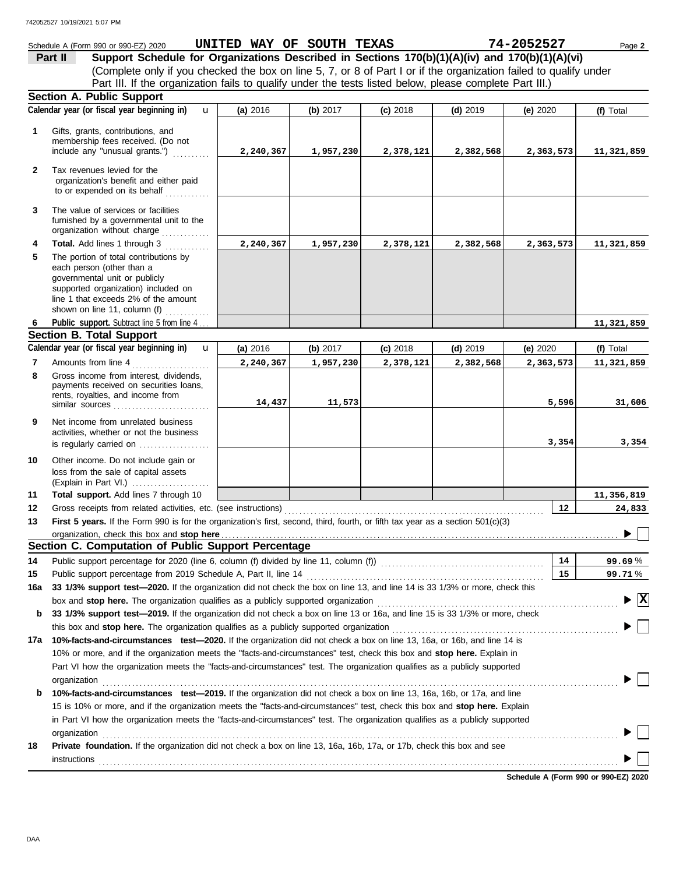#### **Section A. Public Support** each person (other than a The portion of total contributions by **Total.** Add lines 1 through 3 ............ The value of services or facilities to or expended on its behalf ............ organization's benefit and either paid Tax revenues levied for the include any "unusual grants.") .......... membership fees received. (Do not Gifts, grants, contributions, and Schedule A (Form 990 or 990-EZ) 2020 Page **2 UNITED WAY OF SOUTH TEXAS 74-2052527 4 3 2 1 (a)** 2016 **(b)** 2017 **(c)** 2018 **(d)** 2019 **(e)** 2020 (Complete only if you checked the box on line 5, 7, or 8 of Part I or if the organization failed to qualify under **Part II Support Schedule for Organizations Described in Sections 170(b)(1)(A)(iv) and 170(b)(1)(A)(vi) Calendar year (or fiscal year beginning in) (f)** Total furnished by a governmental unit to the organization without charge .............. **5** Part III. If the organization fails to qualify under the tests listed below, please complete Part III.) u **2,240,367 1,957,230 2,378,121 2,382,568 2,363,573 11,321,859 2,240,367 1,957,230 2,378,121 2,382,568 2,363,573 11,321,859**

|   | governmental unit or publicly<br>supported organization) included on<br>line 1 that exceeds 2% of the amount<br>shown on line 11, column (f) |            |            |            |            |            |            |  |  |
|---|----------------------------------------------------------------------------------------------------------------------------------------------|------------|------------|------------|------------|------------|------------|--|--|
| 6 | Public support. Subtract line 5 from line 4                                                                                                  |            |            |            |            |            | 11,321,859 |  |  |
|   | <b>Section B. Total Support</b>                                                                                                              |            |            |            |            |            |            |  |  |
|   | Calendar year (or fiscal year beginning in)<br>$\mathbf{u}$                                                                                  | (a) $2016$ | (b) $2017$ | $(c)$ 2018 | $(d)$ 2019 | (e) $2020$ | (f) Total  |  |  |
| 7 | Amounts from line 4                                                                                                                          | 2,240,367  | 1,957,230  | 2,378,121  | 2,382,568  | 2,363,573  | 11,321,859 |  |  |
| 8 | Gross income from interest, dividends,<br>payments received on securities loans,<br>rents, royalties, and income from<br>similar sources     | 14,437     | 11,573     |            |            | 5,596      | 31,606     |  |  |
| 9 | Net income from unrelated business                                                                                                           |            |            |            |            |            |            |  |  |

|    | activities, whether or not the business<br>is regularly carried on                                    |  |
|----|-------------------------------------------------------------------------------------------------------|--|
| 10 | Other income. Do not include gain or<br>loss from the sale of capital assets<br>(Explain in Part VI.) |  |
| 11 | Total support. Add lines 7 through 10                                                                 |  |

|    | <b>Total support.</b> Add lines 7 through 10                                                                                    |  |  |  |  |  |  | 11,356,819 |  |  |
|----|---------------------------------------------------------------------------------------------------------------------------------|--|--|--|--|--|--|------------|--|--|
| 12 | Gross receipts from related activities, etc. (see instructions)                                                                 |  |  |  |  |  |  | 24,833     |  |  |
| 13 | First 5 years. If the Form 990 is for the organization's first, second, third, fourth, or fifth tax year as a section 501(c)(3) |  |  |  |  |  |  |            |  |  |
|    |                                                                                                                                 |  |  |  |  |  |  |            |  |  |
|    | Section C. Computation of Public Support Percentage                                                                             |  |  |  |  |  |  |            |  |  |
|    | Public support percentage for 2020 (line 6, column (f) divided by line 11, column (f)                                           |  |  |  |  |  |  |            |  |  |

| 14  |                                                                                                                                                                                                                                | 14 | 99.69%                                        |
|-----|--------------------------------------------------------------------------------------------------------------------------------------------------------------------------------------------------------------------------------|----|-----------------------------------------------|
| 15  |                                                                                                                                                                                                                                | 15 | 99.71%                                        |
| 16а | 33 1/3% support test-2020. If the organization did not check the box on line 13, and line 14 is 33 1/3% or more, check this                                                                                                    |    |                                               |
|     | box and stop here. The organization qualifies as a publicly supported organization [111] content to the content of the content of the state of the state of the state of the state of the state of the state of the state of t |    | $\blacktriangleright \overline{\mathbf{X}}$   |
| b   | 33 1/3% support test—2019. If the organization did not check a box on line 13 or 16a, and line 15 is 33 1/3% or more, check                                                                                                    |    |                                               |
|     |                                                                                                                                                                                                                                |    | $\blacktriangleright \Box$                    |
| 17a | 10%-facts-and-circumstances test-2020. If the organization did not check a box on line 13, 16a, or 16b, and line 14 is                                                                                                         |    |                                               |
|     | 10% or more, and if the organization meets the "facts-and-circumstances" test, check this box and <b>stop here.</b> Explain in                                                                                                 |    |                                               |
|     | Part VI how the organization meets the "facts-and-circumstances" test. The organization qualifies as a publicly supported                                                                                                      |    |                                               |
|     | organization                                                                                                                                                                                                                   |    | $\blacktriangleright$ $\Box$                  |
| b   | 10%-facts-and-circumstances test-2019. If the organization did not check a box on line 13, 16a, 16b, or 17a, and line                                                                                                          |    |                                               |
|     | 15 is 10% or more, and if the organization meets the "facts-and-circumstances" test, check this box and stop here. Explain                                                                                                     |    |                                               |
|     | in Part VI how the organization meets the "facts-and-circumstances" test. The organization qualifies as a publicly supported                                                                                                   |    |                                               |
|     | organization                                                                                                                                                                                                                   |    | $\blacktriangleright \Box$                    |
| 18  | <b>Private foundation.</b> If the organization did not check a box on line 13, 16a, 16b, 17a, or 17b, check this box and see                                                                                                   |    |                                               |
|     | instructions                                                                                                                                                                                                                   |    | $\blacktriangleright$ $\parallel$ $\parallel$ |
|     |                                                                                                                                                                                                                                |    |                                               |

**Schedule A (Form 990 or 990-EZ) 2020**

**3,354 3,354**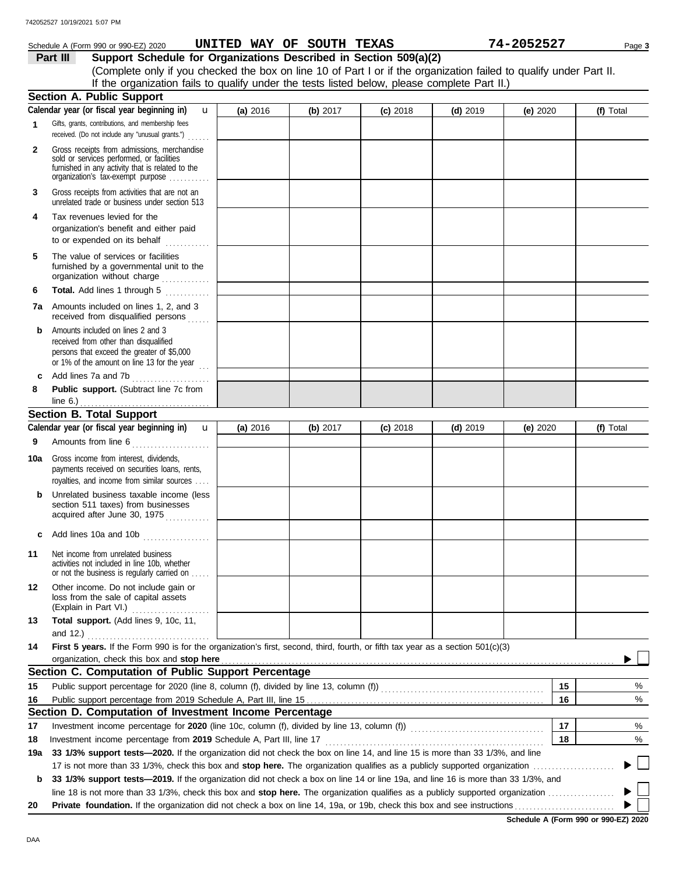#### Schedule A (Form 990 or 990-EZ) 2020 Page **3 UNITED WAY OF SOUTH TEXAS 74-2052527**

**Part III Support Schedule for Organizations Described in Section 509(a)(2)** (Complete only if you checked the box on line 10 of Part I or if the organization failed to qualify under Part II. If the organization fails to qualify under the tests listed below, please complete Part II.)

|              | <b>Section A. Public Support</b>                                                                                                  |            |            |            |            |            |                          |
|--------------|-----------------------------------------------------------------------------------------------------------------------------------|------------|------------|------------|------------|------------|--------------------------|
|              | Calendar year (or fiscal year beginning in)<br>u                                                                                  | (a) 2016   | (b) 2017   | $(c)$ 2018 | $(d)$ 2019 | (e) 2020   | (f) Total                |
| $\mathbf{1}$ | Gifts, grants, contributions, and membership fees                                                                                 |            |            |            |            |            |                          |
|              | received. (Do not include any "unusual grants.")                                                                                  |            |            |            |            |            |                          |
| $\mathbf{2}$ | Gross receipts from admissions, merchandise                                                                                       |            |            |            |            |            |                          |
|              | sold or services performed, or facilities<br>furnished in any activity that is related to the                                     |            |            |            |            |            |                          |
|              | organization's tax-exempt purpose                                                                                                 |            |            |            |            |            |                          |
| 3            | Gross receipts from activities that are not an                                                                                    |            |            |            |            |            |                          |
|              | unrelated trade or business under section 513                                                                                     |            |            |            |            |            |                          |
| 4            | Tax revenues levied for the                                                                                                       |            |            |            |            |            |                          |
|              | organization's benefit and either paid                                                                                            |            |            |            |            |            |                          |
|              | to or expended on its behalf                                                                                                      |            |            |            |            |            |                          |
| 5            | The value of services or facilities                                                                                               |            |            |            |            |            |                          |
|              | furnished by a governmental unit to the                                                                                           |            |            |            |            |            |                          |
|              | organization without charge                                                                                                       |            |            |            |            |            |                          |
| 6            | Total. Add lines 1 through 5<br>.                                                                                                 |            |            |            |            |            |                          |
|              | <b>7a</b> Amounts included on lines 1, 2, and 3<br>received from disqualified persons                                             |            |            |            |            |            |                          |
| b            | Amounts included on lines 2 and 3                                                                                                 |            |            |            |            |            |                          |
|              | received from other than disqualified                                                                                             |            |            |            |            |            |                          |
|              | persons that exceed the greater of \$5,000<br>or 1% of the amount on line 13 for the year                                         |            |            |            |            |            |                          |
| c            | Add lines 7a and 7b                                                                                                               |            |            |            |            |            |                          |
| 8            | .<br>Public support. (Subtract line 7c from                                                                                       |            |            |            |            |            |                          |
|              | line 6.) $\ldots$ $\ldots$ $\ldots$ $\ldots$ $\ldots$ $\ldots$ $\ldots$ $\ldots$                                                  |            |            |            |            |            |                          |
|              | <b>Section B. Total Support</b>                                                                                                   |            |            |            |            |            |                          |
|              | Calendar year (or fiscal year beginning in)<br>$\mathbf{u}$                                                                       | (a) $2016$ | (b) $2017$ | $(c)$ 2018 | $(d)$ 2019 | (e) $2020$ | (f) Total                |
| 9            | Amounts from line 6                                                                                                               |            |            |            |            |            |                          |
|              |                                                                                                                                   |            |            |            |            |            |                          |
| 10a          | Gross income from interest, dividends,<br>payments received on securities loans, rents,                                           |            |            |            |            |            |                          |
|              | royalties, and income from similar sources                                                                                        |            |            |            |            |            |                          |
| b            | Unrelated business taxable income (less                                                                                           |            |            |            |            |            |                          |
|              | section 511 taxes) from businesses                                                                                                |            |            |            |            |            |                          |
|              | acquired after June 30, 1975                                                                                                      |            |            |            |            |            |                          |
| c            | Add lines 10a and 10b                                                                                                             |            |            |            |            |            |                          |
|              |                                                                                                                                   |            |            |            |            |            |                          |
| 11           | Net income from unrelated business<br>activities not included in line 10b, whether                                                |            |            |            |            |            |                          |
|              | or not the business is regularly carried on                                                                                       |            |            |            |            |            |                          |
| 12           | Other income. Do not include gain or                                                                                              |            |            |            |            |            |                          |
|              | loss from the sale of capital assets                                                                                              |            |            |            |            |            |                          |
|              | (Explain in Part VI.)                                                                                                             |            |            |            |            |            |                          |
| 13           | Total support. (Add lines 9, 10c, 11,                                                                                             |            |            |            |            |            |                          |
|              | and 12.) $\ldots$                                                                                                                 |            |            |            |            |            |                          |
| 14           | First 5 years. If the Form 990 is for the organization's first, second, third, fourth, or fifth tax year as a section 501(c)(3)   |            |            |            |            |            |                          |
|              | organization, check this box and stop here                                                                                        |            |            |            |            |            |                          |
|              | Section C. Computation of Public Support Percentage                                                                               |            |            |            |            |            |                          |
| 15           | Public support percentage for 2020 (line 8, column (f), divided by line 13, column (f)) [[[[[[[[[[[[[[[[[[[[[                     |            |            |            |            | 15         | %                        |
| 16           | Section D. Computation of Investment Income Percentage                                                                            |            |            |            |            | 16         | %                        |
|              |                                                                                                                                   |            |            |            |            | 17         |                          |
| 17           |                                                                                                                                   |            |            |            |            | 18         | %                        |
| 18           | Investment income percentage from 2019 Schedule A, Part III, line 17                                                              |            |            |            |            |            | %                        |
| 19a          | 33 1/3% support tests-2020. If the organization did not check the box on line 14, and line 15 is more than 33 1/3%, and line      |            |            |            |            |            | $\overline{\phantom{a}}$ |
|              | 33 1/3% support tests—2019. If the organization did not check a box on line 14 or line 19a, and line 16 is more than 33 1/3%, and |            |            |            |            |            |                          |
| b            |                                                                                                                                   |            |            |            |            |            |                          |
|              |                                                                                                                                   |            |            |            |            |            |                          |
| 20           |                                                                                                                                   |            |            |            |            |            |                          |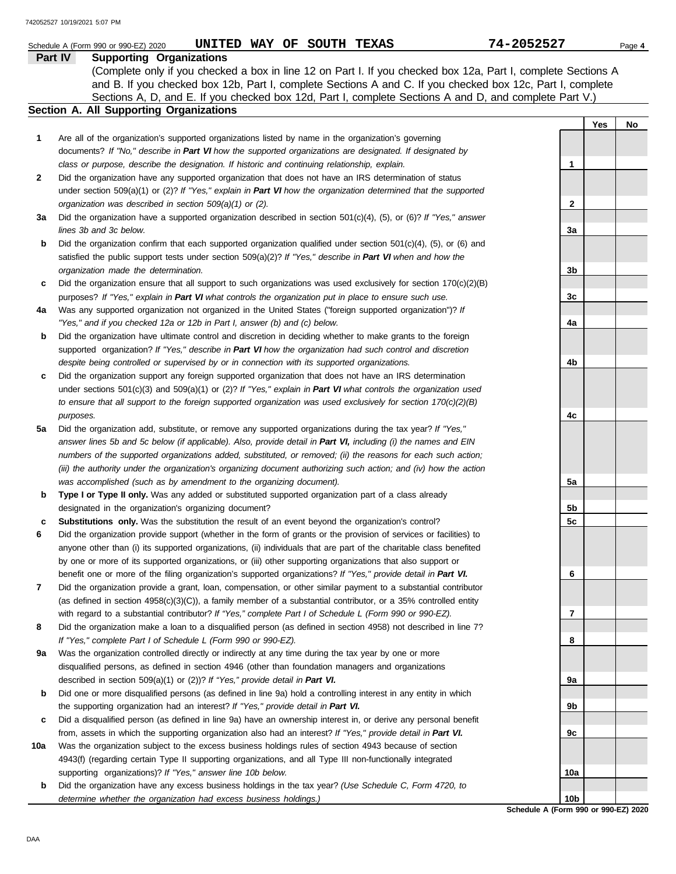|     | UNITED WAY OF SOUTH TEXAS<br>Schedule A (Form 990 or 990-EZ) 2020                                                   | 74-2052527      |     | Page 4 |
|-----|---------------------------------------------------------------------------------------------------------------------|-----------------|-----|--------|
|     | Part IV<br><b>Supporting Organizations</b>                                                                          |                 |     |        |
|     | (Complete only if you checked a box in line 12 on Part I. If you checked box 12a, Part I, complete Sections A       |                 |     |        |
|     | and B. If you checked box 12b, Part I, complete Sections A and C. If you checked box 12c, Part I, complete          |                 |     |        |
|     | Sections A, D, and E. If you checked box 12d, Part I, complete Sections A and D, and complete Part V.)              |                 |     |        |
|     | <b>Section A. All Supporting Organizations</b>                                                                      |                 |     |        |
|     |                                                                                                                     |                 | Yes | No     |
| 1   | Are all of the organization's supported organizations listed by name in the organization's governing                |                 |     |        |
|     | documents? If "No," describe in Part VI how the supported organizations are designated. If designated by            |                 |     |        |
|     | class or purpose, describe the designation. If historic and continuing relationship, explain.                       | 1               |     |        |
| 2   | Did the organization have any supported organization that does not have an IRS determination of status              |                 |     |        |
|     | under section 509(a)(1) or (2)? If "Yes," explain in Part VI how the organization determined that the supported     |                 |     |        |
|     | organization was described in section 509(a)(1) or (2).                                                             | $\mathbf{2}$    |     |        |
| За  | Did the organization have a supported organization described in section $501(c)(4)$ , (5), or (6)? If "Yes," answer |                 |     |        |
|     | lines 3b and 3c below.                                                                                              | 3a              |     |        |
| b   | Did the organization confirm that each supported organization qualified under section $501(c)(4)$ , (5), or (6) and |                 |     |        |
|     | satisfied the public support tests under section 509(a)(2)? If "Yes," describe in Part VI when and how the          |                 |     |        |
|     | organization made the determination.                                                                                | 3b              |     |        |
| c   | Did the organization ensure that all support to such organizations was used exclusively for section $170(c)(2)(B)$  |                 |     |        |
|     | purposes? If "Yes," explain in Part VI what controls the organization put in place to ensure such use.              | 3c              |     |        |
| 4a  | Was any supported organization not organized in the United States ("foreign supported organization")? If            |                 |     |        |
|     | "Yes," and if you checked 12a or 12b in Part I, answer (b) and (c) below.                                           | 4a              |     |        |
| b   | Did the organization have ultimate control and discretion in deciding whether to make grants to the foreign         |                 |     |        |
|     | supported organization? If "Yes," describe in Part VI how the organization had such control and discretion          |                 |     |        |
|     | despite being controlled or supervised by or in connection with its supported organizations.                        | 4b              |     |        |
| c   | Did the organization support any foreign supported organization that does not have an IRS determination             |                 |     |        |
|     | under sections $501(c)(3)$ and $509(a)(1)$ or (2)? If "Yes," explain in Part VI what controls the organization used |                 |     |        |
|     | to ensure that all support to the foreign supported organization was used exclusively for section $170(c)(2)(B)$    |                 |     |        |
|     | purposes.                                                                                                           | 4c              |     |        |
| 5a  | Did the organization add, substitute, or remove any supported organizations during the tax year? If "Yes,"          |                 |     |        |
|     | answer lines 5b and 5c below (if applicable). Also, provide detail in Part VI, including (i) the names and EIN      |                 |     |        |
|     | numbers of the supported organizations added, substituted, or removed; (ii) the reasons for each such action;       |                 |     |        |
|     | (iii) the authority under the organization's organizing document authorizing such action; and (iv) how the action   |                 |     |        |
|     | was accomplished (such as by amendment to the organizing document).                                                 | 5a              |     |        |
| b   | Type I or Type II only. Was any added or substituted supported organization part of a class already                 |                 |     |        |
|     | designated in the organization's organizing document?                                                               | 5b              |     |        |
| с   | <b>Substitutions only.</b> Was the substitution the result of an event beyond the organization's control?           | 5c              |     |        |
|     | Did the organization provide support (whether in the form of grants or the provision of services or facilities) to  |                 |     |        |
|     | anyone other than (i) its supported organizations, (ii) individuals that are part of the charitable class benefited |                 |     |        |
|     | by one or more of its supported organizations, or (iii) other supporting organizations that also support or         |                 |     |        |
|     | benefit one or more of the filing organization's supported organizations? If "Yes," provide detail in Part VI.      | 6               |     |        |
| 7   | Did the organization provide a grant, loan, compensation, or other similar payment to a substantial contributor     |                 |     |        |
|     | (as defined in section $4958(c)(3)(C)$ ), a family member of a substantial contributor, or a 35% controlled entity  |                 |     |        |
|     | with regard to a substantial contributor? If "Yes," complete Part I of Schedule L (Form 990 or 990-EZ).             | 7               |     |        |
| 8   | Did the organization make a loan to a disqualified person (as defined in section 4958) not described in line 7?     |                 |     |        |
|     | If "Yes," complete Part I of Schedule L (Form 990 or 990-EZ).                                                       | 8               |     |        |
| 9а  | Was the organization controlled directly or indirectly at any time during the tax year by one or more               |                 |     |        |
|     | disqualified persons, as defined in section 4946 (other than foundation managers and organizations                  |                 |     |        |
|     | described in section 509(a)(1) or (2))? If "Yes," provide detail in Part VI.                                        | 9а              |     |        |
| b   | Did one or more disqualified persons (as defined in line 9a) hold a controlling interest in any entity in which     |                 |     |        |
|     | the supporting organization had an interest? If "Yes," provide detail in Part VI.                                   | 9b              |     |        |
| c   | Did a disqualified person (as defined in line 9a) have an ownership interest in, or derive any personal benefit     |                 |     |        |
|     | from, assets in which the supporting organization also had an interest? If "Yes," provide detail in Part VI.        | 9с              |     |        |
| 10a | Was the organization subject to the excess business holdings rules of section 4943 because of section               |                 |     |        |
|     | 4943(f) (regarding certain Type II supporting organizations, and all Type III non-functionally integrated           |                 |     |        |
|     | supporting organizations)? If "Yes," answer line 10b below.                                                         | 10a             |     |        |
| b   | Did the organization have any excess business holdings in the tax year? (Use Schedule C, Form 4720, to              | 10 <sub>b</sub> |     |        |
|     | determine whether the organization had excess business holdings.)                                                   |                 |     |        |

**Schedule A (Form 990 or 990-EZ) 2020**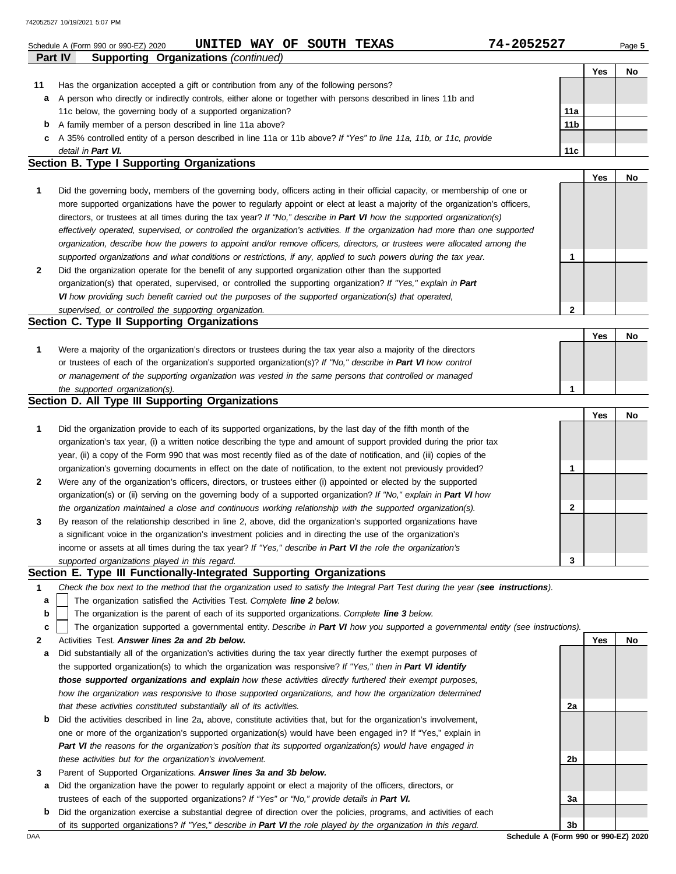|    | UNITED WAY OF SOUTH TEXAS<br>Schedule A (Form 990 or 990-EZ) 2020                                                                                                                                                            | 74-2052527      |     | Page 5 |
|----|------------------------------------------------------------------------------------------------------------------------------------------------------------------------------------------------------------------------------|-----------------|-----|--------|
|    | <b>Supporting Organizations (continued)</b><br><b>Part IV</b>                                                                                                                                                                |                 |     |        |
|    |                                                                                                                                                                                                                              |                 | Yes | No     |
| 11 | Has the organization accepted a gift or contribution from any of the following persons?                                                                                                                                      |                 |     |        |
| a  | A person who directly or indirectly controls, either alone or together with persons described in lines 11b and                                                                                                               |                 |     |        |
|    | 11c below, the governing body of a supported organization?                                                                                                                                                                   | 11a             |     |        |
| b  | A family member of a person described in line 11a above?<br>A 35% controlled entity of a person described in line 11a or 11b above? If "Yes" to line 11a, 11b, or 11c, provide                                               | 11 <sub>b</sub> |     |        |
| c  | detail in Part VI.                                                                                                                                                                                                           | 11c             |     |        |
|    | Section B. Type I Supporting Organizations                                                                                                                                                                                   |                 |     |        |
|    |                                                                                                                                                                                                                              |                 | Yes | No     |
| 1  | Did the governing body, members of the governing body, officers acting in their official capacity, or membership of one or                                                                                                   |                 |     |        |
|    | more supported organizations have the power to regularly appoint or elect at least a majority of the organization's officers,                                                                                                |                 |     |        |
|    | directors, or trustees at all times during the tax year? If "No," describe in Part VI how the supported organization(s)                                                                                                      |                 |     |        |
|    | effectively operated, supervised, or controlled the organization's activities. If the organization had more than one supported                                                                                               |                 |     |        |
|    | organization, describe how the powers to appoint and/or remove officers, directors, or trustees were allocated among the                                                                                                     |                 |     |        |
|    | supported organizations and what conditions or restrictions, if any, applied to such powers during the tax year.                                                                                                             | 1               |     |        |
| 2  | Did the organization operate for the benefit of any supported organization other than the supported                                                                                                                          |                 |     |        |
|    | organization(s) that operated, supervised, or controlled the supporting organization? If "Yes," explain in Part                                                                                                              |                 |     |        |
|    | VI how providing such benefit carried out the purposes of the supported organization(s) that operated,                                                                                                                       |                 |     |        |
|    | supervised, or controlled the supporting organization.                                                                                                                                                                       | 2               |     |        |
|    | Section C. Type II Supporting Organizations                                                                                                                                                                                  |                 |     |        |
|    |                                                                                                                                                                                                                              |                 | Yes | No     |
| 1  | Were a majority of the organization's directors or trustees during the tax year also a majority of the directors                                                                                                             |                 |     |        |
|    | or trustees of each of the organization's supported organization(s)? If "No," describe in Part VI how control                                                                                                                |                 |     |        |
|    | or management of the supporting organization was vested in the same persons that controlled or managed                                                                                                                       |                 |     |        |
|    | the supported organization(s).                                                                                                                                                                                               | 1               |     |        |
|    | Section D. All Type III Supporting Organizations                                                                                                                                                                             |                 |     |        |
|    |                                                                                                                                                                                                                              |                 | Yes | No     |
| 1  | Did the organization provide to each of its supported organizations, by the last day of the fifth month of the                                                                                                               |                 |     |        |
|    | organization's tax year, (i) a written notice describing the type and amount of support provided during the prior tax                                                                                                        |                 |     |        |
|    | year, (ii) a copy of the Form 990 that was most recently filed as of the date of notification, and (iii) copies of the                                                                                                       |                 |     |        |
|    | organization's governing documents in effect on the date of notification, to the extent not previously provided?                                                                                                             | 1               |     |        |
| 2  | Were any of the organization's officers, directors, or trustees either (i) appointed or elected by the supported                                                                                                             |                 |     |        |
|    | organization(s) or (ii) serving on the governing body of a supported organization? If "No," explain in Part VI how                                                                                                           |                 |     |        |
|    | the organization maintained a close and continuous working relationship with the supported organization(s).                                                                                                                  | 2               |     |        |
|    | By reason of the relationship described in line 2, above, did the organization's supported organizations have                                                                                                                |                 |     |        |
|    | a significant voice in the organization's investment policies and in directing the use of the organization's                                                                                                                 |                 |     |        |
|    | income or assets at all times during the tax year? If "Yes," describe in Part VI the role the organization's                                                                                                                 |                 |     |        |
|    | supported organizations played in this regard.                                                                                                                                                                               | 3               |     |        |
|    | Section E. Type III Functionally-Integrated Supporting Organizations                                                                                                                                                         |                 |     |        |
| 1  | Check the box next to the method that the organization used to satisfy the Integral Part Test during the year (see instructions).                                                                                            |                 |     |        |
| а  | The organization satisfied the Activities Test. Complete line 2 below.                                                                                                                                                       |                 |     |        |
| b  | The organization is the parent of each of its supported organizations. Complete line 3 below.                                                                                                                                |                 |     |        |
| c  | The organization supported a governmental entity. Describe in Part VI how you supported a governmental entity (see instructions).                                                                                            |                 |     |        |
| 2  | Activities Test. Answer lines 2a and 2b below.                                                                                                                                                                               |                 | Yes | No     |
| а  | Did substantially all of the organization's activities during the tax year directly further the exempt purposes of                                                                                                           |                 |     |        |
|    | the supported organization(s) to which the organization was responsive? If "Yes," then in Part VI identify<br>those supported organizations and explain how these activities directly furthered their exempt purposes,       |                 |     |        |
|    |                                                                                                                                                                                                                              |                 |     |        |
|    | how the organization was responsive to those supported organizations, and how the organization determined<br>that these activities constituted substantially all of its activities.                                          | 2a              |     |        |
|    | Did the activities described in line 2a, above, constitute activities that, but for the organization's involvement,                                                                                                          |                 |     |        |
| b  |                                                                                                                                                                                                                              |                 |     |        |
|    | one or more of the organization's supported organization(s) would have been engaged in? If "Yes," explain in<br>Part VI the reasons for the organization's position that its supported organization(s) would have engaged in |                 |     |        |
|    |                                                                                                                                                                                                                              | 2b              |     |        |
|    | these activities but for the organization's involvement.<br>Parent of Supported Organizations. Answer lines 3a and 3b below.                                                                                                 |                 |     |        |
| 3  | Did the organization have the power to regularly appoint or elect a majority of the officers, directors, or                                                                                                                  |                 |     |        |
| а  | trustees of each of the supported organizations? If "Yes" or "No," provide details in Part VI.                                                                                                                               | За              |     |        |
|    |                                                                                                                                                                                                                              |                 |     |        |

|     | Did the organization exercise a substantial degree of direction over the policies, programs, and activities of each |                                      |  |
|-----|---------------------------------------------------------------------------------------------------------------------|--------------------------------------|--|
|     | of its supported organizations? If "Yes," describe in Part VI the role played by the organization in this regard.   | 3 <sub>b</sub>                       |  |
| DAA |                                                                                                                     | Schedule A (Form 990 or 990-EZ) 2020 |  |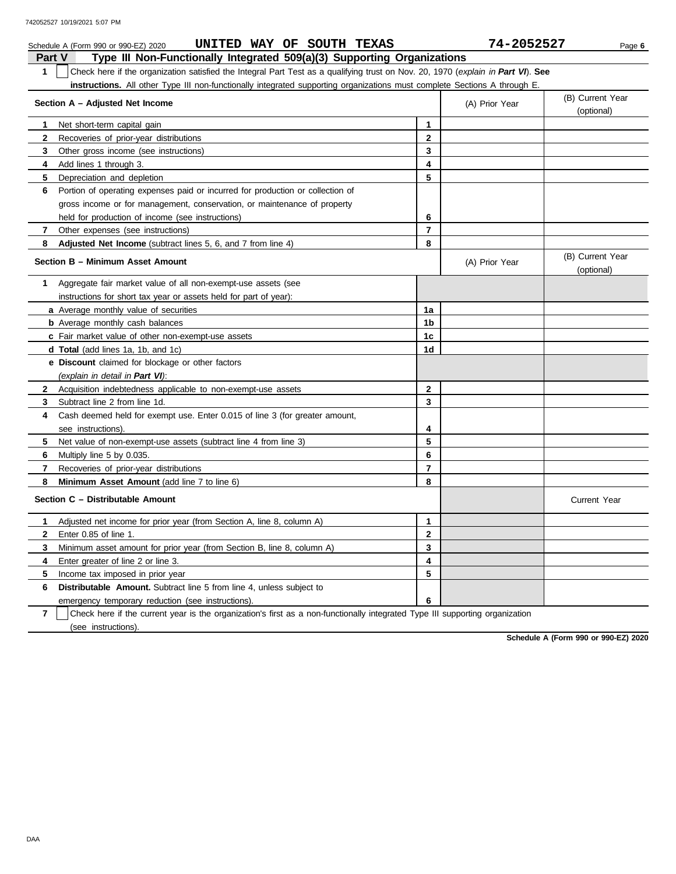|               | UNITED WAY OF SOUTH TEXAS<br>Schedule A (Form 990 or 990-EZ) 2020                                                                |                         | 74-2052527     | Page 6                         |
|---------------|----------------------------------------------------------------------------------------------------------------------------------|-------------------------|----------------|--------------------------------|
| <b>Part V</b> | Type III Non-Functionally Integrated 509(a)(3) Supporting Organizations                                                          |                         |                |                                |
| $\mathbf{1}$  | Check here if the organization satisfied the Integral Part Test as a qualifying trust on Nov. 20, 1970 (explain in Part VI). See |                         |                |                                |
|               | instructions. All other Type III non-functionally integrated supporting organizations must complete Sections A through E.        |                         |                |                                |
|               | Section A - Adjusted Net Income                                                                                                  |                         | (A) Prior Year | (B) Current Year<br>(optional) |
| $\mathbf 1$   | Net short-term capital gain                                                                                                      | 1                       |                |                                |
| $\mathbf{2}$  | Recoveries of prior-year distributions                                                                                           | $\mathbf 2$             |                |                                |
| 3             | Other gross income (see instructions)                                                                                            | 3                       |                |                                |
| 4             | Add lines 1 through 3.                                                                                                           | 4                       |                |                                |
| 5             | Depreciation and depletion                                                                                                       | 5                       |                |                                |
| 6             | Portion of operating expenses paid or incurred for production or collection of                                                   |                         |                |                                |
|               | gross income or for management, conservation, or maintenance of property                                                         |                         |                |                                |
|               | held for production of income (see instructions)                                                                                 | 6                       |                |                                |
| $\mathbf{7}$  | Other expenses (see instructions)                                                                                                | $\overline{7}$          |                |                                |
| 8             | Adjusted Net Income (subtract lines 5, 6, and 7 from line 4)                                                                     | 8                       |                |                                |
|               | Section B - Minimum Asset Amount                                                                                                 |                         | (A) Prior Year | (B) Current Year<br>(optional) |
| 1             | Aggregate fair market value of all non-exempt-use assets (see                                                                    |                         |                |                                |
|               | instructions for short tax year or assets held for part of year):                                                                |                         |                |                                |
|               | <b>a</b> Average monthly value of securities                                                                                     | 1a                      |                |                                |
|               | <b>b</b> Average monthly cash balances                                                                                           | 1b                      |                |                                |
|               | c Fair market value of other non-exempt-use assets                                                                               | 1 <sub>c</sub>          |                |                                |
|               | d Total (add lines 1a, 1b, and 1c)                                                                                               | 1 <sub>d</sub>          |                |                                |
|               | <b>e</b> Discount claimed for blockage or other factors                                                                          |                         |                |                                |
|               | (explain in detail in Part VI):                                                                                                  |                         |                |                                |
| $\mathbf{2}$  | Acquisition indebtedness applicable to non-exempt-use assets                                                                     | $\mathbf{2}$            |                |                                |
| 3             | Subtract line 2 from line 1d.                                                                                                    | 3                       |                |                                |
| 4             | Cash deemed held for exempt use. Enter 0.015 of line 3 (for greater amount,                                                      |                         |                |                                |
|               | see instructions).                                                                                                               | 4                       |                |                                |
| 5.            | Net value of non-exempt-use assets (subtract line 4 from line 3)                                                                 | 5                       |                |                                |
| 6             | Multiply line 5 by 0.035.                                                                                                        | 6                       |                |                                |
| $\mathbf{7}$  | Recoveries of prior-year distributions                                                                                           | $\overline{\mathbf{r}}$ |                |                                |
| 8             | <b>Minimum Asset Amount</b> (add line 7 to line 6)                                                                               | 8                       |                |                                |
|               | Section C - Distributable Amount                                                                                                 |                         |                | <b>Current Year</b>            |
| 1.            | Adjusted net income for prior year (from Section A, line 8, column A)                                                            | $\mathbf{1}$            |                |                                |
| $\mathbf{2}$  | Enter 0.85 of line 1.                                                                                                            | $\mathbf 2$             |                |                                |
| 3             | Minimum asset amount for prior year (from Section B, line 8, column A)                                                           | 3                       |                |                                |
| 4             | Enter greater of line 2 or line 3.                                                                                               | 4                       |                |                                |
| 5             | Income tax imposed in prior year                                                                                                 | 5                       |                |                                |
| 6             | <b>Distributable Amount.</b> Subtract line 5 from line 4, unless subject to                                                      |                         |                |                                |
|               | emergency temporary reduction (see instructions).                                                                                | 6                       |                |                                |
|               |                                                                                                                                  |                         |                |                                |

**7** (see instructions). Check here if the current year is the organization's first as a non-functionally integrated Type III supporting organization

**Schedule A (Form 990 or 990-EZ) 2020**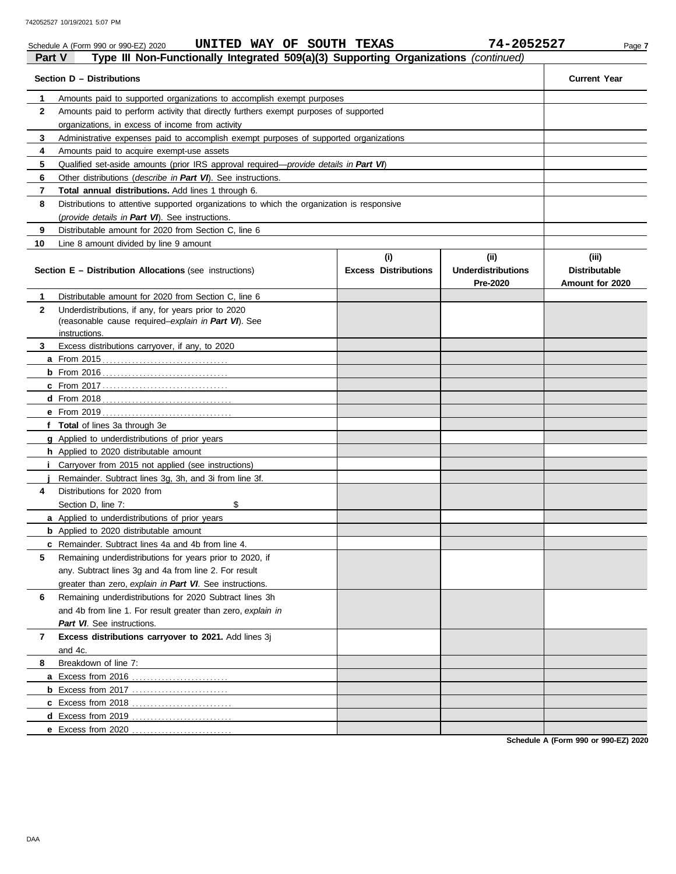|               | UNITED WAY OF SOUTH TEXAS<br>Schedule A (Form 990 or 990-EZ) 2020                          |                                    | 74-2052527                                    | Page 7                                           |
|---------------|--------------------------------------------------------------------------------------------|------------------------------------|-----------------------------------------------|--------------------------------------------------|
| <b>Part V</b> | Type III Non-Functionally Integrated 509(a)(3) Supporting Organizations (continued)        |                                    |                                               |                                                  |
|               | Section D - Distributions                                                                  |                                    |                                               | <b>Current Year</b>                              |
| 1.            | Amounts paid to supported organizations to accomplish exempt purposes                      |                                    |                                               |                                                  |
| $\mathbf{2}$  | Amounts paid to perform activity that directly furthers exempt purposes of supported       |                                    |                                               |                                                  |
|               | organizations, in excess of income from activity                                           |                                    |                                               |                                                  |
| 3             | Administrative expenses paid to accomplish exempt purposes of supported organizations      |                                    |                                               |                                                  |
| 4             | Amounts paid to acquire exempt-use assets                                                  |                                    |                                               |                                                  |
| 5             | Qualified set-aside amounts (prior IRS approval required-provide details in Part VI)       |                                    |                                               |                                                  |
| 6             | Other distributions (describe in Part VI). See instructions.                               |                                    |                                               |                                                  |
| 7             | Total annual distributions. Add lines 1 through 6.                                         |                                    |                                               |                                                  |
| 8             | Distributions to attentive supported organizations to which the organization is responsive |                                    |                                               |                                                  |
|               | (provide details in Part VI). See instructions.                                            |                                    |                                               |                                                  |
| 9             | Distributable amount for 2020 from Section C, line 6                                       |                                    |                                               |                                                  |
| 10            | Line 8 amount divided by line 9 amount                                                     |                                    |                                               |                                                  |
|               | <b>Section E - Distribution Allocations (see instructions)</b>                             | (i)<br><b>Excess Distributions</b> | (ii)<br><b>Underdistributions</b><br>Pre-2020 | (iii)<br><b>Distributable</b><br>Amount for 2020 |
| $\mathbf 1$   | Distributable amount for 2020 from Section C, line 6                                       |                                    |                                               |                                                  |
| $\mathbf{2}$  | Underdistributions, if any, for years prior to 2020                                        |                                    |                                               |                                                  |
|               | (reasonable cause required-explain in Part VI). See                                        |                                    |                                               |                                                  |
|               | instructions.                                                                              |                                    |                                               |                                                  |
| 3             | Excess distributions carryover, if any, to 2020                                            |                                    |                                               |                                                  |
|               |                                                                                            |                                    |                                               |                                                  |
|               |                                                                                            |                                    |                                               |                                                  |
|               |                                                                                            |                                    |                                               |                                                  |
|               |                                                                                            |                                    |                                               |                                                  |
|               |                                                                                            |                                    |                                               |                                                  |
|               | f Total of lines 3a through 3e                                                             |                                    |                                               |                                                  |
|               | <b>g</b> Applied to underdistributions of prior years                                      |                                    |                                               |                                                  |
|               | <b>h</b> Applied to 2020 distributable amount                                              |                                    |                                               |                                                  |
|               | <i>i</i> Carryover from 2015 not applied (see instructions)                                |                                    |                                               |                                                  |
|               | Remainder. Subtract lines 3g, 3h, and 3i from line 3f.                                     |                                    |                                               |                                                  |
| 4             | Distributions for 2020 from                                                                |                                    |                                               |                                                  |
|               | \$<br>Section D, line 7:                                                                   |                                    |                                               |                                                  |
|               | <b>a</b> Applied to underdistributions of prior years                                      |                                    |                                               |                                                  |
|               | <b>b</b> Applied to 2020 distributable amount                                              |                                    |                                               |                                                  |
|               | c Remainder. Subtract lines 4a and 4b from line 4.                                         |                                    |                                               |                                                  |
| 5             | Remaining underdistributions for years prior to 2020, if                                   |                                    |                                               |                                                  |
|               | any. Subtract lines 3g and 4a from line 2. For result                                      |                                    |                                               |                                                  |
|               | greater than zero, explain in Part VI. See instructions.                                   |                                    |                                               |                                                  |
| 6             | Remaining underdistributions for 2020 Subtract lines 3h                                    |                                    |                                               |                                                  |
|               | and 4b from line 1. For result greater than zero, explain in                               |                                    |                                               |                                                  |
|               | Part VI. See instructions.                                                                 |                                    |                                               |                                                  |
| 7             | Excess distributions carryover to 2021. Add lines 3j                                       |                                    |                                               |                                                  |
|               | and 4c.                                                                                    |                                    |                                               |                                                  |
| 8             | Breakdown of line 7:                                                                       |                                    |                                               |                                                  |
|               |                                                                                            |                                    |                                               |                                                  |
|               | <b>b</b> Excess from 2017                                                                  |                                    |                                               |                                                  |
|               |                                                                                            |                                    |                                               |                                                  |
|               |                                                                                            |                                    |                                               |                                                  |
|               | e Excess from 2020                                                                         |                                    |                                               |                                                  |

**Schedule A (Form 990 or 990-EZ) 2020**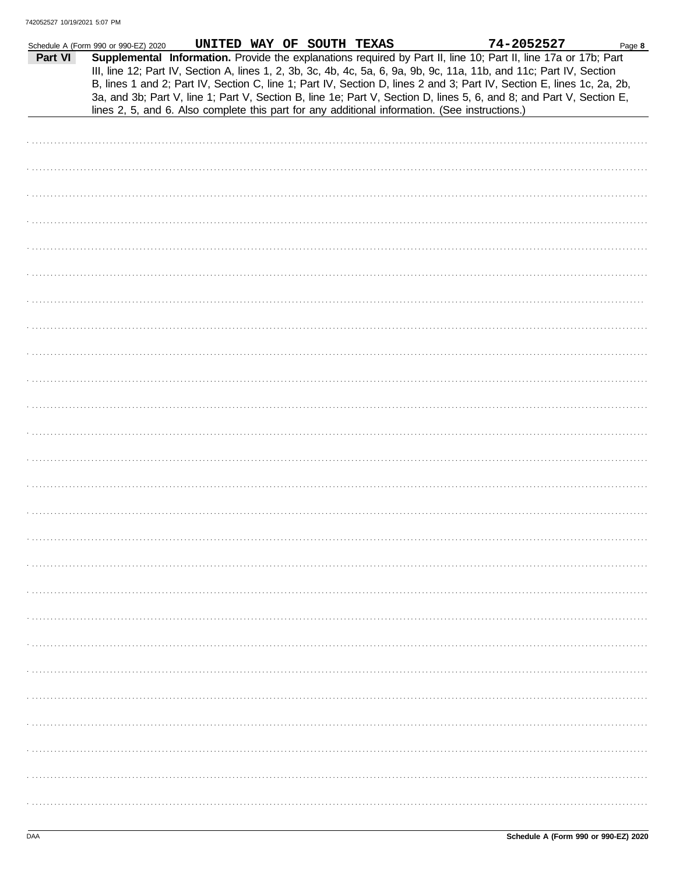| Part VI | Schedule A (Form 990 or 990-EZ) 2020<br>lines 2, 5, and 6. Also complete this part for any additional information. (See instructions.) |  | UNITED WAY OF SOUTH TEXAS |  | 74-2052527<br>Supplemental Information. Provide the explanations required by Part II, line 10; Part II, line 17a or 17b; Part<br>III, line 12; Part IV, Section A, lines 1, 2, 3b, 3c, 4b, 4c, 5a, 6, 9a, 9b, 9c, 11a, 11b, and 11c; Part IV, Section<br>B, lines 1 and 2; Part IV, Section C, line 1; Part IV, Section D, lines 2 and 3; Part IV, Section E, lines 1c, 2a, 2b,<br>3a, and 3b; Part V, line 1; Part V, Section B, line 1e; Part V, Section D, lines 5, 6, and 8; and Part V, Section E, | Page 8 |
|---------|----------------------------------------------------------------------------------------------------------------------------------------|--|---------------------------|--|---------------------------------------------------------------------------------------------------------------------------------------------------------------------------------------------------------------------------------------------------------------------------------------------------------------------------------------------------------------------------------------------------------------------------------------------------------------------------------------------------------|--------|
|         |                                                                                                                                        |  |                           |  |                                                                                                                                                                                                                                                                                                                                                                                                                                                                                                         |        |
|         |                                                                                                                                        |  |                           |  |                                                                                                                                                                                                                                                                                                                                                                                                                                                                                                         |        |
|         |                                                                                                                                        |  |                           |  |                                                                                                                                                                                                                                                                                                                                                                                                                                                                                                         |        |
|         |                                                                                                                                        |  |                           |  |                                                                                                                                                                                                                                                                                                                                                                                                                                                                                                         |        |
|         |                                                                                                                                        |  |                           |  |                                                                                                                                                                                                                                                                                                                                                                                                                                                                                                         |        |
|         |                                                                                                                                        |  |                           |  |                                                                                                                                                                                                                                                                                                                                                                                                                                                                                                         |        |
|         |                                                                                                                                        |  |                           |  |                                                                                                                                                                                                                                                                                                                                                                                                                                                                                                         |        |
|         |                                                                                                                                        |  |                           |  |                                                                                                                                                                                                                                                                                                                                                                                                                                                                                                         |        |
|         |                                                                                                                                        |  |                           |  |                                                                                                                                                                                                                                                                                                                                                                                                                                                                                                         |        |
|         |                                                                                                                                        |  |                           |  |                                                                                                                                                                                                                                                                                                                                                                                                                                                                                                         |        |
|         |                                                                                                                                        |  |                           |  |                                                                                                                                                                                                                                                                                                                                                                                                                                                                                                         |        |
|         |                                                                                                                                        |  |                           |  |                                                                                                                                                                                                                                                                                                                                                                                                                                                                                                         |        |
|         |                                                                                                                                        |  |                           |  |                                                                                                                                                                                                                                                                                                                                                                                                                                                                                                         |        |
|         |                                                                                                                                        |  |                           |  |                                                                                                                                                                                                                                                                                                                                                                                                                                                                                                         |        |
|         |                                                                                                                                        |  |                           |  |                                                                                                                                                                                                                                                                                                                                                                                                                                                                                                         |        |
|         |                                                                                                                                        |  |                           |  |                                                                                                                                                                                                                                                                                                                                                                                                                                                                                                         |        |
|         |                                                                                                                                        |  |                           |  |                                                                                                                                                                                                                                                                                                                                                                                                                                                                                                         |        |
|         |                                                                                                                                        |  |                           |  |                                                                                                                                                                                                                                                                                                                                                                                                                                                                                                         |        |
|         |                                                                                                                                        |  |                           |  |                                                                                                                                                                                                                                                                                                                                                                                                                                                                                                         |        |
|         |                                                                                                                                        |  |                           |  |                                                                                                                                                                                                                                                                                                                                                                                                                                                                                                         |        |
|         |                                                                                                                                        |  |                           |  |                                                                                                                                                                                                                                                                                                                                                                                                                                                                                                         |        |
|         |                                                                                                                                        |  |                           |  |                                                                                                                                                                                                                                                                                                                                                                                                                                                                                                         |        |
|         |                                                                                                                                        |  |                           |  |                                                                                                                                                                                                                                                                                                                                                                                                                                                                                                         |        |
|         |                                                                                                                                        |  |                           |  |                                                                                                                                                                                                                                                                                                                                                                                                                                                                                                         |        |
|         |                                                                                                                                        |  |                           |  |                                                                                                                                                                                                                                                                                                                                                                                                                                                                                                         |        |
|         |                                                                                                                                        |  |                           |  |                                                                                                                                                                                                                                                                                                                                                                                                                                                                                                         |        |
|         |                                                                                                                                        |  |                           |  |                                                                                                                                                                                                                                                                                                                                                                                                                                                                                                         |        |
|         |                                                                                                                                        |  |                           |  |                                                                                                                                                                                                                                                                                                                                                                                                                                                                                                         |        |
|         |                                                                                                                                        |  |                           |  |                                                                                                                                                                                                                                                                                                                                                                                                                                                                                                         |        |
|         |                                                                                                                                        |  |                           |  |                                                                                                                                                                                                                                                                                                                                                                                                                                                                                                         |        |
|         |                                                                                                                                        |  |                           |  |                                                                                                                                                                                                                                                                                                                                                                                                                                                                                                         |        |
|         |                                                                                                                                        |  |                           |  |                                                                                                                                                                                                                                                                                                                                                                                                                                                                                                         |        |
|         |                                                                                                                                        |  |                           |  |                                                                                                                                                                                                                                                                                                                                                                                                                                                                                                         |        |
|         |                                                                                                                                        |  |                           |  |                                                                                                                                                                                                                                                                                                                                                                                                                                                                                                         |        |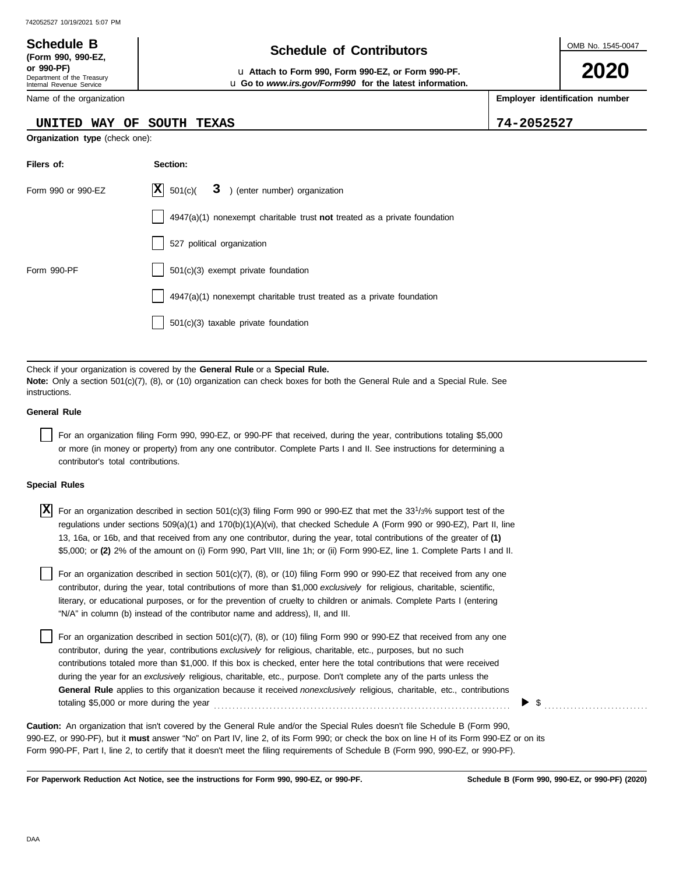Department of the Treasury Internal Revenue Service Name of the organization

**(Form 990, 990-EZ,**

## **Schedule of Contributors Schedule B**

**or 990-PF)** u **Attach to Form 990, Form 990-EZ, or Form 990-PF.** u **Go to** *www.irs.gov/Form990* **for the latest information.** OMB No. 1545-0047

**2020**

**Employer identification number**

**UNITED WAY OF SOUTH TEXAS 74-2052527**

**Organization type** (check one):

| Filers of:         | Section:                                                                    |
|--------------------|-----------------------------------------------------------------------------|
| Form 990 or 990-EZ | $ \mathbf{X} $ 501(c)( 3) (enter number) organization                       |
|                    | $4947(a)(1)$ nonexempt charitable trust not treated as a private foundation |
|                    | 527 political organization                                                  |
| Form 990-PF        | 501(c)(3) exempt private foundation                                         |
|                    | 4947(a)(1) nonexempt charitable trust treated as a private foundation       |
|                    | 501(c)(3) taxable private foundation                                        |

Check if your organization is covered by the **General Rule** or a **Special Rule. Note:** Only a section 501(c)(7), (8), or (10) organization can check boxes for both the General Rule and a Special Rule. See instructions.

#### **General Rule**

For an organization filing Form 990, 990-EZ, or 990-PF that received, during the year, contributions totaling \$5,000 or more (in money or property) from any one contributor. Complete Parts I and II. See instructions for determining a contributor's total contributions.

#### **Special Rules**

| $\overline{X}$ For an organization described in section 501(c)(3) filing Form 990 or 990-EZ that met the 33 <sup>1</sup> /3% support test of the |
|--------------------------------------------------------------------------------------------------------------------------------------------------|
| regulations under sections 509(a)(1) and 170(b)(1)(A)(vi), that checked Schedule A (Form 990 or 990-EZ), Part II, line                           |
| 13, 16a, or 16b, and that received from any one contributor, during the year, total contributions of the greater of (1)                          |
| \$5,000; or (2) 2% of the amount on (i) Form 990, Part VIII, line 1h; or (ii) Form 990-EZ, line 1. Complete Parts I and II.                      |

literary, or educational purposes, or for the prevention of cruelty to children or animals. Complete Parts I (entering For an organization described in section 501(c)(7), (8), or (10) filing Form 990 or 990-EZ that received from any one contributor, during the year, total contributions of more than \$1,000 *exclusively* for religious, charitable, scientific, "N/A" in column (b) instead of the contributor name and address), II, and III.

For an organization described in section 501(c)(7), (8), or (10) filing Form 990 or 990-EZ that received from any one contributor, during the year, contributions *exclusively* for religious, charitable, etc., purposes, but no such contributions totaled more than \$1,000. If this box is checked, enter here the total contributions that were received during the year for an *exclusively* religious, charitable, etc., purpose. Don't complete any of the parts unless the **General Rule** applies to this organization because it received *nonexclusively* religious, charitable, etc., contributions totaling \$5,000 or more during the year . . . . . . . . . . . . . . . . . . . . . . . . . . . . . . . . . . . . . . . . . . . . . . . . . . . . . . . . . . . . . . . . . . . . . . . . . . . . . . . .

990-EZ, or 990-PF), but it **must** answer "No" on Part IV, line 2, of its Form 990; or check the box on line H of its Form 990-EZ or on its Form 990-PF, Part I, line 2, to certify that it doesn't meet the filing requirements of Schedule B (Form 990, 990-EZ, or 990-PF). **Caution:** An organization that isn't covered by the General Rule and/or the Special Rules doesn't file Schedule B (Form 990,

**For Paperwork Reduction Act Notice, see the instructions for Form 990, 990-EZ, or 990-PF.**

\$ . . . . . . . . . . . . . . . . . . . . . . . . . . . .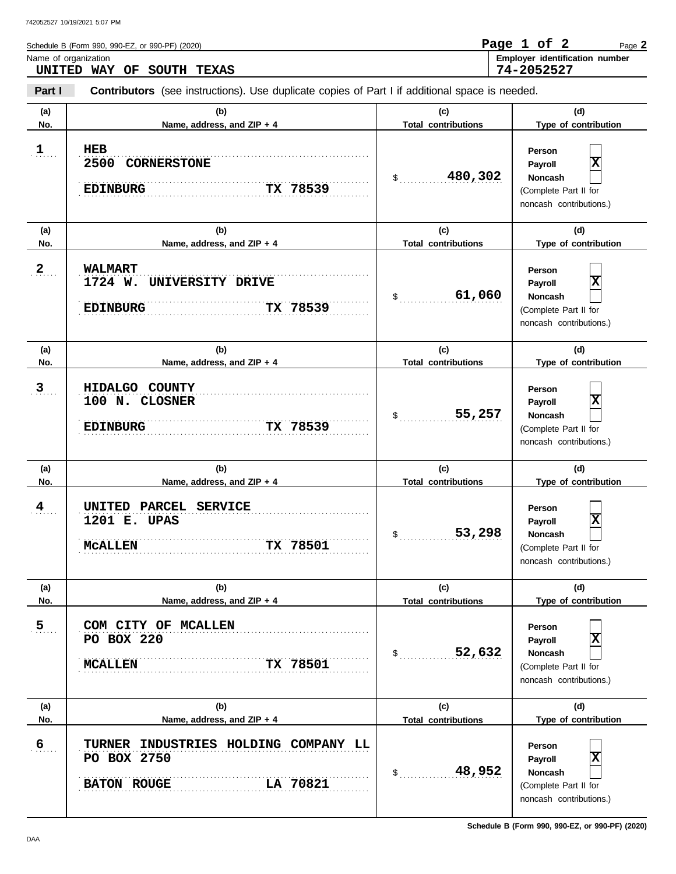**Part I Type of contribution Person Payroll Noncash (a) (b) (c) (d)** No. Name, address, and ZIP + 4 **Total contributions** Type of contribution **Person Payroll Noncash (a) (b) (c) (d)** No. Name, address, and ZIP + 4 **Total contributions** Type of contribution **Person Payroll Noncash (a) (b) (c) (d) No. Name, address, and ZIP + 4 Type of contribution Person Payroll Noncash** Schedule B (Form 990, 990-EZ, or 990-PF) (2020) \$ . . . . . . . . . . . . . . . . . . . . . . . . . . . . **480,302** (Complete Part II for noncash contributions.)  $\$\quad$ (Complete Part II for noncash contributions.) \$ . . . . . . . . . . . . . . . . . . . . . . . . . . . . (Complete Part II for noncash contributions.)  $\frac{1}{2}$ (Complete Part II for noncash contributions.)  $\frac{1}{2}$ (Complete Part II for noncash contributions.) \$ . . . . . . . . . . . . . . . . . . . . . . . . . . . . **48,952** (Complete Part II for noncash contributions.) **Contributors** (see instructions). Use duplicate copies of Part I if additional space is needed. **(a) (b) (c) (d) No. Name, address, and ZIP + 4 Total contributions Type of contribution Person Payroll Noncash (a) (b) (c) (d) No. Name, address, and ZIP + 4 Type of contribution Person Payroll Noncash (a) (b) (c) (d) No. Name, address, and ZIP + 4** Name of organization **Employer identification number** . . . . . . . **1 HEB**  $2 \ldots$  $3 \quad .$  $4 \quad .$  $5_{\ldots}$  $6.$ **BATON ROUGE LA** 70821 . . . . . . . . . . . . . . . . . . . . . . . . . . . . . . . . . . . . . . . . . . . . . . . . . . . . . . . . . . . . . . . . . . . . . . . . . . . . . . . . . . . . . . . . . . . . . . . . . . . . . . . . . . . . . . . . . . . . . . . . . . . . . . . . . . . . . . . . . . . . . . . . . . . . . . . . . . . . **6 TURNER INDUSTRIES HOLDING COMPANY LL** . . . . . . . . . . . . . . . . . . . . . . . . . . . . . . . . . . . . . . . . . . . . . . . . . . . . . . . . . . . . . . . . . . . . . . . . . . . . . . **5 COM CITY OF MCALLEN** . . . . . . . . . . . . . . . . . . . . . . . . . . . . . . . . . . . . . . . . . . . . . . . . . . . . . . . . . . . . . . . . . . . . . . . . . . . . . . **MCALLEN TX 78501** . . . . . . . . . . . . . . . . . . . . . . . . . . . . . . . . . . . . . . . . . . . . . . . . . . . . . . . . . . . . . . . . . . . . . . . . . . . . . . . . . . . . . . . . . . . . . . . . . . . . . . . . . . . . . . . . . . . . . . . . . . . . . . . . . . . . . . . . . . . . . . . . . . . . . . . . . . . . . . . . . . . . . . . . . . . . . . . . . . . . . . . . . . . . . . . . . . . . . . . . . . . . . . . . . . . . . . . . . . . . . . . . . . . . . . . . . . **4 UNITED PARCEL SERVICE** . . . . . . . . . . . . . . . . . . . . . . . . . . . . . . . . . . . . . . . . . . . . . . . . . . . . . . . . . . . . . . . . . . . . . . . . . . . . . . **3 HIDALGO COUNTY** . . . . . . . . . . . . . . . . . . . . . . . . . . . . . . . . . . . . . . . . . . . . . . . . . . . . . . . . . . . . . . . . . . . . . . . . . . . . . . . . . . . . . . . . . . . . . . . . . . . . . . . . . . . . . . . . . . . . . . . . . . . . . . . . . . . . . . . . . . . . . . . . . . . . . . . . . . . . **EDINBURG TX 78539** . . . . . . . . . . . . . . . . . . . . . . . . . . . . . . . . . . . . . . . . . . . . . . . . . . . . . . . . . . . . . . . . . . . . . . . . . . . . . . **EDINBURG TX 78539** . . . . . . . . . . . . . . . . . . . . . . . . . . . . . . . . . . . . . . . . . . . . . . . . . . . . . . . . . . . . . . . . . . . . . . . . . . . . . . . . . . . . . . . . . . . . . . . . . . . . . . . . . . . . . . . . . . . . . . . . . . . . . . . . . . . . . . . . . . . . . . . . . . . . . . . . . . . . . . . . . . . . . . . . . . . . . . . . . . . . . . . . . . . . . . . . . . . . . . . . . . . . . . . . . . . . . . . . . . . . . . . . . . . . . . . . . . . . . . . . . . . . . . . . . . . . . . . . . . . . . . . . . . . . . . . . . . . . . . . . . . . . . . . . . . . . . . . . . . . . . . . . . . . . . . . . . . . . . . . . . . . . . . . . . . . . . . . . . . . . . . . . . . . . . . . . . . . . . . . . . . . . . . . . . . . . . . . . . . . . . . . . . . . . . . **Total contributions Total contributions Total contributions Total contributions Total contributions** Page **2 UNITED WAY OF SOUTH TEXAS Page 1 of 2 74-2052527 2500 CORNERSTONE EDINBURG TX 78539 X 2 WALMART 1724 W. UNIVERSITY DRIVE 61,060 X 100 N. CLOSNER 55,257 X 1201 E. UPAS McALLEN TX 78501 53,298 X PO BOX 220 52,632 X PO BOX 2750 X**

**Schedule B (Form 990, 990-EZ, or 990-PF) (2020)**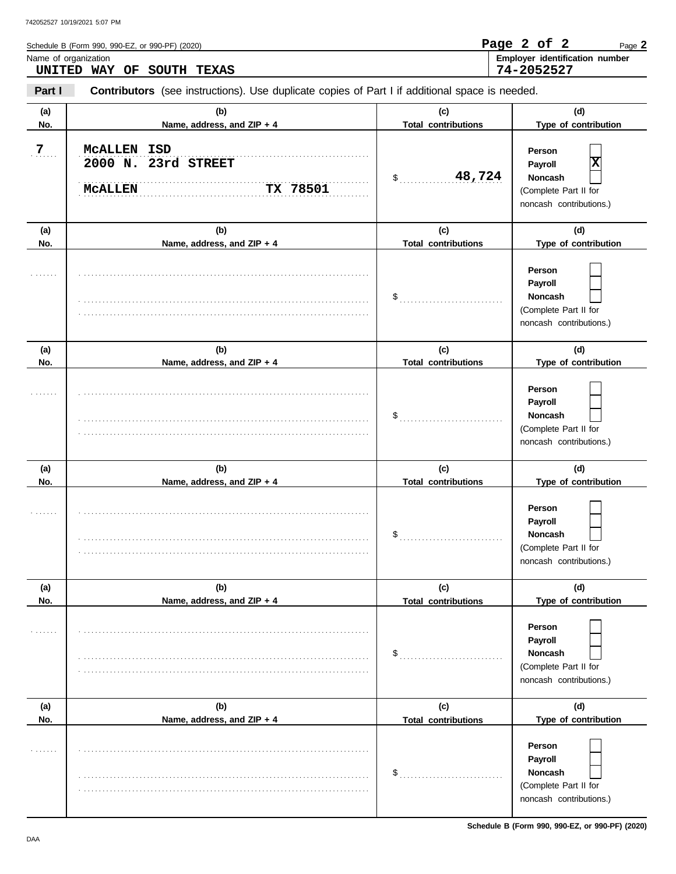| Name of organization | UNITED WAY OF<br><b>SOUTH TEXAS</b>                                                            |                                   | Employer identification number<br>74-2052527                                           |
|----------------------|------------------------------------------------------------------------------------------------|-----------------------------------|----------------------------------------------------------------------------------------|
| Part I               | Contributors (see instructions). Use duplicate copies of Part I if additional space is needed. |                                   |                                                                                        |
| (a)<br>No.           | (b)<br>Name, address, and ZIP + 4                                                              | (c)<br><b>Total contributions</b> | (d)<br>Type of contribution                                                            |
| 7.                   | MCALLEN ISD<br>2000 N. 23rd STREET<br>TX 78501<br><b>MCALLEN</b>                               | 48,724<br>$\sim$                  | Person<br> X<br>Payroll<br>Noncash<br>(Complete Part II for<br>noncash contributions.) |
| (a)<br>No.           | (b)<br>Name, address, and ZIP + 4                                                              | (c)<br><b>Total contributions</b> | (d)<br>Type of contribution                                                            |
|                      |                                                                                                | $\$\ldots$                        | Person<br>Payroll<br>Noncash<br>(Complete Part II for<br>noncash contributions.)       |
| (a)<br>No.           | (b)<br>Name, address, and ZIP + 4                                                              | (c)<br><b>Total contributions</b> | (d)<br>Type of contribution                                                            |
|                      |                                                                                                | $\$\ldots$                        | Person<br>Payroll<br>Noncash<br>(Complete Part II for<br>noncash contributions.)       |
| (a)<br>No.           | (b)<br>Name, address, and ZIP + 4                                                              | (c)<br><b>Total contributions</b> | (d)<br>Type of contribution                                                            |
| .                    |                                                                                                | $\frac{1}{2}$                     | Person<br>Payroll<br>Noncash<br>(Complete Part II for<br>noncash contributions.)       |
| (a)<br>No.           | (b)<br>Name, address, and ZIP + 4                                                              | (c)<br><b>Total contributions</b> | (d)<br>Type of contribution                                                            |
|                      |                                                                                                | \$                                | Person<br>Payroll<br>Noncash<br>(Complete Part II for<br>noncash contributions.)       |
| (a)<br>No.           | (b)<br>Name, address, and ZIP + 4                                                              | (c)<br><b>Total contributions</b> | (d)<br>Type of contribution                                                            |
|                      |                                                                                                | \$                                | Person<br>Payroll<br>Noncash<br>(Complete Part II for<br>noncash contributions.)       |

Schedule B (Form 990, 990-EZ, or 990-PF) (2020)

|  | Р<br>.,<br>. .<br>z. |
|--|----------------------|
|--|----------------------|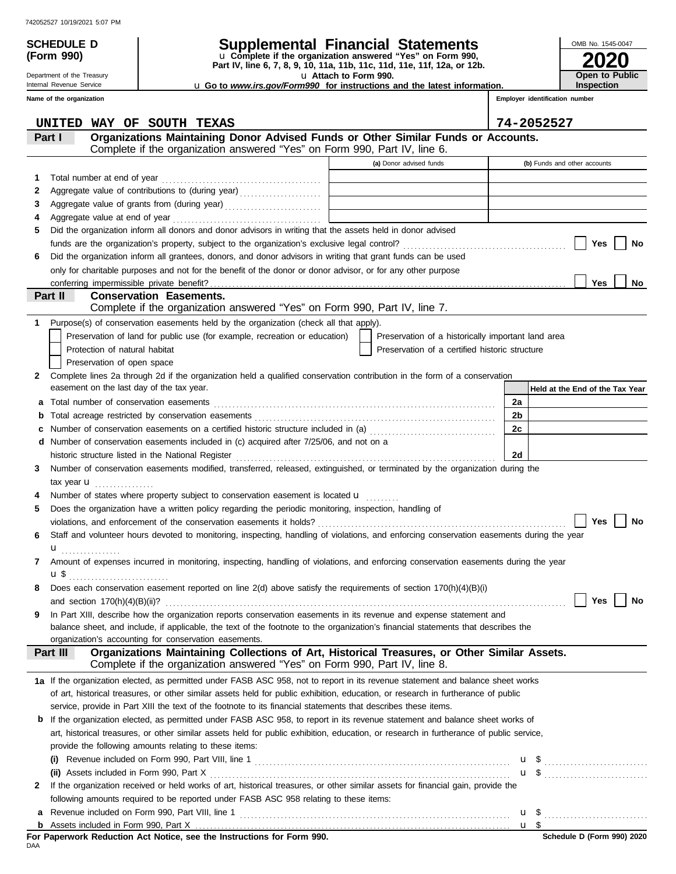# **(Form 990)**

Department of the Treasury Internal Revenue Service

## **SCHEDULE D Supplemental Financial Statements**

u **Attach to Form 990. Part IV, line 6, 7, 8, 9, 10, 11a, 11b, 11c, 11d, 11e, 11f, 12a, or 12b.** u **Complete if the organization answered "Yes" on Form 990,**

u **Go to** *www.irs.gov/Form990* **for instructions and the latest information.**

**Employer identification number Inspection**

**2020**

**Open to Public**

OMB No. 1545-0047

|        | Name of the organization |                                                                                                                                                                                 |                                                    |          | Employer identification number  |
|--------|--------------------------|---------------------------------------------------------------------------------------------------------------------------------------------------------------------------------|----------------------------------------------------|----------|---------------------------------|
|        | UNITED                   | WAY OF SOUTH TEXAS                                                                                                                                                              |                                                    |          | 74-2052527                      |
|        | Part I                   | Organizations Maintaining Donor Advised Funds or Other Similar Funds or Accounts.<br>Complete if the organization answered "Yes" on Form 990, Part IV, line 6.                  |                                                    |          |                                 |
|        |                          |                                                                                                                                                                                 | (a) Donor advised funds                            |          | (b) Funds and other accounts    |
| 1      |                          | Total number at end of year                                                                                                                                                     |                                                    |          |                                 |
| 2      |                          | Aggregate value of contributions to (during year)                                                                                                                               |                                                    |          |                                 |
| З      |                          |                                                                                                                                                                                 |                                                    |          |                                 |
| 4      |                          |                                                                                                                                                                                 |                                                    |          |                                 |
| 5      |                          | Did the organization inform all donors and donor advisors in writing that the assets held in donor advised                                                                      |                                                    |          |                                 |
|        |                          |                                                                                                                                                                                 |                                                    |          | Yes<br>No                       |
| 6      |                          | Did the organization inform all grantees, donors, and donor advisors in writing that grant funds can be used                                                                    |                                                    |          |                                 |
|        |                          | only for charitable purposes and not for the benefit of the donor or donor advisor, or for any other purpose                                                                    |                                                    |          |                                 |
|        |                          |                                                                                                                                                                                 |                                                    |          | Yes<br>No                       |
|        | Part II                  | <b>Conservation Easements.</b>                                                                                                                                                  |                                                    |          |                                 |
|        |                          | Complete if the organization answered "Yes" on Form 990, Part IV, line 7.                                                                                                       |                                                    |          |                                 |
| 1.     |                          | Purpose(s) of conservation easements held by the organization (check all that apply).                                                                                           |                                                    |          |                                 |
|        |                          | Preservation of land for public use (for example, recreation or education)                                                                                                      | Preservation of a historically important land area |          |                                 |
|        |                          | Protection of natural habitat                                                                                                                                                   | Preservation of a certified historic structure     |          |                                 |
|        |                          | Preservation of open space                                                                                                                                                      |                                                    |          |                                 |
| 2      |                          | Complete lines 2a through 2d if the organization held a qualified conservation contribution in the form of a conservation<br>easement on the last day of the tax year.          |                                                    |          |                                 |
|        |                          |                                                                                                                                                                                 |                                                    |          | Held at the End of the Tax Year |
| а      |                          | Total number of conservation easements                                                                                                                                          |                                                    | 2a<br>2b |                                 |
| b      |                          | Number of conservation easements on a certified historic structure included in (a) [11] [21] Number of conservation easements on a certified historic structure included in (a) |                                                    | 2c       |                                 |
| с<br>d |                          | Number of conservation easements included in (c) acquired after 7/25/06, and not on a                                                                                           |                                                    |          |                                 |
|        |                          |                                                                                                                                                                                 |                                                    | 2d       |                                 |
| 3      |                          | Number of conservation easements modified, transferred, released, extinguished, or terminated by the organization during the                                                    |                                                    |          |                                 |
|        |                          | tax year $\mathbf{u}$                                                                                                                                                           |                                                    |          |                                 |
|        |                          | Number of states where property subject to conservation easement is located $\mathbf u$                                                                                         |                                                    |          |                                 |
| 5      |                          | Does the organization have a written policy regarding the periodic monitoring, inspection, handling of                                                                          |                                                    |          |                                 |
|        |                          |                                                                                                                                                                                 |                                                    |          | Yes<br>No                       |
| 6      |                          | Staff and volunteer hours devoted to monitoring, inspecting, handling of violations, and enforcing conservation easements during the year                                       |                                                    |          |                                 |
|        |                          | $\mathbf{u}$                                                                                                                                                                    |                                                    |          |                                 |
| 7      |                          | Amount of expenses incurred in monitoring, inspecting, handling of violations, and enforcing conservation easements during the year                                             |                                                    |          |                                 |
|        |                          | u\$                                                                                                                                                                             |                                                    |          |                                 |
|        |                          | Does each conservation easement reported on line 2(d) above satisfy the requirements of section 170(h)(4)(B)(i)                                                                 |                                                    |          |                                 |
|        |                          |                                                                                                                                                                                 |                                                    |          | Yes<br>No                       |
| 9      |                          | In Part XIII, describe how the organization reports conservation easements in its revenue and expense statement and                                                             |                                                    |          |                                 |
|        |                          | balance sheet, and include, if applicable, the text of the footnote to the organization's financial statements that describes the                                               |                                                    |          |                                 |
|        |                          | organization's accounting for conservation easements.                                                                                                                           |                                                    |          |                                 |
|        | Part III                 | Organizations Maintaining Collections of Art, Historical Treasures, or Other Similar Assets.<br>Complete if the organization answered "Yes" on Form 990, Part IV, line 8.       |                                                    |          |                                 |
|        |                          | 1a If the organization elected, as permitted under FASB ASC 958, not to report in its revenue statement and balance sheet works                                                 |                                                    |          |                                 |
|        |                          | of art, historical treasures, or other similar assets held for public exhibition, education, or research in furtherance of public                                               |                                                    |          |                                 |
|        |                          | service, provide in Part XIII the text of the footnote to its financial statements that describes these items.                                                                  |                                                    |          |                                 |
| b      |                          | If the organization elected, as permitted under FASB ASC 958, to report in its revenue statement and balance sheet works of                                                     |                                                    |          |                                 |
|        |                          | art, historical treasures, or other similar assets held for public exhibition, education, or research in furtherance of public service,                                         |                                                    |          |                                 |
|        |                          | provide the following amounts relating to these items:                                                                                                                          |                                                    |          |                                 |
|        |                          |                                                                                                                                                                                 |                                                    |          | $\mathbf{u}$ \$                 |
|        |                          |                                                                                                                                                                                 |                                                    |          | $\mathbf{u}$ \$                 |
| 2      |                          | If the organization received or held works of art, historical treasures, or other similar assets for financial gain, provide the                                                |                                                    |          |                                 |
|        |                          | following amounts required to be reported under FASB ASC 958 relating to these items:                                                                                           |                                                    |          |                                 |
| а      |                          |                                                                                                                                                                                 |                                                    |          | $\mathbf{u}$ \$                 |
|        |                          |                                                                                                                                                                                 |                                                    |          | u <sup>3</sup>                  |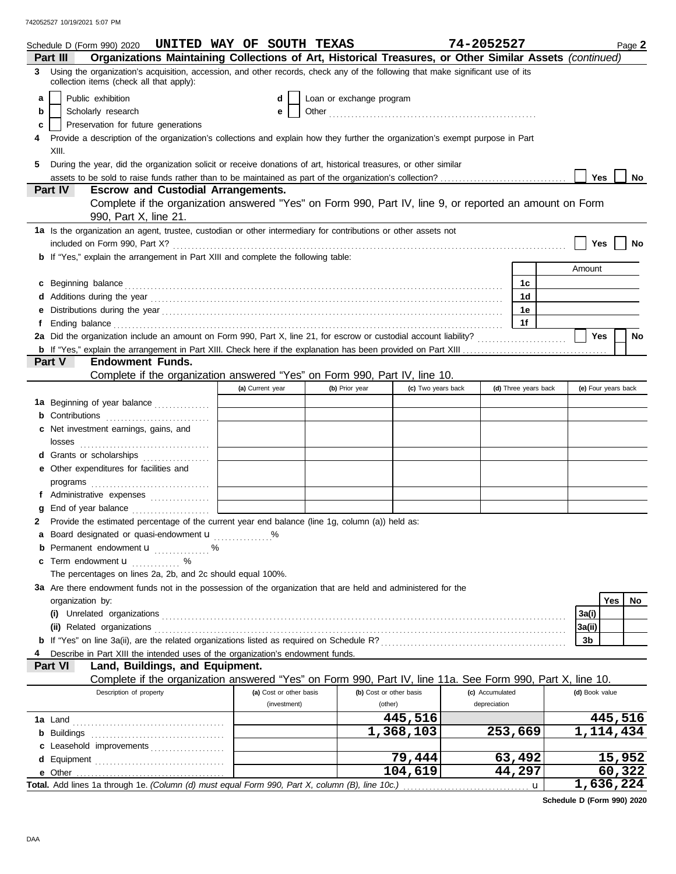|   | Schedule D (Form 990) 2020                                                                                                                                                                                                           | UNITED WAY OF SOUTH TEXAS |                          |                         | 74-2052527      |                      | Page 2              |  |
|---|--------------------------------------------------------------------------------------------------------------------------------------------------------------------------------------------------------------------------------------|---------------------------|--------------------------|-------------------------|-----------------|----------------------|---------------------|--|
|   | Organizations Maintaining Collections of Art, Historical Treasures, or Other Similar Assets (continued)<br>Part III                                                                                                                  |                           |                          |                         |                 |                      |                     |  |
|   | 3 Using the organization's acquisition, accession, and other records, check any of the following that make significant use of its<br>collection items (check all that apply):                                                        |                           |                          |                         |                 |                      |                     |  |
| a | Public exhibition                                                                                                                                                                                                                    | d                         | Loan or exchange program |                         |                 |                      |                     |  |
| b | Scholarly research                                                                                                                                                                                                                   | е                         |                          |                         |                 |                      |                     |  |
| c | Preservation for future generations                                                                                                                                                                                                  |                           |                          |                         |                 |                      |                     |  |
|   | Provide a description of the organization's collections and explain how they further the organization's exempt purpose in Part                                                                                                       |                           |                          |                         |                 |                      |                     |  |
|   | XIII.                                                                                                                                                                                                                                |                           |                          |                         |                 |                      |                     |  |
| 5 | During the year, did the organization solicit or receive donations of art, historical treasures, or other similar                                                                                                                    |                           |                          |                         |                 |                      |                     |  |
|   |                                                                                                                                                                                                                                      |                           |                          |                         |                 |                      | <b>Yes</b><br>No    |  |
|   | <b>Escrow and Custodial Arrangements.</b><br>Part IV                                                                                                                                                                                 |                           |                          |                         |                 |                      |                     |  |
|   | Complete if the organization answered "Yes" on Form 990, Part IV, line 9, or reported an amount on Form                                                                                                                              |                           |                          |                         |                 |                      |                     |  |
|   | 990, Part X, line 21.                                                                                                                                                                                                                |                           |                          |                         |                 |                      |                     |  |
|   | 1a Is the organization an agent, trustee, custodian or other intermediary for contributions or other assets not                                                                                                                      |                           |                          |                         |                 |                      |                     |  |
|   |                                                                                                                                                                                                                                      |                           |                          |                         |                 |                      | Yes<br>No           |  |
|   | b If "Yes," explain the arrangement in Part XIII and complete the following table:                                                                                                                                                   |                           |                          |                         |                 |                      |                     |  |
|   |                                                                                                                                                                                                                                      |                           |                          |                         |                 |                      | Amount              |  |
|   | c Beginning balance <b>contract to the contract of the set of the contract of the contract of the contract of the contract of the contract of the contract of the contract of the contract of the contract of the contract of th</b> |                           |                          |                         |                 | 1с.                  |                     |  |
|   |                                                                                                                                                                                                                                      |                           |                          |                         |                 | 1d                   |                     |  |
| е |                                                                                                                                                                                                                                      |                           |                          |                         |                 | 1e                   |                     |  |
| f | Ending balance continuous continuous continuous continuous continuous continuous continuous continuous continuous continuous continuous continuous continuous continuous continuous continuous continuous continuous continuou       |                           |                          |                         |                 | 1f                   |                     |  |
|   | 2a Did the organization include an amount on Form 990, Part X, line 21, for escrow or custodial account liability?                                                                                                                   |                           |                          |                         |                 |                      | Yes<br>No           |  |
|   |                                                                                                                                                                                                                                      |                           |                          |                         |                 |                      |                     |  |
|   | <b>Endowment Funds.</b><br><b>Part V</b>                                                                                                                                                                                             |                           |                          |                         |                 |                      |                     |  |
|   | Complete if the organization answered "Yes" on Form 990, Part IV, line 10.                                                                                                                                                           |                           |                          |                         |                 |                      |                     |  |
|   |                                                                                                                                                                                                                                      | (a) Current year          | (b) Prior year           | (c) Two years back      |                 | (d) Three years back | (e) Four years back |  |
|   | 1a Beginning of year balance                                                                                                                                                                                                         |                           |                          |                         |                 |                      |                     |  |
|   | <b>b</b> Contributions                                                                                                                                                                                                               |                           |                          |                         |                 |                      |                     |  |
|   | c Net investment earnings, gains, and                                                                                                                                                                                                |                           |                          |                         |                 |                      |                     |  |
|   |                                                                                                                                                                                                                                      |                           |                          |                         |                 |                      |                     |  |
|   | d Grants or scholarships                                                                                                                                                                                                             |                           |                          |                         |                 |                      |                     |  |
|   | e Other expenditures for facilities and                                                                                                                                                                                              |                           |                          |                         |                 |                      |                     |  |
|   |                                                                                                                                                                                                                                      |                           |                          |                         |                 |                      |                     |  |
|   | f Administrative expenses                                                                                                                                                                                                            |                           |                          |                         |                 |                      |                     |  |
|   | End of year balance                                                                                                                                                                                                                  |                           |                          |                         |                 |                      |                     |  |
|   | Provide the estimated percentage of the current year end balance (line 1g, column (a)) held as:                                                                                                                                      |                           |                          |                         |                 |                      |                     |  |
|   | a Board designated or quasi-endowment u                                                                                                                                                                                              |                           |                          |                         |                 |                      |                     |  |
|   | <b>b</b> Permanent endowment $\mathbf{u}$ %                                                                                                                                                                                          |                           |                          |                         |                 |                      |                     |  |
|   | <b>c</b> Term endowment $\mathbf{u}$                                                                                                                                                                                                 |                           |                          |                         |                 |                      |                     |  |
|   | The percentages on lines 2a, 2b, and 2c should equal 100%.                                                                                                                                                                           |                           |                          |                         |                 |                      |                     |  |
|   | 3a Are there endowment funds not in the possession of the organization that are held and administered for the                                                                                                                        |                           |                          |                         |                 |                      |                     |  |
|   | organization by:                                                                                                                                                                                                                     |                           |                          |                         |                 |                      | Yes<br>No           |  |
|   |                                                                                                                                                                                                                                      |                           |                          |                         |                 |                      | 3a(i)               |  |
|   | (ii) Related organizations <b>contained a set of the contained a set of the contained and a set of the contained a</b>                                                                                                               |                           |                          |                         |                 |                      | 3a(ii)              |  |
|   |                                                                                                                                                                                                                                      |                           |                          |                         |                 |                      | 3b                  |  |
|   | Describe in Part XIII the intended uses of the organization's endowment funds.                                                                                                                                                       |                           |                          |                         |                 |                      |                     |  |
|   | Part VI<br>Land, Buildings, and Equipment.                                                                                                                                                                                           |                           |                          |                         |                 |                      |                     |  |
|   | Complete if the organization answered "Yes" on Form 990, Part IV, line 11a. See Form 990, Part X, line 10.                                                                                                                           |                           |                          |                         |                 |                      |                     |  |
|   | Description of property                                                                                                                                                                                                              | (a) Cost or other basis   |                          | (b) Cost or other basis | (c) Accumulated |                      | (d) Book value      |  |
|   |                                                                                                                                                                                                                                      | (investment)              |                          | (other)                 | depreciation    |                      |                     |  |
|   |                                                                                                                                                                                                                                      |                           |                          | 445,516                 |                 |                      | 445,516             |  |
|   |                                                                                                                                                                                                                                      |                           |                          | 1,368,103               |                 | 253,669              | 1, 114, 434         |  |
|   | c Leasehold improvements                                                                                                                                                                                                             |                           |                          |                         |                 |                      |                     |  |
|   |                                                                                                                                                                                                                                      |                           |                          | 79,444                  |                 | 63,492               | 15,952              |  |
|   |                                                                                                                                                                                                                                      |                           |                          | 104,619                 |                 | 44,297               | 60,322              |  |
|   | Total. Add lines 1a through 1e. (Column (d) must equal Form 990, Part X, column (B), line 10c.)                                                                                                                                      |                           |                          |                         |                 |                      | 1,636,224           |  |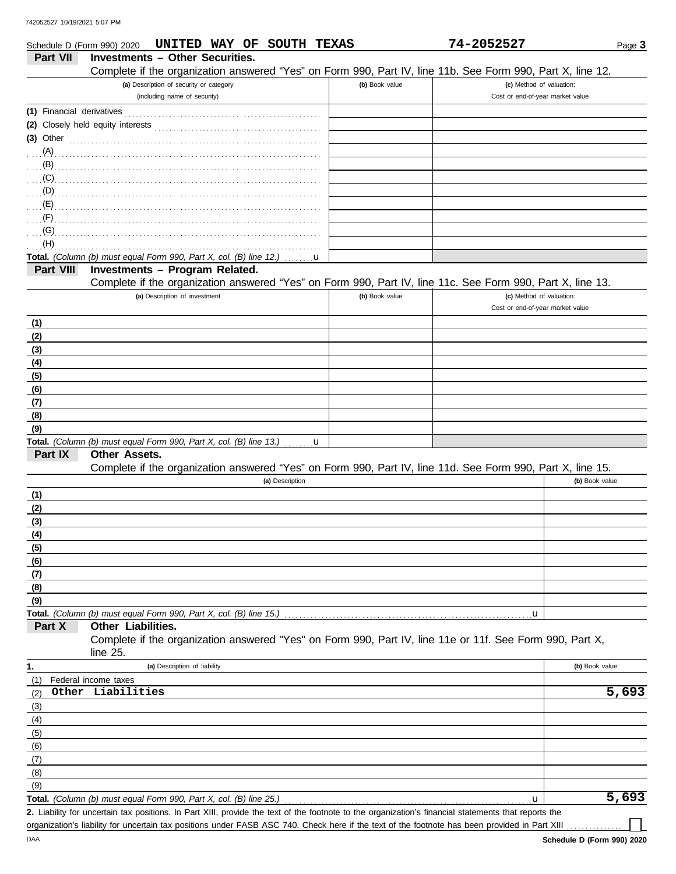| Schedule D (Form 990) 2020 | UNITED WAY OF<br><b>SOUTH TEXAS</b>                                                                                                                  |                | 74-2052527                       | Page 3         |
|----------------------------|------------------------------------------------------------------------------------------------------------------------------------------------------|----------------|----------------------------------|----------------|
| Part VII                   | <b>Investments - Other Securities.</b>                                                                                                               |                |                                  |                |
|                            | Complete if the organization answered "Yes" on Form 990, Part IV, line 11b. See Form 990, Part X, line 12.                                           |                |                                  |                |
|                            | (a) Description of security or category                                                                                                              | (b) Book value | (c) Method of valuation:         |                |
|                            | (including name of security)                                                                                                                         |                | Cost or end-of-year market value |                |
|                            |                                                                                                                                                      |                |                                  |                |
|                            |                                                                                                                                                      |                |                                  |                |
| $(3)$ Other                |                                                                                                                                                      |                |                                  |                |
|                            |                                                                                                                                                      |                |                                  |                |
|                            |                                                                                                                                                      |                |                                  |                |
| (C)                        |                                                                                                                                                      |                |                                  |                |
| (D)                        |                                                                                                                                                      |                |                                  |                |
| (E)                        |                                                                                                                                                      |                |                                  |                |
| (F)                        |                                                                                                                                                      |                |                                  |                |
| (G)<br>(H)                 |                                                                                                                                                      |                |                                  |                |
|                            | Total. (Column (b) must equal Form 990, Part X, col. (B) line 12.)<br>u                                                                              |                |                                  |                |
| Part VIII                  | Investments - Program Related.                                                                                                                       |                |                                  |                |
|                            | Complete if the organization answered "Yes" on Form 990, Part IV, line 11c. See Form 990, Part X, line 13.                                           |                |                                  |                |
|                            | (a) Description of investment                                                                                                                        | (b) Book value | (c) Method of valuation:         |                |
|                            |                                                                                                                                                      |                | Cost or end-of-year market value |                |
| (1)                        |                                                                                                                                                      |                |                                  |                |
| (2)                        |                                                                                                                                                      |                |                                  |                |
| (3)                        |                                                                                                                                                      |                |                                  |                |
| (4)                        |                                                                                                                                                      |                |                                  |                |
| (5)                        |                                                                                                                                                      |                |                                  |                |
| (6)                        |                                                                                                                                                      |                |                                  |                |
| (7)                        |                                                                                                                                                      |                |                                  |                |
| (8)                        |                                                                                                                                                      |                |                                  |                |
| (9)                        |                                                                                                                                                      |                |                                  |                |
|                            | Total. (Column (b) must equal Form 990, Part X, col. (B) line 13.)<br>u                                                                              |                |                                  |                |
| Part IX                    | Other Assets.                                                                                                                                        |                |                                  |                |
|                            | Complete if the organization answered "Yes" on Form 990, Part IV, line 11d. See Form 990, Part X, line 15.                                           |                |                                  |                |
|                            | (a) Description                                                                                                                                      |                |                                  | (b) Book value |
| (1)                        |                                                                                                                                                      |                |                                  |                |
| (2)                        |                                                                                                                                                      |                |                                  |                |
| (3)                        |                                                                                                                                                      |                |                                  |                |
| (4)                        |                                                                                                                                                      |                |                                  |                |
| (5)                        |                                                                                                                                                      |                |                                  |                |
| (6)                        |                                                                                                                                                      |                |                                  |                |
| (7)                        |                                                                                                                                                      |                |                                  |                |
| (8)                        |                                                                                                                                                      |                |                                  |                |
| (9)                        |                                                                                                                                                      |                |                                  |                |
| Part X                     | Total. (Column (b) must equal Form 990, Part X, col. (B) line 15.)<br>Other Liabilities.                                                             |                | $\mathbf{u}$                     |                |
|                            | Complete if the organization answered "Yes" on Form 990, Part IV, line 11e or 11f. See Form 990, Part X,                                             |                |                                  |                |
|                            | line 25.                                                                                                                                             |                |                                  |                |
| 1.                         | (a) Description of liability                                                                                                                         |                |                                  | (b) Book value |
| (1)                        | Federal income taxes                                                                                                                                 |                |                                  |                |
| (2)                        | Other Liabilities                                                                                                                                    |                |                                  | 5,693          |
| (3)                        |                                                                                                                                                      |                |                                  |                |
| (4)                        |                                                                                                                                                      |                |                                  |                |
| (5)                        |                                                                                                                                                      |                |                                  |                |
| (6)                        |                                                                                                                                                      |                |                                  |                |
| (7)                        |                                                                                                                                                      |                |                                  |                |
| (8)                        |                                                                                                                                                      |                |                                  |                |
| (9)                        |                                                                                                                                                      |                |                                  |                |
|                            | Total. (Column (b) must equal Form 990, Part X, col. (B) line 25.)                                                                                   |                | u                                | 5,693          |
|                            | 2. Liability for uncertain tax positions. In Part XIII, provide the text of the footnote to the organization's financial statements that reports the |                |                                  |                |

organization's liability for uncertain tax positions under FASB ASC 740. Check here if the text of the footnote has been provided in Part XIII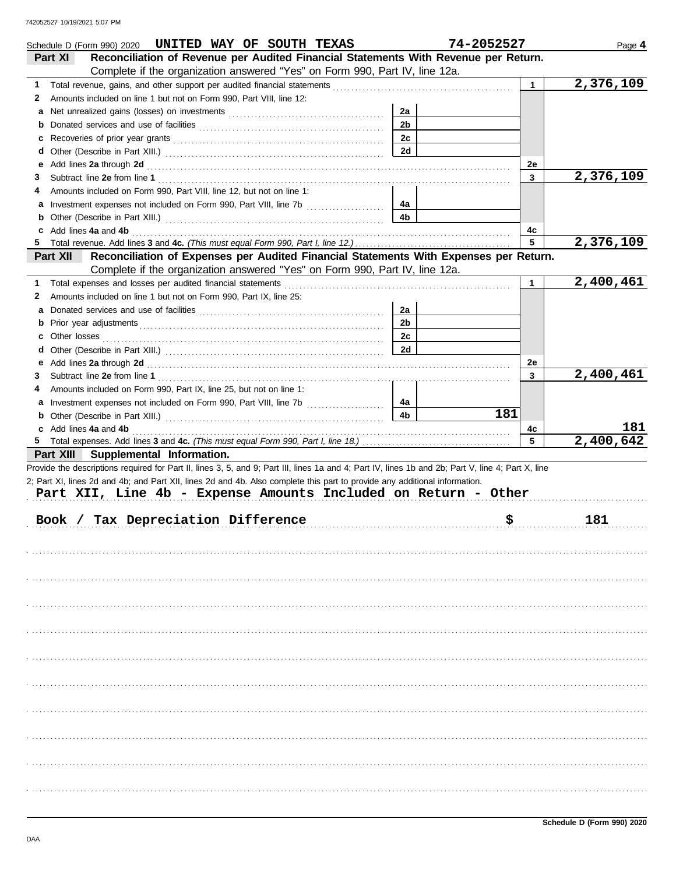|   | Schedule D (Form 990) 2020 UNITED WAY OF SOUTH TEXAS                                                                                                                                                                           |                | 74-2052527 |                                                                       | Page 4    |
|---|--------------------------------------------------------------------------------------------------------------------------------------------------------------------------------------------------------------------------------|----------------|------------|-----------------------------------------------------------------------|-----------|
|   | Reconciliation of Revenue per Audited Financial Statements With Revenue per Return.<br>Part XI                                                                                                                                 |                |            |                                                                       |           |
|   | Complete if the organization answered "Yes" on Form 990, Part IV, line 12a.                                                                                                                                                    |                |            |                                                                       |           |
| 1 |                                                                                                                                                                                                                                |                |            | $\mathbf{1}$                                                          | 2,376,109 |
| 2 | Amounts included on line 1 but not on Form 990, Part VIII, line 12:                                                                                                                                                            |                |            |                                                                       |           |
| а |                                                                                                                                                                                                                                | 2a             |            |                                                                       |           |
| b |                                                                                                                                                                                                                                | 2 <sub>b</sub> |            |                                                                       |           |
|   |                                                                                                                                                                                                                                | 2c             |            |                                                                       |           |
| d |                                                                                                                                                                                                                                | 2d             |            |                                                                       |           |
| е | Add lines 2a through 2d [11] March 20 [12] March 20 [12] March 20 [12] March 20 [12] March 20 [12] March 20 [12] March 20 [12] March 20 [12] March 20 [12] March 20 [12] March 20 [12] March 20 [12] March 20 [12] March 20 [1 |                |            | 2e                                                                    |           |
| 3 |                                                                                                                                                                                                                                |                |            | 3                                                                     | 2,376,109 |
| 4 | Amounts included on Form 990, Part VIII, line 12, but not on line 1:                                                                                                                                                           |                |            |                                                                       |           |
|   | Investment expenses not included on Form 990, Part VIII, line 7b [100] [100] [100] [100] [100] [100] [100] [100] [100] [100] [100] [100] [100] [100] [100] [100] [100] [100] [100] [100] [100] [100] [100] [100] [100] [100] [ | 4a             |            |                                                                       |           |
| b |                                                                                                                                                                                                                                | 4 <sub>b</sub> |            |                                                                       |           |
| C | Add lines 4a and 4b                                                                                                                                                                                                            |                |            | 4c                                                                    |           |
|   |                                                                                                                                                                                                                                |                |            | 5                                                                     | 2,376,109 |
|   | Reconciliation of Expenses per Audited Financial Statements With Expenses per Return.<br>Part XII                                                                                                                              |                |            |                                                                       |           |
|   | Complete if the organization answered "Yes" on Form 990, Part IV, line 12a.                                                                                                                                                    |                |            |                                                                       |           |
| 1 | Total expenses and losses per audited financial statements                                                                                                                                                                     |                |            | $\mathbf 1$                                                           | 2,400,461 |
| 2 | Amounts included on line 1 but not on Form 990, Part IX, line 25:                                                                                                                                                              |                |            |                                                                       |           |
| а |                                                                                                                                                                                                                                | 2a             |            |                                                                       |           |
| b |                                                                                                                                                                                                                                | 2 <sub>b</sub> |            |                                                                       |           |
| c | Other losses                                                                                                                                                                                                                   | 2c             |            |                                                                       |           |
| d |                                                                                                                                                                                                                                | 2d             |            |                                                                       |           |
| е |                                                                                                                                                                                                                                |                |            | 2e                                                                    |           |
| 3 |                                                                                                                                                                                                                                |                |            | 3                                                                     | 2,400,461 |
| 4 | Amounts included on Form 990, Part IX, line 25, but not on line 1:                                                                                                                                                             |                |            |                                                                       |           |
| а |                                                                                                                                                                                                                                | 4a             |            |                                                                       |           |
|   |                                                                                                                                                                                                                                | 4 <sub>b</sub> | 181        |                                                                       |           |
| b |                                                                                                                                                                                                                                |                |            |                                                                       |           |
|   | c Add lines 4a and 4b                                                                                                                                                                                                          |                |            | 4c                                                                    | 181       |
|   |                                                                                                                                                                                                                                |                |            | 5                                                                     | 2,400,642 |
|   | Part XIII Supplemental Information.                                                                                                                                                                                            |                |            |                                                                       |           |
|   | Provide the descriptions required for Part II, lines 3, 5, and 9; Part III, lines 1a and 4; Part IV, lines 1b and 2b; Part V, line 4; Part X, line                                                                             |                |            |                                                                       |           |
|   | 2; Part XI, lines 2d and 4b; and Part XII, lines 2d and 4b. Also complete this part to provide any additional information.                                                                                                     |                |            |                                                                       |           |
|   | Part XII, Line 4b - Expense Amounts Included on Return - Other                                                                                                                                                                 |                |            |                                                                       |           |
|   |                                                                                                                                                                                                                                |                |            |                                                                       |           |
|   | Book / Tax Depreciation Difference                                                                                                                                                                                             |                |            | $\boldsymbol{\mathsf{S}}$ . The contract of $\boldsymbol{\mathsf{S}}$ | 181       |
|   |                                                                                                                                                                                                                                |                |            |                                                                       |           |
|   |                                                                                                                                                                                                                                |                |            |                                                                       |           |
|   |                                                                                                                                                                                                                                |                |            |                                                                       |           |
|   |                                                                                                                                                                                                                                |                |            |                                                                       |           |
|   |                                                                                                                                                                                                                                |                |            |                                                                       |           |
|   |                                                                                                                                                                                                                                |                |            |                                                                       |           |
|   |                                                                                                                                                                                                                                |                |            |                                                                       |           |
|   |                                                                                                                                                                                                                                |                |            |                                                                       |           |
|   |                                                                                                                                                                                                                                |                |            |                                                                       |           |
|   |                                                                                                                                                                                                                                |                |            |                                                                       |           |
|   |                                                                                                                                                                                                                                |                |            |                                                                       |           |
|   |                                                                                                                                                                                                                                |                |            |                                                                       |           |
|   |                                                                                                                                                                                                                                |                |            |                                                                       |           |
|   |                                                                                                                                                                                                                                |                |            |                                                                       |           |
|   |                                                                                                                                                                                                                                |                |            |                                                                       |           |
|   |                                                                                                                                                                                                                                |                |            |                                                                       |           |
|   |                                                                                                                                                                                                                                |                |            |                                                                       |           |
|   |                                                                                                                                                                                                                                |                |            |                                                                       |           |
|   |                                                                                                                                                                                                                                |                |            |                                                                       |           |
|   |                                                                                                                                                                                                                                |                |            |                                                                       |           |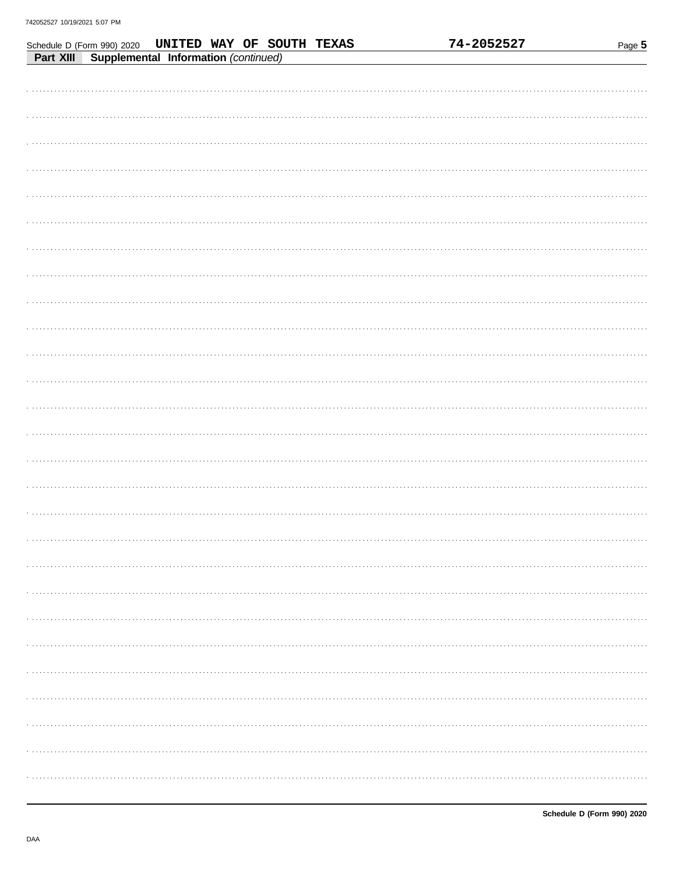| Schedule D (Form 990) 2020 <b>UNITED WAY OF SOUTH TEXAS</b> |  | 74-2052527 | Page 5 |
|-------------------------------------------------------------|--|------------|--------|
| Supplemental Information (continued)<br>Part XIII           |  |            |        |
|                                                             |  |            |        |
|                                                             |  |            |        |
|                                                             |  |            |        |
|                                                             |  |            |        |
|                                                             |  |            |        |
|                                                             |  |            |        |
|                                                             |  |            |        |
|                                                             |  |            |        |
|                                                             |  |            |        |
|                                                             |  |            |        |
|                                                             |  |            |        |
|                                                             |  |            |        |
|                                                             |  |            |        |
|                                                             |  |            |        |
|                                                             |  |            |        |
|                                                             |  |            |        |
|                                                             |  |            |        |
|                                                             |  |            |        |
|                                                             |  |            |        |
|                                                             |  |            |        |
|                                                             |  |            |        |
|                                                             |  |            |        |
|                                                             |  |            |        |
|                                                             |  |            |        |
|                                                             |  |            |        |
|                                                             |  |            |        |
|                                                             |  |            |        |
|                                                             |  |            |        |
|                                                             |  |            |        |
|                                                             |  |            |        |
|                                                             |  |            |        |
|                                                             |  |            |        |
|                                                             |  |            |        |
|                                                             |  |            |        |
|                                                             |  |            |        |
|                                                             |  |            |        |
|                                                             |  |            |        |
|                                                             |  |            |        |
|                                                             |  |            |        |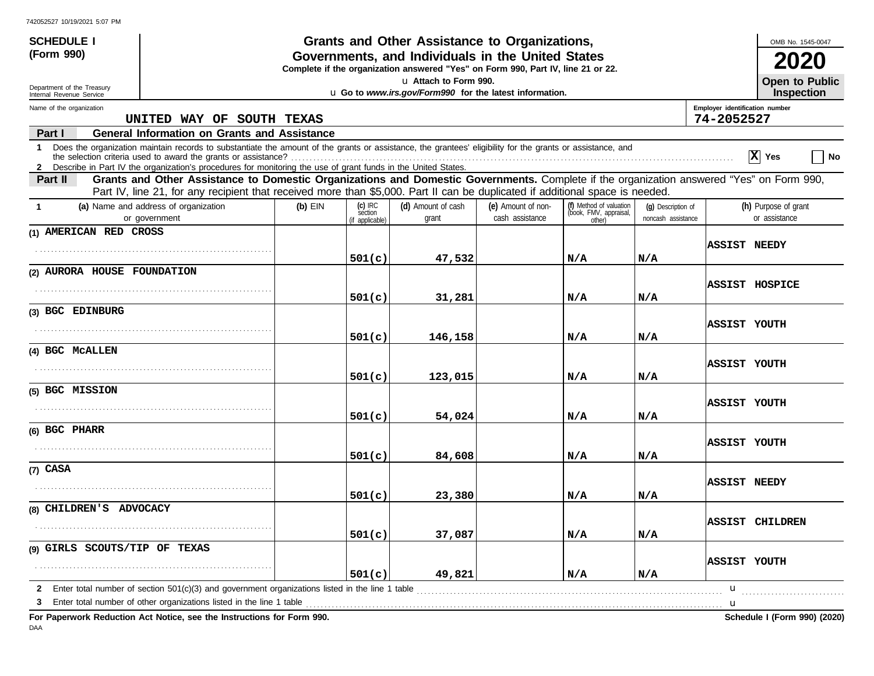| <b>SCHEDULE I</b>                                      |                                                                                                                                                                                                                                                                               |           |                                                                                                                                       | Grants and Other Assistance to Organizations, |                                       |                                                             |                                          |                                              | OMB No. 1545-0047                     |
|--------------------------------------------------------|-------------------------------------------------------------------------------------------------------------------------------------------------------------------------------------------------------------------------------------------------------------------------------|-----------|---------------------------------------------------------------------------------------------------------------------------------------|-----------------------------------------------|---------------------------------------|-------------------------------------------------------------|------------------------------------------|----------------------------------------------|---------------------------------------|
| (Form 990)                                             |                                                                                                                                                                                                                                                                               |           | Governments, and Individuals in the United States<br>Complete if the organization answered "Yes" on Form 990, Part IV, line 21 or 22. |                                               |                                       |                                                             |                                          |                                              |                                       |
| Department of the Treasury<br>Internal Revenue Service |                                                                                                                                                                                                                                                                               |           | u Attach to Form 990.<br>u Go to www.irs.gov/Form990 for the latest information.                                                      |                                               |                                       |                                                             |                                          | <b>Open to Public</b><br><b>Inspection</b>   |                                       |
| Name of the organization                               | UNITED WAY OF SOUTH TEXAS                                                                                                                                                                                                                                                     |           |                                                                                                                                       |                                               |                                       |                                                             |                                          | Employer identification number<br>74-2052527 |                                       |
| Part I                                                 | <b>General Information on Grants and Assistance</b>                                                                                                                                                                                                                           |           |                                                                                                                                       |                                               |                                       |                                                             |                                          |                                              |                                       |
| 1                                                      | Does the organization maintain records to substantiate the amount of the grants or assistance, the grantees' eligibility for the grants or assistance, and<br>2 Describe in Part IV the organization's procedures for monitoring the use of grant funds in the United States. |           |                                                                                                                                       |                                               |                                       |                                                             |                                          |                                              | $ X $ Yes<br>∣ No                     |
| Part II                                                | Grants and Other Assistance to Domestic Organizations and Domestic Governments. Complete if the organization answered "Yes" on Form 990,<br>Part IV, line 21, for any recipient that received more than \$5,000. Part II can be duplicated if additional space is needed.     |           |                                                                                                                                       |                                               |                                       |                                                             |                                          |                                              |                                       |
| $\mathbf 1$                                            | (a) Name and address of organization<br>or government                                                                                                                                                                                                                         | $(b)$ EIN | $(c)$ IRC<br>section<br>(if applicable)                                                                                               | (d) Amount of cash<br>grant                   | (e) Amount of non-<br>cash assistance | (f) Method of valuation<br>(book, FMV, appraisal,<br>other) | (q) Description of<br>noncash assistance |                                              | (h) Purpose of grant<br>or assistance |
| (1) AMERICAN RED CROSS                                 |                                                                                                                                                                                                                                                                               |           |                                                                                                                                       |                                               |                                       |                                                             |                                          |                                              |                                       |
|                                                        |                                                                                                                                                                                                                                                                               |           | 501(c)                                                                                                                                | 47,532                                        |                                       | N/A                                                         | N/A                                      | <b>ASSIST NEEDY</b>                          |                                       |
| (2) AURORA HOUSE FOUNDATION                            |                                                                                                                                                                                                                                                                               |           |                                                                                                                                       |                                               |                                       |                                                             |                                          |                                              |                                       |
|                                                        |                                                                                                                                                                                                                                                                               |           | 501(c)                                                                                                                                | 31,281                                        |                                       | N/A                                                         | N/A                                      | ASSIST HOSPICE                               |                                       |
| (3) BGC EDINBURG                                       |                                                                                                                                                                                                                                                                               |           |                                                                                                                                       |                                               |                                       |                                                             |                                          |                                              |                                       |
|                                                        |                                                                                                                                                                                                                                                                               |           | 501(c)                                                                                                                                | 146,158                                       |                                       | N/A                                                         | N/A                                      | ASSIST YOUTH                                 |                                       |
| (4) BGC MCALLEN                                        |                                                                                                                                                                                                                                                                               |           |                                                                                                                                       |                                               |                                       |                                                             |                                          |                                              |                                       |
|                                                        |                                                                                                                                                                                                                                                                               |           | 501(c)                                                                                                                                | 123,015                                       |                                       | N/A                                                         | N/A                                      | ASSIST YOUTH                                 |                                       |
| (5) BGC MISSION                                        |                                                                                                                                                                                                                                                                               |           |                                                                                                                                       |                                               |                                       |                                                             |                                          |                                              |                                       |
|                                                        |                                                                                                                                                                                                                                                                               |           | 501(c)                                                                                                                                | 54,024                                        |                                       | N/A                                                         | N/A                                      | ASSIST YOUTH                                 |                                       |
| (6) BGC PHARR                                          |                                                                                                                                                                                                                                                                               |           |                                                                                                                                       |                                               |                                       |                                                             |                                          |                                              |                                       |
|                                                        |                                                                                                                                                                                                                                                                               |           | 501(c)                                                                                                                                | 84,608                                        |                                       | N/A                                                         | N/A                                      | ASSIST YOUTH                                 |                                       |
| $(7)$ CASA                                             |                                                                                                                                                                                                                                                                               |           |                                                                                                                                       |                                               |                                       |                                                             |                                          |                                              |                                       |
|                                                        |                                                                                                                                                                                                                                                                               |           | 501(c)                                                                                                                                | 23,380                                        |                                       | N/A                                                         | N/A                                      | <b>ASSIST NEEDY</b>                          |                                       |
| (8) CHILDREN'S ADVOCACY                                |                                                                                                                                                                                                                                                                               |           |                                                                                                                                       |                                               |                                       |                                                             |                                          |                                              |                                       |
|                                                        |                                                                                                                                                                                                                                                                               |           | 501(c)                                                                                                                                | 37,087                                        |                                       | N/A                                                         | N/A                                      | <b>ASSIST CHILDREN</b>                       |                                       |
| (9) GIRLS SCOUTS/TIP OF TEXAS                          |                                                                                                                                                                                                                                                                               |           |                                                                                                                                       |                                               |                                       |                                                             |                                          |                                              |                                       |
|                                                        |                                                                                                                                                                                                                                                                               |           | 501(c)                                                                                                                                | 49,821                                        |                                       | N/A                                                         | N/A                                      | <b>ASSIST YOUTH</b>                          |                                       |
| $\mathbf{2}$                                           | Enter total number of section $501(c)(3)$ and government organizations listed in the line 1 table                                                                                                                                                                             |           |                                                                                                                                       |                                               |                                       |                                                             |                                          | $\mathbf u$                                  |                                       |
|                                                        | Enter total number of other organizations listed in the line 1 table                                                                                                                                                                                                          |           |                                                                                                                                       |                                               |                                       |                                                             |                                          | u                                            |                                       |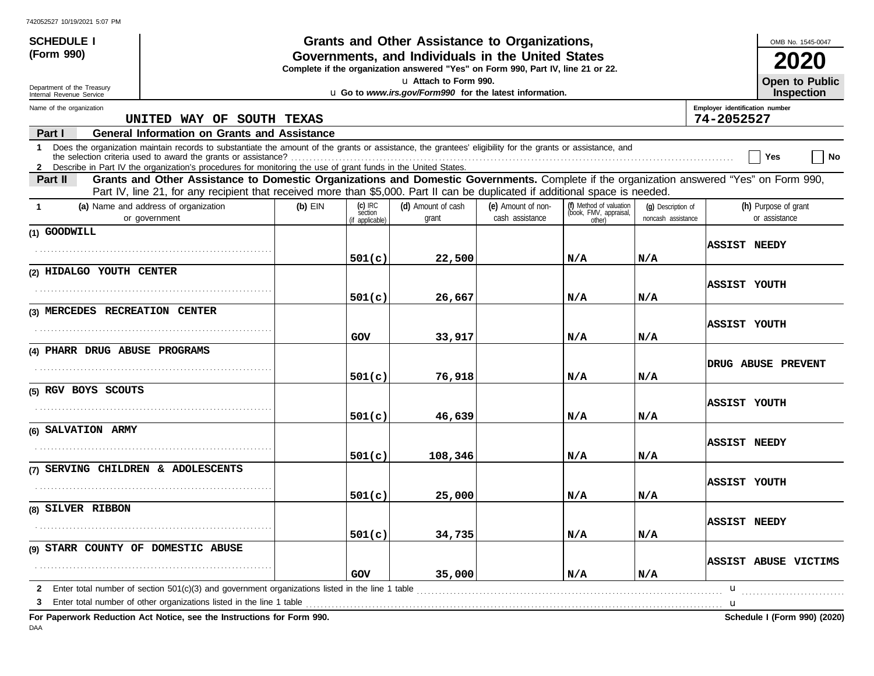| <b>SCHEDULE I</b>                                                                                                                                   |                                                                                                                                                                                                                                                                               |           |                                         | Grants and Other Assistance to Organizations, |                                       |                                                             |                                          |                                              | OMB No. 1545-0047                          |
|-----------------------------------------------------------------------------------------------------------------------------------------------------|-------------------------------------------------------------------------------------------------------------------------------------------------------------------------------------------------------------------------------------------------------------------------------|-----------|-----------------------------------------|-----------------------------------------------|---------------------------------------|-------------------------------------------------------------|------------------------------------------|----------------------------------------------|--------------------------------------------|
| (Form 990)<br>Governments, and Individuals in the United States<br>Complete if the organization answered "Yes" on Form 990, Part IV, line 21 or 22. |                                                                                                                                                                                                                                                                               |           |                                         |                                               |                                       |                                                             |                                          |                                              |                                            |
| u Attach to Form 990.<br>Department of the Treasury<br>u Go to www.irs.gov/Form990 for the latest information.<br>Internal Revenue Service          |                                                                                                                                                                                                                                                                               |           |                                         |                                               |                                       |                                                             |                                          |                                              | <b>Open to Public</b><br><b>Inspection</b> |
| Name of the organization                                                                                                                            | UNITED WAY OF SOUTH TEXAS                                                                                                                                                                                                                                                     |           |                                         |                                               |                                       |                                                             |                                          | Employer identification number<br>74-2052527 |                                            |
| Part I                                                                                                                                              | <b>General Information on Grants and Assistance</b>                                                                                                                                                                                                                           |           |                                         |                                               |                                       |                                                             |                                          |                                              |                                            |
| $\mathbf 1$                                                                                                                                         | Does the organization maintain records to substantiate the amount of the grants or assistance, the grantees' eligibility for the grants or assistance, and<br>2 Describe in Part IV the organization's procedures for monitoring the use of grant funds in the United States. |           |                                         |                                               |                                       |                                                             |                                          |                                              | No<br>Yes                                  |
| Part II                                                                                                                                             | Grants and Other Assistance to Domestic Organizations and Domestic Governments. Complete if the organization answered "Yes" on Form 990,<br>Part IV, line 21, for any recipient that received more than \$5,000. Part II can be duplicated if additional space is needed.     |           |                                         |                                               |                                       |                                                             |                                          |                                              |                                            |
| $\mathbf{1}$                                                                                                                                        | (a) Name and address of organization<br>or government                                                                                                                                                                                                                         | $(b)$ EIN | $(c)$ IRC<br>section<br>(if applicable) | (d) Amount of cash<br>grant                   | (e) Amount of non-<br>cash assistance | (f) Method of valuation<br>(book, FMV, appraisal,<br>other) | (q) Description of<br>noncash assistance |                                              | (h) Purpose of grant<br>or assistance      |
| (1) GOODWILL                                                                                                                                        |                                                                                                                                                                                                                                                                               |           |                                         |                                               |                                       |                                                             |                                          |                                              |                                            |
|                                                                                                                                                     |                                                                                                                                                                                                                                                                               |           | 501(c)                                  | 22,500                                        |                                       | N/A                                                         | N/A                                      | <b>ASSIST NEEDY</b>                          |                                            |
| (2) HIDALGO YOUTH CENTER                                                                                                                            |                                                                                                                                                                                                                                                                               |           |                                         |                                               |                                       |                                                             |                                          |                                              |                                            |
|                                                                                                                                                     |                                                                                                                                                                                                                                                                               |           | 501(c)                                  | 26,667                                        |                                       | N/A                                                         | N/A                                      | ASSIST YOUTH                                 |                                            |
| (3) MERCEDES RECREATION CENTER                                                                                                                      |                                                                                                                                                                                                                                                                               |           |                                         |                                               |                                       |                                                             |                                          |                                              |                                            |
|                                                                                                                                                     |                                                                                                                                                                                                                                                                               |           | GOV                                     | 33,917                                        |                                       | N/A                                                         | N/A                                      | ASSIST YOUTH                                 |                                            |
| (4) PHARR DRUG ABUSE PROGRAMS                                                                                                                       |                                                                                                                                                                                                                                                                               |           |                                         |                                               |                                       |                                                             |                                          |                                              |                                            |
|                                                                                                                                                     |                                                                                                                                                                                                                                                                               |           | 501(c)                                  | 76,918                                        |                                       | N/A                                                         | N/A                                      |                                              | <b>DRUG ABUSE PREVENT</b>                  |
| (5) RGV BOYS SCOUTS                                                                                                                                 |                                                                                                                                                                                                                                                                               |           |                                         |                                               |                                       |                                                             |                                          |                                              |                                            |
|                                                                                                                                                     |                                                                                                                                                                                                                                                                               |           | 501(c)                                  | 46,639                                        |                                       | N/A                                                         | N/A                                      | ASSIST YOUTH                                 |                                            |
| (6) SALVATION ARMY                                                                                                                                  |                                                                                                                                                                                                                                                                               |           |                                         |                                               |                                       |                                                             |                                          |                                              |                                            |
|                                                                                                                                                     |                                                                                                                                                                                                                                                                               |           | 501(c)                                  | 108,346                                       |                                       | N/A                                                         | N/A                                      | <b>ASSIST NEEDY</b>                          |                                            |
| (7) SERVING CHILDREN & ADOLESCENTS                                                                                                                  |                                                                                                                                                                                                                                                                               |           |                                         |                                               |                                       |                                                             |                                          |                                              |                                            |
|                                                                                                                                                     |                                                                                                                                                                                                                                                                               |           | 501(c)                                  | 25,000                                        |                                       | N/A                                                         | N/A                                      | ASSIST YOUTH                                 |                                            |
| (8) SILVER RIBBON                                                                                                                                   |                                                                                                                                                                                                                                                                               |           |                                         |                                               |                                       |                                                             |                                          |                                              |                                            |
|                                                                                                                                                     |                                                                                                                                                                                                                                                                               |           |                                         |                                               |                                       |                                                             |                                          | <b>ASSIST NEEDY</b>                          |                                            |
| (9) STARR COUNTY OF DOMESTIC ABUSE                                                                                                                  |                                                                                                                                                                                                                                                                               |           | 501(c)                                  | 34,735                                        |                                       | N/A                                                         | N/A                                      |                                              |                                            |
|                                                                                                                                                     |                                                                                                                                                                                                                                                                               |           | GOV                                     | 35,000                                        |                                       | N/A                                                         | N/A                                      |                                              | ASSIST ABUSE VICTIMS                       |
| 2                                                                                                                                                   | Enter total number of section $501(c)(3)$ and government organizations listed in the line 1 table                                                                                                                                                                             |           |                                         |                                               |                                       |                                                             |                                          | u                                            |                                            |
| 3                                                                                                                                                   | Enter total number of other organizations listed in the line 1 table <i>manufacture in the content of the line</i> 1 table manufacture in the line 1 table manufacture in the line 1 table manufacture in the line of the line of t                                           |           |                                         |                                               |                                       |                                                             |                                          |                                              |                                            |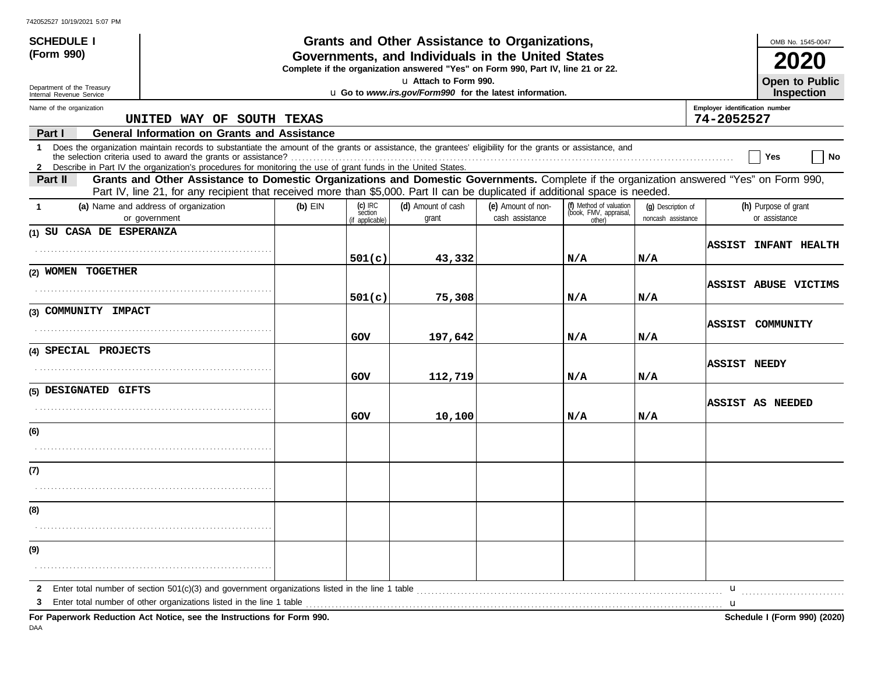| <b>SCHEDULE I</b>                                                                                                                          |                                                                                                                                                                                                                                                                               |           |                                         | Grants and Other Assistance to Organizations, |                                       |                                                             |                                          |                                              | OMB No. 1545-0047                          |
|--------------------------------------------------------------------------------------------------------------------------------------------|-------------------------------------------------------------------------------------------------------------------------------------------------------------------------------------------------------------------------------------------------------------------------------|-----------|-----------------------------------------|-----------------------------------------------|---------------------------------------|-------------------------------------------------------------|------------------------------------------|----------------------------------------------|--------------------------------------------|
| (Form 990)                                                                                                                                 | Governments, and Individuals in the United States<br>Complete if the organization answered "Yes" on Form 990, Part IV, line 21 or 22.                                                                                                                                         |           |                                         |                                               |                                       |                                                             |                                          |                                              |                                            |
| u Attach to Form 990.<br>Department of the Treasury<br>u Go to www.irs.gov/Form990 for the latest information.<br>Internal Revenue Service |                                                                                                                                                                                                                                                                               |           |                                         |                                               |                                       |                                                             |                                          |                                              | <b>Open to Public</b><br><b>Inspection</b> |
| Name of the organization                                                                                                                   | UNITED WAY OF SOUTH TEXAS                                                                                                                                                                                                                                                     |           |                                         |                                               |                                       |                                                             |                                          | Employer identification number<br>74-2052527 |                                            |
| Part I                                                                                                                                     | <b>General Information on Grants and Assistance</b>                                                                                                                                                                                                                           |           |                                         |                                               |                                       |                                                             |                                          |                                              |                                            |
| $\mathbf 1$                                                                                                                                | Does the organization maintain records to substantiate the amount of the grants or assistance, the grantees' eligibility for the grants or assistance, and<br>2 Describe in Part IV the organization's procedures for monitoring the use of grant funds in the United States. |           |                                         |                                               |                                       |                                                             |                                          |                                              | ∣ No<br>Yes                                |
| Part II                                                                                                                                    | Grants and Other Assistance to Domestic Organizations and Domestic Governments. Complete if the organization answered "Yes" on Form 990,<br>Part IV, line 21, for any recipient that received more than \$5,000. Part II can be duplicated if additional space is needed.     |           |                                         |                                               |                                       |                                                             |                                          |                                              |                                            |
| -1                                                                                                                                         | (a) Name and address of organization<br>or government                                                                                                                                                                                                                         | $(b)$ EIN | $(c)$ IRC<br>section<br>(if applicable) | (d) Amount of cash<br>grant                   | (e) Amount of non-<br>cash assistance | (f) Method of valuation<br>(book, FMV, appraisal,<br>other) | (q) Description of<br>noncash assistance |                                              | (h) Purpose of grant<br>or assistance      |
| (1) SU CASA DE ESPERANZA                                                                                                                   |                                                                                                                                                                                                                                                                               |           |                                         |                                               |                                       |                                                             |                                          |                                              |                                            |
|                                                                                                                                            |                                                                                                                                                                                                                                                                               |           | 501(c)                                  | 43,332                                        |                                       | N/A                                                         | N/A                                      |                                              | <b>ASSIST INFANT HEALTH</b>                |
| (2) WOMEN TOGETHER                                                                                                                         |                                                                                                                                                                                                                                                                               |           |                                         |                                               |                                       |                                                             |                                          |                                              | ASSIST ABUSE VICTIMS                       |
|                                                                                                                                            |                                                                                                                                                                                                                                                                               |           | 501(c)                                  | 75,308                                        |                                       | N/A                                                         | N/A                                      |                                              |                                            |
| (3) COMMUNITY IMPACT                                                                                                                       |                                                                                                                                                                                                                                                                               |           |                                         |                                               |                                       |                                                             |                                          |                                              |                                            |
|                                                                                                                                            |                                                                                                                                                                                                                                                                               |           | GOV                                     | 197,642                                       |                                       | N/A                                                         | N/A                                      |                                              | ASSIST COMMUNITY                           |
| (4) SPECIAL PROJECTS                                                                                                                       |                                                                                                                                                                                                                                                                               |           |                                         |                                               |                                       |                                                             |                                          |                                              |                                            |
|                                                                                                                                            |                                                                                                                                                                                                                                                                               |           | GOV                                     | 112,719                                       |                                       | N/A                                                         | N/A                                      | <b>ASSIST NEEDY</b>                          |                                            |
| (5) DESIGNATED GIFTS                                                                                                                       |                                                                                                                                                                                                                                                                               |           |                                         |                                               |                                       |                                                             |                                          |                                              |                                            |
|                                                                                                                                            |                                                                                                                                                                                                                                                                               |           | GOV                                     | 10,100                                        |                                       | N/A                                                         | N/A                                      |                                              | <b>ASSIST AS NEEDED</b>                    |
| (6)                                                                                                                                        |                                                                                                                                                                                                                                                                               |           |                                         |                                               |                                       |                                                             |                                          |                                              |                                            |
|                                                                                                                                            |                                                                                                                                                                                                                                                                               |           |                                         |                                               |                                       |                                                             |                                          |                                              |                                            |
| (7)                                                                                                                                        |                                                                                                                                                                                                                                                                               |           |                                         |                                               |                                       |                                                             |                                          |                                              |                                            |
|                                                                                                                                            |                                                                                                                                                                                                                                                                               |           |                                         |                                               |                                       |                                                             |                                          |                                              |                                            |
| (8)                                                                                                                                        |                                                                                                                                                                                                                                                                               |           |                                         |                                               |                                       |                                                             |                                          |                                              |                                            |
|                                                                                                                                            |                                                                                                                                                                                                                                                                               |           |                                         |                                               |                                       |                                                             |                                          |                                              |                                            |
| (9)                                                                                                                                        |                                                                                                                                                                                                                                                                               |           |                                         |                                               |                                       |                                                             |                                          |                                              |                                            |
|                                                                                                                                            |                                                                                                                                                                                                                                                                               |           |                                         |                                               |                                       |                                                             |                                          |                                              |                                            |
| 2                                                                                                                                          |                                                                                                                                                                                                                                                                               |           |                                         |                                               |                                       |                                                             |                                          | u                                            |                                            |
|                                                                                                                                            |                                                                                                                                                                                                                                                                               |           |                                         |                                               |                                       |                                                             |                                          | $\mathbf u$                                  |                                            |
|                                                                                                                                            | For Paperwork Reduction Act Notice, see the Instructions for Form 990.                                                                                                                                                                                                        |           |                                         |                                               |                                       |                                                             |                                          |                                              | Schedule I (Form 990) (2020)               |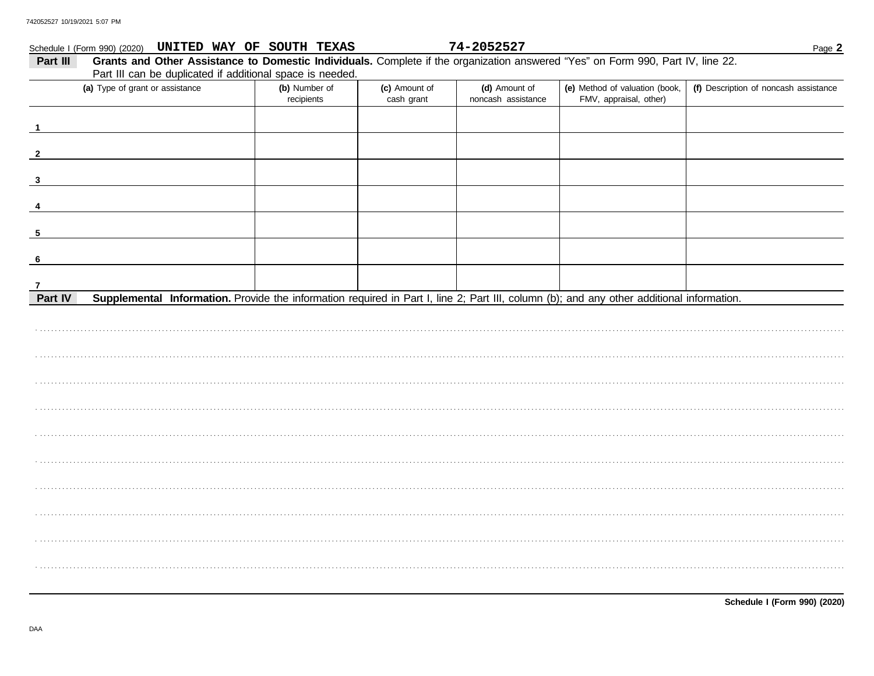| Schedule I (Form 990) (2020) UNITED WAY OF SOUTH TEXAS                                                                                               |               |               | 74-2052527         |                                | Page 2                                |
|------------------------------------------------------------------------------------------------------------------------------------------------------|---------------|---------------|--------------------|--------------------------------|---------------------------------------|
| Grants and Other Assistance to Domestic Individuals. Complete if the organization answered "Yes" on Form 990, Part IV, line 22.<br>Part III          |               |               |                    |                                |                                       |
| Part III can be duplicated if additional space is needed.                                                                                            |               |               |                    |                                |                                       |
| (a) Type of grant or assistance                                                                                                                      | (b) Number of | (c) Amount of | (d) Amount of      | (e) Method of valuation (book, | (f) Description of noncash assistance |
|                                                                                                                                                      | recipients    | cash grant    | noncash assistance | FMV, appraisal, other)         |                                       |
|                                                                                                                                                      |               |               |                    |                                |                                       |
|                                                                                                                                                      |               |               |                    |                                |                                       |
|                                                                                                                                                      |               |               |                    |                                |                                       |
| $\overline{2}$                                                                                                                                       |               |               |                    |                                |                                       |
|                                                                                                                                                      |               |               |                    |                                |                                       |
| 3                                                                                                                                                    |               |               |                    |                                |                                       |
|                                                                                                                                                      |               |               |                    |                                |                                       |
|                                                                                                                                                      |               |               |                    |                                |                                       |
| -5                                                                                                                                                   |               |               |                    |                                |                                       |
|                                                                                                                                                      |               |               |                    |                                |                                       |
| - 6                                                                                                                                                  |               |               |                    |                                |                                       |
|                                                                                                                                                      |               |               |                    |                                |                                       |
|                                                                                                                                                      |               |               |                    |                                |                                       |
| Supplemental Information. Provide the information required in Part I, line 2; Part III, column (b); and any other additional information.<br>Part IV |               |               |                    |                                |                                       |
|                                                                                                                                                      |               |               |                    |                                |                                       |
|                                                                                                                                                      |               |               |                    |                                |                                       |
|                                                                                                                                                      |               |               |                    |                                |                                       |
|                                                                                                                                                      |               |               |                    |                                |                                       |
|                                                                                                                                                      |               |               |                    |                                |                                       |
|                                                                                                                                                      |               |               |                    |                                |                                       |
|                                                                                                                                                      |               |               |                    |                                |                                       |
|                                                                                                                                                      |               |               |                    |                                |                                       |
|                                                                                                                                                      |               |               |                    |                                |                                       |
|                                                                                                                                                      |               |               |                    |                                |                                       |
|                                                                                                                                                      |               |               |                    |                                |                                       |
|                                                                                                                                                      |               |               |                    |                                |                                       |
|                                                                                                                                                      |               |               |                    |                                |                                       |
|                                                                                                                                                      |               |               |                    |                                |                                       |
|                                                                                                                                                      |               |               |                    |                                |                                       |
|                                                                                                                                                      |               |               |                    |                                |                                       |
|                                                                                                                                                      |               |               |                    |                                |                                       |
|                                                                                                                                                      |               |               |                    |                                |                                       |
|                                                                                                                                                      |               |               |                    |                                |                                       |
|                                                                                                                                                      |               |               |                    |                                |                                       |
|                                                                                                                                                      |               |               |                    |                                |                                       |

Schedule I (Form 990) (2020)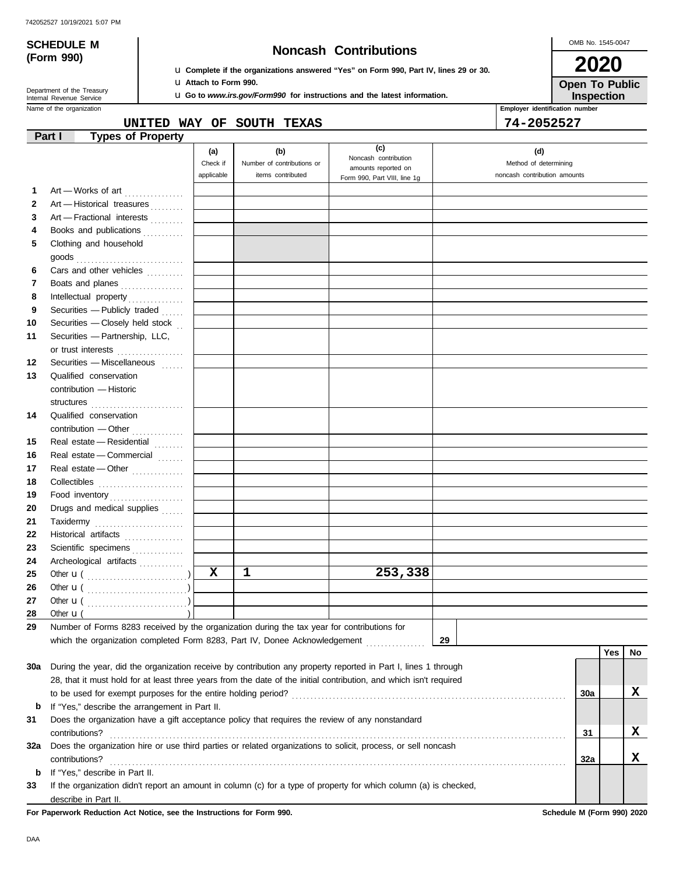# **(Form 990)**

# **SCHEDULE M Noncash Contributions**

OMB No. 1545-0047 **2020**

**Open To Public**

| Department of the Treasury |
|----------------------------|
| Internal Revenue Service   |

u **Complete if the organizations answered "Yes" on Form 990, Part IV, lines 29 or 30.** u **Attach to Form 990.**

u **Go to** *www.irs.gov/Form990* **for instructions and the latest information.**

**Employer identification number Inspection**

**UNITED WAY OF SOUTH TEXAS 74-2052527**

| (c)<br>(b)<br>(d)<br>(a)<br>Noncash contribution<br>Check if<br>Method of determining<br>Number of contributions or<br>amounts reported on<br>applicable<br>items contributed<br>noncash contribution amounts<br>Form 990, Part VIII, line 1g<br>Art - Works of art<br>1<br>$\mathbf{2}$<br>Art - Historical treasures<br>Art - Fractional interests<br>3<br>Books and publications<br>4<br>Clothing and household<br>5<br>Cars and other vehicles<br>6<br>Boats and planes<br>7<br>8<br>Securities - Publicly traded<br>9<br>Securities - Closely held stock<br>10<br>Securities - Partnership, LLC,<br>11<br>or trust interests<br>Securities - Miscellaneous [11111]<br>12<br>Qualified conservation<br>13<br>contribution - Historic<br>structures<br>14<br>Qualified conservation<br>contribution - Other<br>Real estate - Residential<br>15<br>Real estate - Commercial<br>16<br>17<br>Real estate - Other<br>18<br>Food inventory<br>19<br>Drugs and medical supplies<br>20<br>21<br>Taxidermy<br>22<br>Historical artifacts<br>23<br>Scientific specimens<br>24<br>Archeological artifacts<br>X<br>1<br>253,338<br>25<br>26<br>27<br>28<br>Other $\mathbf{u}$ (<br>29<br>Number of Forms 8283 received by the organization during the tax year for contributions for<br>which the organization completed Form 8283, Part IV, Donee Acknowledgement [ [ [ [ [ ] ] ]<br>29<br>Yes<br>No<br>30a<br>During the year, did the organization receive by contribution any property reported in Part I, lines 1 through<br>28, that it must hold for at least three years from the date of the initial contribution, and which isn't required<br>x<br>30a<br>If "Yes," describe the arrangement in Part II.<br>b<br>31<br>Does the organization have a gift acceptance policy that requires the review of any nonstandard<br>X<br>contributions?<br>31<br>Does the organization hire or use third parties or related organizations to solicit, process, or sell noncash<br>32a<br>x<br>32a<br>contributions?<br>If "Yes," describe in Part II.<br>b |    | <b>Types of Property</b><br>Part I |  |  |  |  |
|----------------------------------------------------------------------------------------------------------------------------------------------------------------------------------------------------------------------------------------------------------------------------------------------------------------------------------------------------------------------------------------------------------------------------------------------------------------------------------------------------------------------------------------------------------------------------------------------------------------------------------------------------------------------------------------------------------------------------------------------------------------------------------------------------------------------------------------------------------------------------------------------------------------------------------------------------------------------------------------------------------------------------------------------------------------------------------------------------------------------------------------------------------------------------------------------------------------------------------------------------------------------------------------------------------------------------------------------------------------------------------------------------------------------------------------------------------------------------------------------------------------------------------------------------------------------------------------------------------------------------------------------------------------------------------------------------------------------------------------------------------------------------------------------------------------------------------------------------------------------------------------------------------------------------------------------------------------------------------------------------------------------------------------------------|----|------------------------------------|--|--|--|--|
|                                                                                                                                                                                                                                                                                                                                                                                                                                                                                                                                                                                                                                                                                                                                                                                                                                                                                                                                                                                                                                                                                                                                                                                                                                                                                                                                                                                                                                                                                                                                                                                                                                                                                                                                                                                                                                                                                                                                                                                                                                                    |    |                                    |  |  |  |  |
|                                                                                                                                                                                                                                                                                                                                                                                                                                                                                                                                                                                                                                                                                                                                                                                                                                                                                                                                                                                                                                                                                                                                                                                                                                                                                                                                                                                                                                                                                                                                                                                                                                                                                                                                                                                                                                                                                                                                                                                                                                                    |    |                                    |  |  |  |  |
|                                                                                                                                                                                                                                                                                                                                                                                                                                                                                                                                                                                                                                                                                                                                                                                                                                                                                                                                                                                                                                                                                                                                                                                                                                                                                                                                                                                                                                                                                                                                                                                                                                                                                                                                                                                                                                                                                                                                                                                                                                                    |    |                                    |  |  |  |  |
|                                                                                                                                                                                                                                                                                                                                                                                                                                                                                                                                                                                                                                                                                                                                                                                                                                                                                                                                                                                                                                                                                                                                                                                                                                                                                                                                                                                                                                                                                                                                                                                                                                                                                                                                                                                                                                                                                                                                                                                                                                                    |    |                                    |  |  |  |  |
|                                                                                                                                                                                                                                                                                                                                                                                                                                                                                                                                                                                                                                                                                                                                                                                                                                                                                                                                                                                                                                                                                                                                                                                                                                                                                                                                                                                                                                                                                                                                                                                                                                                                                                                                                                                                                                                                                                                                                                                                                                                    |    |                                    |  |  |  |  |
|                                                                                                                                                                                                                                                                                                                                                                                                                                                                                                                                                                                                                                                                                                                                                                                                                                                                                                                                                                                                                                                                                                                                                                                                                                                                                                                                                                                                                                                                                                                                                                                                                                                                                                                                                                                                                                                                                                                                                                                                                                                    |    |                                    |  |  |  |  |
|                                                                                                                                                                                                                                                                                                                                                                                                                                                                                                                                                                                                                                                                                                                                                                                                                                                                                                                                                                                                                                                                                                                                                                                                                                                                                                                                                                                                                                                                                                                                                                                                                                                                                                                                                                                                                                                                                                                                                                                                                                                    |    |                                    |  |  |  |  |
|                                                                                                                                                                                                                                                                                                                                                                                                                                                                                                                                                                                                                                                                                                                                                                                                                                                                                                                                                                                                                                                                                                                                                                                                                                                                                                                                                                                                                                                                                                                                                                                                                                                                                                                                                                                                                                                                                                                                                                                                                                                    |    |                                    |  |  |  |  |
|                                                                                                                                                                                                                                                                                                                                                                                                                                                                                                                                                                                                                                                                                                                                                                                                                                                                                                                                                                                                                                                                                                                                                                                                                                                                                                                                                                                                                                                                                                                                                                                                                                                                                                                                                                                                                                                                                                                                                                                                                                                    |    |                                    |  |  |  |  |
|                                                                                                                                                                                                                                                                                                                                                                                                                                                                                                                                                                                                                                                                                                                                                                                                                                                                                                                                                                                                                                                                                                                                                                                                                                                                                                                                                                                                                                                                                                                                                                                                                                                                                                                                                                                                                                                                                                                                                                                                                                                    |    |                                    |  |  |  |  |
|                                                                                                                                                                                                                                                                                                                                                                                                                                                                                                                                                                                                                                                                                                                                                                                                                                                                                                                                                                                                                                                                                                                                                                                                                                                                                                                                                                                                                                                                                                                                                                                                                                                                                                                                                                                                                                                                                                                                                                                                                                                    |    |                                    |  |  |  |  |
|                                                                                                                                                                                                                                                                                                                                                                                                                                                                                                                                                                                                                                                                                                                                                                                                                                                                                                                                                                                                                                                                                                                                                                                                                                                                                                                                                                                                                                                                                                                                                                                                                                                                                                                                                                                                                                                                                                                                                                                                                                                    |    |                                    |  |  |  |  |
|                                                                                                                                                                                                                                                                                                                                                                                                                                                                                                                                                                                                                                                                                                                                                                                                                                                                                                                                                                                                                                                                                                                                                                                                                                                                                                                                                                                                                                                                                                                                                                                                                                                                                                                                                                                                                                                                                                                                                                                                                                                    |    |                                    |  |  |  |  |
|                                                                                                                                                                                                                                                                                                                                                                                                                                                                                                                                                                                                                                                                                                                                                                                                                                                                                                                                                                                                                                                                                                                                                                                                                                                                                                                                                                                                                                                                                                                                                                                                                                                                                                                                                                                                                                                                                                                                                                                                                                                    |    |                                    |  |  |  |  |
|                                                                                                                                                                                                                                                                                                                                                                                                                                                                                                                                                                                                                                                                                                                                                                                                                                                                                                                                                                                                                                                                                                                                                                                                                                                                                                                                                                                                                                                                                                                                                                                                                                                                                                                                                                                                                                                                                                                                                                                                                                                    |    |                                    |  |  |  |  |
|                                                                                                                                                                                                                                                                                                                                                                                                                                                                                                                                                                                                                                                                                                                                                                                                                                                                                                                                                                                                                                                                                                                                                                                                                                                                                                                                                                                                                                                                                                                                                                                                                                                                                                                                                                                                                                                                                                                                                                                                                                                    |    |                                    |  |  |  |  |
|                                                                                                                                                                                                                                                                                                                                                                                                                                                                                                                                                                                                                                                                                                                                                                                                                                                                                                                                                                                                                                                                                                                                                                                                                                                                                                                                                                                                                                                                                                                                                                                                                                                                                                                                                                                                                                                                                                                                                                                                                                                    |    |                                    |  |  |  |  |
|                                                                                                                                                                                                                                                                                                                                                                                                                                                                                                                                                                                                                                                                                                                                                                                                                                                                                                                                                                                                                                                                                                                                                                                                                                                                                                                                                                                                                                                                                                                                                                                                                                                                                                                                                                                                                                                                                                                                                                                                                                                    |    |                                    |  |  |  |  |
|                                                                                                                                                                                                                                                                                                                                                                                                                                                                                                                                                                                                                                                                                                                                                                                                                                                                                                                                                                                                                                                                                                                                                                                                                                                                                                                                                                                                                                                                                                                                                                                                                                                                                                                                                                                                                                                                                                                                                                                                                                                    |    |                                    |  |  |  |  |
|                                                                                                                                                                                                                                                                                                                                                                                                                                                                                                                                                                                                                                                                                                                                                                                                                                                                                                                                                                                                                                                                                                                                                                                                                                                                                                                                                                                                                                                                                                                                                                                                                                                                                                                                                                                                                                                                                                                                                                                                                                                    |    |                                    |  |  |  |  |
|                                                                                                                                                                                                                                                                                                                                                                                                                                                                                                                                                                                                                                                                                                                                                                                                                                                                                                                                                                                                                                                                                                                                                                                                                                                                                                                                                                                                                                                                                                                                                                                                                                                                                                                                                                                                                                                                                                                                                                                                                                                    |    |                                    |  |  |  |  |
|                                                                                                                                                                                                                                                                                                                                                                                                                                                                                                                                                                                                                                                                                                                                                                                                                                                                                                                                                                                                                                                                                                                                                                                                                                                                                                                                                                                                                                                                                                                                                                                                                                                                                                                                                                                                                                                                                                                                                                                                                                                    |    |                                    |  |  |  |  |
|                                                                                                                                                                                                                                                                                                                                                                                                                                                                                                                                                                                                                                                                                                                                                                                                                                                                                                                                                                                                                                                                                                                                                                                                                                                                                                                                                                                                                                                                                                                                                                                                                                                                                                                                                                                                                                                                                                                                                                                                                                                    |    |                                    |  |  |  |  |
|                                                                                                                                                                                                                                                                                                                                                                                                                                                                                                                                                                                                                                                                                                                                                                                                                                                                                                                                                                                                                                                                                                                                                                                                                                                                                                                                                                                                                                                                                                                                                                                                                                                                                                                                                                                                                                                                                                                                                                                                                                                    |    |                                    |  |  |  |  |
|                                                                                                                                                                                                                                                                                                                                                                                                                                                                                                                                                                                                                                                                                                                                                                                                                                                                                                                                                                                                                                                                                                                                                                                                                                                                                                                                                                                                                                                                                                                                                                                                                                                                                                                                                                                                                                                                                                                                                                                                                                                    |    |                                    |  |  |  |  |
|                                                                                                                                                                                                                                                                                                                                                                                                                                                                                                                                                                                                                                                                                                                                                                                                                                                                                                                                                                                                                                                                                                                                                                                                                                                                                                                                                                                                                                                                                                                                                                                                                                                                                                                                                                                                                                                                                                                                                                                                                                                    |    |                                    |  |  |  |  |
|                                                                                                                                                                                                                                                                                                                                                                                                                                                                                                                                                                                                                                                                                                                                                                                                                                                                                                                                                                                                                                                                                                                                                                                                                                                                                                                                                                                                                                                                                                                                                                                                                                                                                                                                                                                                                                                                                                                                                                                                                                                    |    |                                    |  |  |  |  |
|                                                                                                                                                                                                                                                                                                                                                                                                                                                                                                                                                                                                                                                                                                                                                                                                                                                                                                                                                                                                                                                                                                                                                                                                                                                                                                                                                                                                                                                                                                                                                                                                                                                                                                                                                                                                                                                                                                                                                                                                                                                    |    |                                    |  |  |  |  |
|                                                                                                                                                                                                                                                                                                                                                                                                                                                                                                                                                                                                                                                                                                                                                                                                                                                                                                                                                                                                                                                                                                                                                                                                                                                                                                                                                                                                                                                                                                                                                                                                                                                                                                                                                                                                                                                                                                                                                                                                                                                    |    |                                    |  |  |  |  |
|                                                                                                                                                                                                                                                                                                                                                                                                                                                                                                                                                                                                                                                                                                                                                                                                                                                                                                                                                                                                                                                                                                                                                                                                                                                                                                                                                                                                                                                                                                                                                                                                                                                                                                                                                                                                                                                                                                                                                                                                                                                    |    |                                    |  |  |  |  |
|                                                                                                                                                                                                                                                                                                                                                                                                                                                                                                                                                                                                                                                                                                                                                                                                                                                                                                                                                                                                                                                                                                                                                                                                                                                                                                                                                                                                                                                                                                                                                                                                                                                                                                                                                                                                                                                                                                                                                                                                                                                    |    |                                    |  |  |  |  |
|                                                                                                                                                                                                                                                                                                                                                                                                                                                                                                                                                                                                                                                                                                                                                                                                                                                                                                                                                                                                                                                                                                                                                                                                                                                                                                                                                                                                                                                                                                                                                                                                                                                                                                                                                                                                                                                                                                                                                                                                                                                    |    |                                    |  |  |  |  |
|                                                                                                                                                                                                                                                                                                                                                                                                                                                                                                                                                                                                                                                                                                                                                                                                                                                                                                                                                                                                                                                                                                                                                                                                                                                                                                                                                                                                                                                                                                                                                                                                                                                                                                                                                                                                                                                                                                                                                                                                                                                    |    |                                    |  |  |  |  |
|                                                                                                                                                                                                                                                                                                                                                                                                                                                                                                                                                                                                                                                                                                                                                                                                                                                                                                                                                                                                                                                                                                                                                                                                                                                                                                                                                                                                                                                                                                                                                                                                                                                                                                                                                                                                                                                                                                                                                                                                                                                    |    |                                    |  |  |  |  |
|                                                                                                                                                                                                                                                                                                                                                                                                                                                                                                                                                                                                                                                                                                                                                                                                                                                                                                                                                                                                                                                                                                                                                                                                                                                                                                                                                                                                                                                                                                                                                                                                                                                                                                                                                                                                                                                                                                                                                                                                                                                    |    |                                    |  |  |  |  |
|                                                                                                                                                                                                                                                                                                                                                                                                                                                                                                                                                                                                                                                                                                                                                                                                                                                                                                                                                                                                                                                                                                                                                                                                                                                                                                                                                                                                                                                                                                                                                                                                                                                                                                                                                                                                                                                                                                                                                                                                                                                    |    |                                    |  |  |  |  |
|                                                                                                                                                                                                                                                                                                                                                                                                                                                                                                                                                                                                                                                                                                                                                                                                                                                                                                                                                                                                                                                                                                                                                                                                                                                                                                                                                                                                                                                                                                                                                                                                                                                                                                                                                                                                                                                                                                                                                                                                                                                    |    |                                    |  |  |  |  |
|                                                                                                                                                                                                                                                                                                                                                                                                                                                                                                                                                                                                                                                                                                                                                                                                                                                                                                                                                                                                                                                                                                                                                                                                                                                                                                                                                                                                                                                                                                                                                                                                                                                                                                                                                                                                                                                                                                                                                                                                                                                    |    |                                    |  |  |  |  |
|                                                                                                                                                                                                                                                                                                                                                                                                                                                                                                                                                                                                                                                                                                                                                                                                                                                                                                                                                                                                                                                                                                                                                                                                                                                                                                                                                                                                                                                                                                                                                                                                                                                                                                                                                                                                                                                                                                                                                                                                                                                    |    |                                    |  |  |  |  |
|                                                                                                                                                                                                                                                                                                                                                                                                                                                                                                                                                                                                                                                                                                                                                                                                                                                                                                                                                                                                                                                                                                                                                                                                                                                                                                                                                                                                                                                                                                                                                                                                                                                                                                                                                                                                                                                                                                                                                                                                                                                    |    |                                    |  |  |  |  |
|                                                                                                                                                                                                                                                                                                                                                                                                                                                                                                                                                                                                                                                                                                                                                                                                                                                                                                                                                                                                                                                                                                                                                                                                                                                                                                                                                                                                                                                                                                                                                                                                                                                                                                                                                                                                                                                                                                                                                                                                                                                    |    |                                    |  |  |  |  |
|                                                                                                                                                                                                                                                                                                                                                                                                                                                                                                                                                                                                                                                                                                                                                                                                                                                                                                                                                                                                                                                                                                                                                                                                                                                                                                                                                                                                                                                                                                                                                                                                                                                                                                                                                                                                                                                                                                                                                                                                                                                    |    |                                    |  |  |  |  |
|                                                                                                                                                                                                                                                                                                                                                                                                                                                                                                                                                                                                                                                                                                                                                                                                                                                                                                                                                                                                                                                                                                                                                                                                                                                                                                                                                                                                                                                                                                                                                                                                                                                                                                                                                                                                                                                                                                                                                                                                                                                    |    |                                    |  |  |  |  |
|                                                                                                                                                                                                                                                                                                                                                                                                                                                                                                                                                                                                                                                                                                                                                                                                                                                                                                                                                                                                                                                                                                                                                                                                                                                                                                                                                                                                                                                                                                                                                                                                                                                                                                                                                                                                                                                                                                                                                                                                                                                    |    |                                    |  |  |  |  |
|                                                                                                                                                                                                                                                                                                                                                                                                                                                                                                                                                                                                                                                                                                                                                                                                                                                                                                                                                                                                                                                                                                                                                                                                                                                                                                                                                                                                                                                                                                                                                                                                                                                                                                                                                                                                                                                                                                                                                                                                                                                    |    |                                    |  |  |  |  |
|                                                                                                                                                                                                                                                                                                                                                                                                                                                                                                                                                                                                                                                                                                                                                                                                                                                                                                                                                                                                                                                                                                                                                                                                                                                                                                                                                                                                                                                                                                                                                                                                                                                                                                                                                                                                                                                                                                                                                                                                                                                    |    |                                    |  |  |  |  |
|                                                                                                                                                                                                                                                                                                                                                                                                                                                                                                                                                                                                                                                                                                                                                                                                                                                                                                                                                                                                                                                                                                                                                                                                                                                                                                                                                                                                                                                                                                                                                                                                                                                                                                                                                                                                                                                                                                                                                                                                                                                    |    |                                    |  |  |  |  |
| If the organization didn't report an amount in column (c) for a type of property for which column (a) is checked,                                                                                                                                                                                                                                                                                                                                                                                                                                                                                                                                                                                                                                                                                                                                                                                                                                                                                                                                                                                                                                                                                                                                                                                                                                                                                                                                                                                                                                                                                                                                                                                                                                                                                                                                                                                                                                                                                                                                  | 33 |                                    |  |  |  |  |
| describe in Part II.                                                                                                                                                                                                                                                                                                                                                                                                                                                                                                                                                                                                                                                                                                                                                                                                                                                                                                                                                                                                                                                                                                                                                                                                                                                                                                                                                                                                                                                                                                                                                                                                                                                                                                                                                                                                                                                                                                                                                                                                                               |    |                                    |  |  |  |  |

**For Paperwork Reduction Act Notice, see the Instructions for Form 990. Schedule M (Form 990) 2020**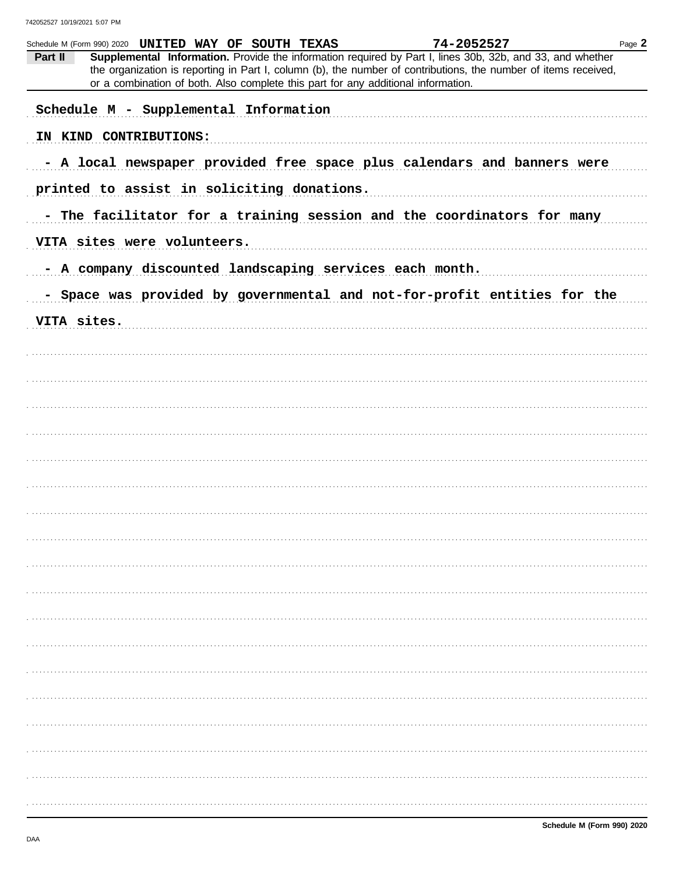| Part II     | Schedule M (Form 990) 2020 UNITED WAY OF SOUTH TEXAS<br>Supplemental Information. Provide the information required by Part I, lines 30b, 32b, and 33, and whether<br>the organization is reporting in Part I, column (b), the number of contributions, the number of items received,<br>or a combination of both. Also complete this part for any additional information. | 74-2052527 | Page 2 |
|-------------|---------------------------------------------------------------------------------------------------------------------------------------------------------------------------------------------------------------------------------------------------------------------------------------------------------------------------------------------------------------------------|------------|--------|
|             | Schedule M - Supplemental Information                                                                                                                                                                                                                                                                                                                                     |            |        |
|             | IN KIND CONTRIBUTIONS:                                                                                                                                                                                                                                                                                                                                                    |            |        |
|             | - A local newspaper provided free space plus calendars and banners were                                                                                                                                                                                                                                                                                                   |            |        |
|             | printed to assist in soliciting donations.                                                                                                                                                                                                                                                                                                                                |            |        |
|             | - The facilitator for a training session and the coordinators for many                                                                                                                                                                                                                                                                                                    |            |        |
|             | VITA sites were volunteers.                                                                                                                                                                                                                                                                                                                                               |            |        |
|             | - A company discounted landscaping services each month.                                                                                                                                                                                                                                                                                                                   |            |        |
|             | - Space was provided by governmental and not-for-profit entities for the                                                                                                                                                                                                                                                                                                  |            |        |
| VITA sites. |                                                                                                                                                                                                                                                                                                                                                                           |            |        |
|             |                                                                                                                                                                                                                                                                                                                                                                           |            |        |
|             |                                                                                                                                                                                                                                                                                                                                                                           |            |        |
|             |                                                                                                                                                                                                                                                                                                                                                                           |            |        |
|             |                                                                                                                                                                                                                                                                                                                                                                           |            |        |
|             |                                                                                                                                                                                                                                                                                                                                                                           |            |        |
|             |                                                                                                                                                                                                                                                                                                                                                                           |            |        |
|             |                                                                                                                                                                                                                                                                                                                                                                           |            |        |
|             |                                                                                                                                                                                                                                                                                                                                                                           |            |        |
|             |                                                                                                                                                                                                                                                                                                                                                                           |            |        |
|             |                                                                                                                                                                                                                                                                                                                                                                           |            |        |
|             |                                                                                                                                                                                                                                                                                                                                                                           |            |        |
|             |                                                                                                                                                                                                                                                                                                                                                                           |            |        |
|             |                                                                                                                                                                                                                                                                                                                                                                           |            |        |
|             |                                                                                                                                                                                                                                                                                                                                                                           |            |        |
|             |                                                                                                                                                                                                                                                                                                                                                                           |            |        |
|             |                                                                                                                                                                                                                                                                                                                                                                           |            |        |
|             |                                                                                                                                                                                                                                                                                                                                                                           |            |        |
|             |                                                                                                                                                                                                                                                                                                                                                                           |            |        |
|             |                                                                                                                                                                                                                                                                                                                                                                           |            |        |
|             |                                                                                                                                                                                                                                                                                                                                                                           |            |        |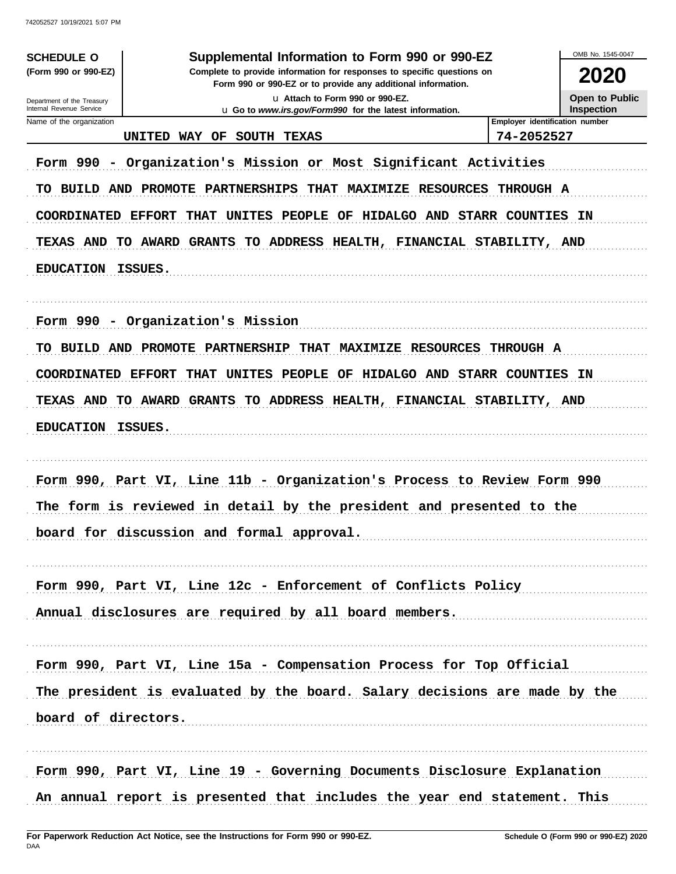| <b>SCHEDULE O</b>                                                                                                                                                         | Supplemental Information to Form 990 or 990-EZ                                                                                                                                                                                                                                                                                                                                                                                                                                                                                                    |                                                             | OMB No. 1545-0047 |  |  |  |  |  |
|---------------------------------------------------------------------------------------------------------------------------------------------------------------------------|---------------------------------------------------------------------------------------------------------------------------------------------------------------------------------------------------------------------------------------------------------------------------------------------------------------------------------------------------------------------------------------------------------------------------------------------------------------------------------------------------------------------------------------------------|-------------------------------------------------------------|-------------------|--|--|--|--|--|
| (Form 990 or 990-EZ)                                                                                                                                                      | Complete to provide information for responses to specific questions on<br>2020<br>Form 990 or 990-EZ or to provide any additional information.                                                                                                                                                                                                                                                                                                                                                                                                    |                                                             |                   |  |  |  |  |  |
| Department of the Treasury                                                                                                                                                | <b>Open to Public</b><br>La Attach to Form 990 or 990-EZ.<br><b>Inspection</b>                                                                                                                                                                                                                                                                                                                                                                                                                                                                    |                                                             |                   |  |  |  |  |  |
| Internal Revenue Service<br>Name of the organization                                                                                                                      | u Go to www.irs.gov/Form990 for the latest information.<br>Employer identification number                                                                                                                                                                                                                                                                                                                                                                                                                                                         |                                                             |                   |  |  |  |  |  |
|                                                                                                                                                                           | <b>UNITED</b><br><b>WAY</b><br>OF<br>SOUTH TEXAS                                                                                                                                                                                                                                                                                                                                                                                                                                                                                                  | 74-2052527                                                  |                   |  |  |  |  |  |
| Form 990<br>TO BUILD AND<br><b>COORDINATED</b><br><b>TEXAS AND</b><br>TO.<br><b>EDUCATION</b><br>Form 990<br>TO BUILD AND<br><b>COORDINATED</b><br><b>TEXAS AND</b><br>TO | Organization's Mission or Most Significant Activities<br>MAXIMIZE RESOURCES THROUGH A<br>PROMOTE<br>PARTNERSHIPS<br><b>THAT</b><br><b>EFFORT</b><br>UNITES<br><b>PEOPLE</b><br>OF<br><b>HIDALGO AND</b><br>THAT<br>AWARD GRANTS<br>TO ADDRESS HEALTH, FINANCIAL STABILITY, AND<br>ISSUES.<br>- Organization's Mission<br><b>PROMOTE</b><br><b>PARTNERSHIP</b><br><b>THAT</b><br><b>MAXIMIZE RESOURCES</b><br><b>EFFORT</b><br><b>THAT</b><br>UNITES<br>PEOPLE<br>OF<br>HIDALGO AND<br>TO ADDRESS HEALTH, FINANCIAL STABILITY, AND<br>AWARD GRANTS | <b>STARR COUNTIES</b><br><b>THROUGH A</b><br>STARR COUNTIES | ΙN<br>ΙN          |  |  |  |  |  |
| <b>EDUCATION</b>                                                                                                                                                          | ISSUES.<br>Form 990, Part VI, Line 11b - Organization's Process to Review Form 990                                                                                                                                                                                                                                                                                                                                                                                                                                                                |                                                             |                   |  |  |  |  |  |
|                                                                                                                                                                           | The form is reviewed in detail by the president and presented to the                                                                                                                                                                                                                                                                                                                                                                                                                                                                              |                                                             |                   |  |  |  |  |  |
|                                                                                                                                                                           | board for discussion and formal approval.                                                                                                                                                                                                                                                                                                                                                                                                                                                                                                         |                                                             |                   |  |  |  |  |  |
|                                                                                                                                                                           | Form 990, Part VI, Line 12c - Enforcement of Conflicts Policy                                                                                                                                                                                                                                                                                                                                                                                                                                                                                     |                                                             |                   |  |  |  |  |  |
|                                                                                                                                                                           | Annual disclosures are required by all board members.                                                                                                                                                                                                                                                                                                                                                                                                                                                                                             |                                                             |                   |  |  |  |  |  |
|                                                                                                                                                                           | Form 990, Part VI, Line 15a - Compensation Process for Top Official                                                                                                                                                                                                                                                                                                                                                                                                                                                                               |                                                             |                   |  |  |  |  |  |
|                                                                                                                                                                           | The president is evaluated by the board. Salary decisions are made by the                                                                                                                                                                                                                                                                                                                                                                                                                                                                         |                                                             |                   |  |  |  |  |  |
| board of directors.                                                                                                                                                       |                                                                                                                                                                                                                                                                                                                                                                                                                                                                                                                                                   |                                                             |                   |  |  |  |  |  |
|                                                                                                                                                                           | Form 990, Part VI, Line 19 - Governing Documents Disclosure Explanation<br>An annual report is presented that includes the year end statement. This                                                                                                                                                                                                                                                                                                                                                                                               |                                                             |                   |  |  |  |  |  |